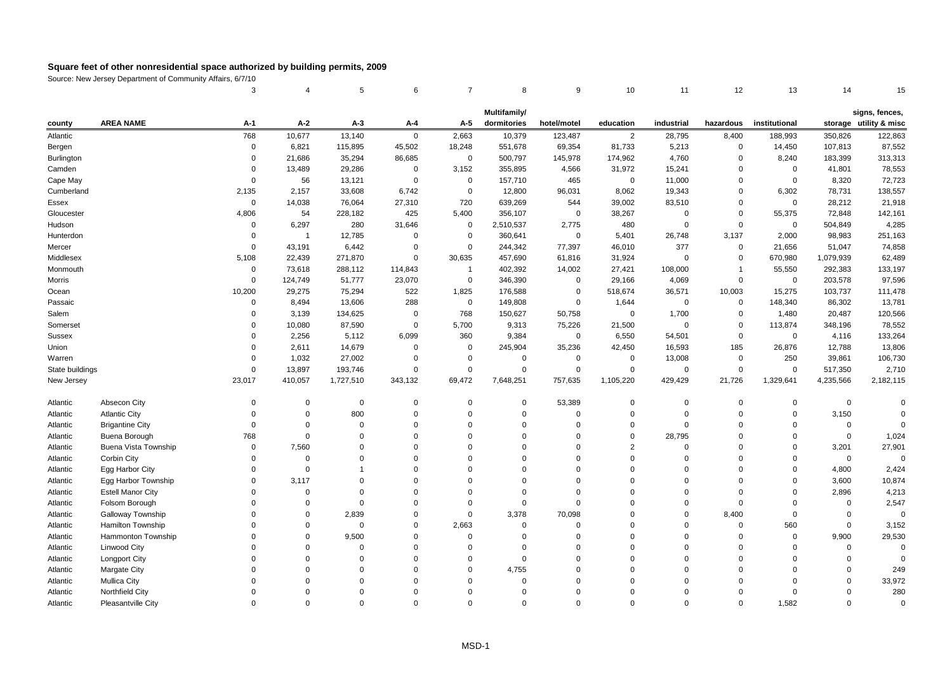|                   |                             | 3           | 4                       | 5           | 6           | $\overline{7}$ | 8            | 9              | 10             | 11          | 12             | 13            | 14             | 15                                       |
|-------------------|-----------------------------|-------------|-------------------------|-------------|-------------|----------------|--------------|----------------|----------------|-------------|----------------|---------------|----------------|------------------------------------------|
|                   |                             |             |                         |             |             |                | Multifamily/ |                |                |             |                |               |                |                                          |
| county            | <b>AREA NAME</b>            | A-1         | A-2                     | $A-3$       | A-4         | A-5            | dormitories  | hotel/motel    | education      | industrial  | hazardous      | institutional |                | signs, fences,<br>storage utility & misc |
| Atlantic          |                             | 768         | 10,677                  | 13,140      | $\mathbf 0$ | 2,663          | 10,379       | 123,487        | $\overline{2}$ | 28,795      | 8,400          | 188,993       | 350,826        | 122,863                                  |
| Bergen            |                             | $\Omega$    | 6,821                   | 115,895     | 45,502      | 18,248         | 551,678      | 69,354         | 81,733         | 5,213       | $\mathbf 0$    | 14,450        | 107,813        | 87,552                                   |
| <b>Burlington</b> |                             | $\Omega$    | 21,686                  | 35,294      | 86,685      | $\mathbf 0$    | 500,797      | 145,978        | 174,962        | 4,760       | 0              | 8,240         | 183,399        | 313,313                                  |
| Camden            |                             | $\Omega$    | 13,489                  | 29,286      | $\mathbf 0$ | 3,152          | 355,895      | 4,566          | 31,972         | 15,241      | $\mathbf 0$    | $\mathbf 0$   | 41,801         | 78,553                                   |
| Cape May          |                             | $\Omega$    | 56                      | 13,121      | $\Omega$    | $\mathbf 0$    | 157,710      | 465            | $\mathbf 0$    | 11,000      | $\mathbf 0$    | $\mathbf 0$   | 8,320          | 72,723                                   |
| Cumberland        |                             | 2,135       | 2,157                   | 33,608      | 6,742       | $\mathbf 0$    | 12,800       | 96,031         | 8,062          | 19,343      | 0              | 6,302         | 78,731         | 138,557                                  |
| Essex             |                             | $\mathbf 0$ | 14,038                  | 76,064      | 27,310      | 720            | 639,269      | 544            | 39,002         | 83,510      | $\Omega$       | $\mathbf 0$   | 28,212         | 21,918                                   |
| Gloucester        |                             | 4,806       | 54                      | 228,182     | 425         | 5,400          | 356,107      | $\overline{0}$ | 38,267         | $\mathbf 0$ | 0              | 55,375        | 72,848         | 142,161                                  |
| Hudson            |                             | $\Omega$    | 6,297                   | 280         | 31,646      | $\mathbf 0$    | 2,510,537    | 2,775          | 480            | $\mathbf 0$ | $\mathbf 0$    | $\mathbf 0$   | 504,849        | 4,285                                    |
| Hunterdon         |                             | $\Omega$    | $\overline{\mathbf{1}}$ | 12,785      | $\mathbf 0$ | $\mathbf 0$    | 360,641      | $\mathsf 0$    | 5,401          | 26,748      | 3,137          | 2,000         | 98,983         | 251,163                                  |
| Mercer            |                             | $\Omega$    | 43,191                  | 6,442       | $\mathbf 0$ | $\mathbf 0$    | 244,342      | 77,397         | 46,010         | 377         | 0              | 21,656        | 51,047         | 74,858                                   |
| Middlesex         |                             | 5,108       | 22,439                  | 271,870     | $\mathbf 0$ | 30,635         | 457,690      | 61,816         | 31,924         | $\mathbf 0$ | $\mathbf 0$    | 670,980       | 1,079,939      | 62,489                                   |
| Monmouth          |                             | $\mathbf 0$ | 73,618                  | 288,112     | 114,843     | $\overline{1}$ | 402,392      | 14,002         | 27,421         | 108,000     | $\overline{1}$ | 55,550        | 292,383        | 133,197                                  |
| Morris            |                             | $\Omega$    | 124,749                 | 51,777      | 23,070      | $\mathbf 0$    | 346,390      | $\mathbf 0$    | 29,166         | 4,069       | $\mathbf 0$    | $\mathbf 0$   | 203,578        | 97,596                                   |
| Ocean             |                             | 10,200      | 29,275                  | 75,294      | 522         | 1,825          | 176,588      | $\mathsf 0$    | 518,674        | 36,571      | 10,003         | 15,275        | 103,737        | 111,478                                  |
| Passaic           |                             | $\mathbf 0$ | 8,494                   | 13,606      | 288         | $\mathbf 0$    | 149,808      | $\mathsf 0$    | 1,644          | $\mathbf 0$ | $\mathbf 0$    | 148,340       | 86,302         | 13,781                                   |
| Salem             |                             | $\Omega$    | 3,139                   | 134,625     | $\mathbf 0$ | 768            | 150,627      | 50,758         | $\mathbf 0$    | 1,700       | 0              | 1,480         | 20,487         | 120,566                                  |
| Somerset          |                             | $\Omega$    | 10,080                  | 87,590      | $\mathbf 0$ | 5,700          | 9,313        | 75,226         | 21,500         | $\mathbf 0$ | 0              | 113,874       | 348,196        | 78,552                                   |
| <b>Sussex</b>     |                             | $\Omega$    | 2,256                   | 5,112       | 6,099       | 360            | 9,384        | $\mathbf 0$    | 6,550          | 54,501      | $\mathbf 0$    | $\mathbf 0$   | 4,116          | 133,264                                  |
| Union             |                             | $\Omega$    | 2,611                   | 14,679      | $\mathbf 0$ | $\mathbf 0$    | 245,904      | 35,236         | 42,450         | 16,593      | 185            | 26,876        | 12,788         | 13,806                                   |
| Warren            |                             | $\Omega$    | 1,032                   | 27,002      | $\mathbf 0$ | $\mathbf 0$    | $\mathbf 0$  | $\mathbf 0$    | $\mathbf 0$    | 13,008      | $\mathbf 0$    | 250           | 39,861         | 106,730                                  |
| State buildings   |                             | $\Omega$    | 13,897                  | 193,746     | $\mathbf 0$ | $\Omega$       | $\mathbf 0$  | $\mathbf 0$    | $\mathbf 0$    | $\mathsf 0$ | $\mathsf 0$    | $\mathsf 0$   | 517,350        | 2,710                                    |
| New Jersey        |                             | 23,017      | 410,057                 | 1,727,510   | 343,132     | 69,472         | 7,648,251    | 757,635        | 1,105,220      | 429,429     | 21,726         | 1,329,641     | 4,235,566      | 2,182,115                                |
| Atlantic          | Absecon City                | $\Omega$    | 0                       | $\mathsf 0$ | $\mathbf 0$ | $\Omega$       | $\mathbf 0$  | 53,389         | $\mathbf 0$    | $\mathbf 0$ | $\Omega$       | $\mathbf 0$   | $\overline{0}$ | $\Omega$                                 |
| Atlantic          | <b>Atlantic City</b>        | $\Omega$    | $\mathbf 0$             | 800         | $\mathbf 0$ | $\Omega$       | $\mathbf 0$  | $\mathbf 0$    | $\mathbf 0$    | $\mathbf 0$ | $\mathbf 0$    | $\mathsf 0$   | 3,150          | $\Omega$                                 |
| Atlantic          | <b>Brigantine City</b>      | $\Omega$    | $\Omega$                | $\mathbf 0$ | $\mathbf 0$ | $\Omega$       | $\mathbf 0$  | $\overline{0}$ | $\mathbf 0$    | $\mathbf 0$ | $\Omega$       | $\Omega$      | $\mathsf 0$    | $\mathbf 0$                              |
| Atlantic          | Buena Borough               | 768         | $\Omega$                | $\Omega$    | $\mathbf 0$ | $\Omega$       | $\Omega$     | $\Omega$       | $\mathbf 0$    | 28,795      | $\Omega$       | $\Omega$      | $\mathbf 0$    | 1,024                                    |
| Atlantic          | <b>Buena Vista Township</b> | $\Omega$    | 7,560                   | $\Omega$    | $\mathbf 0$ | $\Omega$       | $\Omega$     | $\Omega$       | $\overline{2}$ | $\Omega$    | $\Omega$       | $\Omega$      | 3,201          | 27,901                                   |
| Atlantic          | Corbin City                 | $\Omega$    | $\mathsf 0$             | $\Omega$    | $\mathbf 0$ | $\Omega$       | $\Omega$     | $\Omega$       | $\Omega$       | $\Omega$    | $\Omega$       | $\Omega$      | $\mathsf 0$    | $\Omega$                                 |
| Atlantic          | Egg Harbor City             | $\Omega$    | $\mathbf 0$             | $\mathbf 1$ | $\mathbf 0$ | $\Omega$       | $\Omega$     | $\Omega$       | $\Omega$       | $\Omega$    | $\Omega$       | $\Omega$      | 4,800          | 2,424                                    |
| Atlantic          | Egg Harbor Township         | $\Omega$    | 3,117                   | $\Omega$    | $\mathbf 0$ | $\Omega$       | $\Omega$     | $\mathbf 0$    | $\Omega$       | $\Omega$    | $\Omega$       | $\Omega$      | 3,600          | 10,874                                   |
| Atlantic          | <b>Estell Manor City</b>    | $\Omega$    | $\mathsf 0$             | $\mathbf 0$ | $\mathbf 0$ | $\Omega$       | $\mathbf 0$  | $\overline{0}$ | $\Omega$       | $\mathbf 0$ | $\Omega$       | $\mathbf 0$   | 2,896          | 4,213                                    |
| Atlantic          | Folsom Borough              | $\Omega$    | $\Omega$                | $\Omega$    | $\mathbf 0$ | $\Omega$       | $\mathbf 0$  | $\mathbf 0$    | $\Omega$       | $\Omega$    | $\Omega$       | $\Omega$      | $\Omega$       | 2,547                                    |
| Atlantic          | Galloway Township           | $\Omega$    | $\Omega$                | 2,839       | $\mathbf 0$ | $\Omega$       | 3,378        | 70,098         | $\Omega$       | $\Omega$    | 8,400          | $\Omega$      | $\Omega$       | $\Omega$                                 |
| Atlantic          | Hamilton Township           | $\Omega$    | $\mathbf 0$             | $\mathbf 0$ | $\mathbf 0$ | 2,663          | $\mathbf 0$  | $\mathsf 0$    | $\Omega$       | $\mathbf 0$ | 0              | 560           | $\mathsf 0$    | 3,152                                    |
| Atlantic          | Hammonton Township          | $\Omega$    | $\mathbf 0$             | 9,500       | $\mathbf 0$ | $\Omega$       | $\mathbf 0$  | $\mathbf 0$    | $\Omega$       | $\Omega$    | $\Omega$       | $\mathbf 0$   | 9,900          | 29,530                                   |
| Atlantic          | <b>Linwood City</b>         | $\Omega$    | $\Omega$                | 0           | $\mathbf 0$ | $\Omega$       | $\mathbf 0$  | $\mathbf 0$    | $\Omega$       | $\mathbf 0$ | $\Omega$       | $\Omega$      | 0              | $\Omega$                                 |
| Atlantic          | <b>Longport City</b>        | $\Omega$    | $\Omega$                | $\Omega$    | $\mathbf 0$ | $\mathbf 0$    | $\mathbf 0$  | $\overline{0}$ | $\Omega$       | $\mathbf 0$ | $\Omega$       | $\Omega$      | $\Omega$       | $\mathbf 0$                              |
| Atlantic          | <b>Margate City</b>         | $\Omega$    | $\Omega$                | $\Omega$    | $\mathbf 0$ | $\Omega$       | 4,755        | $\Omega$       | $\Omega$       | $\Omega$    | $\Omega$       | $\Omega$      | $\Omega$       | 249                                      |
| Atlantic          | <b>Mullica City</b>         | $\Omega$    | $\Omega$                | $\Omega$    | $\mathbf 0$ | $\Omega$       | $\mathbf 0$  | $\Omega$       | $\Omega$       | $\Omega$    | $\Omega$       | $\Omega$      | 0              | 33,972                                   |
| Atlantic          | Northfield City             | $\Omega$    | $\Omega$                | $\Omega$    | $\mathbf 0$ | $\Omega$       | $\mathbf 0$  | $\Omega$       | $\Omega$       | $\Omega$    | $\Omega$       | $\Omega$      | $\mathbf 0$    | 280                                      |
| Atlantic          | Pleasantville City          | $\Omega$    | $\Omega$                | $\Omega$    | $\Omega$    | $\Omega$       | $\Omega$     | $\Omega$       | $\Omega$       | $\Omega$    | $\Omega$       | 1,582         | $\Omega$       | $\Omega$                                 |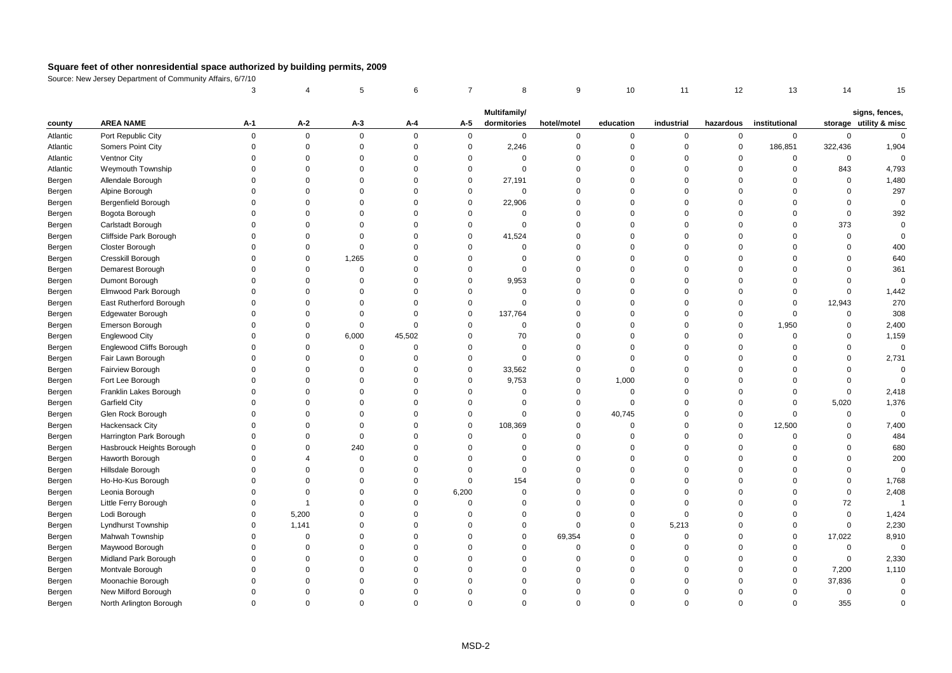|          |                                 | 3           |                | 5           | 6           | $\overline{7}$ | 8            | 9              | 10          | 11          | 12                  | 13            | 14          | 15                     |
|----------|---------------------------------|-------------|----------------|-------------|-------------|----------------|--------------|----------------|-------------|-------------|---------------------|---------------|-------------|------------------------|
|          |                                 |             |                |             |             |                | Multifamily/ |                |             |             |                     |               |             | signs, fences,         |
| county   | <b>AREA NAME</b>                | A-1         | A-2            | $A-3$       | A-4         | A-5            | dormitories  | hotel/motel    | education   | industrial  | hazardous           | institutional |             | storage utility & misc |
| Atlantic | Port Republic City              | $\mathsf 0$ | $\mathbf 0$    | $\mathbf 0$ | $\Omega$    | $\mathbf 0$    | $\mathbf 0$  | $\mathbf 0$    | $\mathsf 0$ | 0           | $\mathsf{O}\xspace$ | $\mathbf 0$   | $\mathbf 0$ | $\mathbf 0$            |
| Atlantic | Somers Point City               | $\mathbf 0$ | $\mathsf 0$    | $\mathbf 0$ | $\mathbf 0$ | $\mathsf 0$    | 2,246        | $\mathbf 0$    | $\mathbf 0$ | 0           | $\mathbf 0$         | 186,851       | 322,436     | 1,904                  |
| Atlantic | Ventnor City                    | $\Omega$    | $\mathbf 0$    | $\Omega$    | $\Omega$    | $\mathbf 0$    | $\Omega$     | $\mathbf 0$    | $\Omega$    | $\mathbf 0$ | $\mathbf 0$         | $\mathbf 0$   | 0           | $\Omega$               |
| Atlantic | Weymouth Township               | $\Omega$    | $\Omega$       | $\Omega$    | $\Omega$    | $\mathbf 0$    | $\Omega$     | $\mathbf 0$    | $\Omega$    | $\Omega$    | $\Omega$            | $\mathbf 0$   | 843         | 4,793                  |
| Bergen   | Allendale Borough               | $\Omega$    | $\Omega$       | $\Omega$    | $\Omega$    | $\mathbf 0$    | 27,191       | $\mathbf 0$    | $\Omega$    | $\mathbf 0$ | $\Omega$            | $\Omega$      | $\mathsf 0$ | 1,480                  |
| Bergen   | Alpine Borough                  | $\Omega$    | $\Omega$       | $\Omega$    | $\Omega$    | $\mathbf 0$    | $\mathbf 0$  | $\mathbf 0$    | $\Omega$    | $\mathbf 0$ | $\Omega$            | $\Omega$      | $\mathbf 0$ | 297                    |
| Bergen   | Bergenfield Borough             | $\Omega$    | $\Omega$       | $\Omega$    | $\Omega$    | $\mathbf 0$    | 22,906       | $\mathbf 0$    | $\Omega$    | $\Omega$    | $\Omega$            | $\Omega$      | $\Omega$    | $\mathbf 0$            |
| Bergen   | Bogota Borough                  | $\Omega$    | $\Omega$       | $\Omega$    | $\Omega$    | $\Omega$       | $\mathbf 0$  | $\mathbf 0$    | $\Omega$    | $\Omega$    | $\Omega$            | $\Omega$      | $\mathbf 0$ | 392                    |
| Bergen   | Carlstadt Borough               | $\Omega$    | $\Omega$       | $\Omega$    | $\Omega$    | $\mathbf 0$    | $\Omega$     | $\Omega$       | $\Omega$    | $\Omega$    | $\Omega$            | $\Omega$      | 373         | $\mathbf 0$            |
| Bergen   | Cliffside Park Borough          | $\Omega$    | $\Omega$       | $\Omega$    | $\Omega$    | $\mathbf 0$    | 41,524       | $\Omega$       | $\Omega$    | $\Omega$    | $\Omega$            | $\Omega$      | $\mathbf 0$ | $\mathbf 0$            |
| Bergen   | Closter Borough                 | $\Omega$    | $\Omega$       | $\mathbf 0$ | $\Omega$    | $\Omega$       | $\Omega$     | $\mathbf 0$    | $\Omega$    | $\Omega$    | $\Omega$            | $\Omega$      | $\mathbf 0$ | 400                    |
| Bergen   | Cresskill Borough               | $\Omega$    | $\mathbf 0$    | 1,265       | $\Omega$    | $\Omega$       | $\Omega$     | $\mathbf 0$    | $\Omega$    | $\Omega$    | $\Omega$            | $\Omega$      | $\mathbf 0$ | 640                    |
| Bergen   | Demarest Borough                | $\Omega$    | $\Omega$       | $\Omega$    | $\Omega$    | $\Omega$       | $\Omega$     | $\mathbf 0$    | $\Omega$    | $\Omega$    | $\Omega$            | $\Omega$      | $\Omega$    | 361                    |
| Bergen   | Dumont Borough                  | $\Omega$    | $\Omega$       | $\Omega$    | $\Omega$    | $\Omega$       | 9,953        | $\mathbf 0$    | $\Omega$    | $\Omega$    | $\Omega$            | $\Omega$      | $\mathbf 0$ | $\mathbf 0$            |
| Bergen   | Elmwood Park Borough            | $\Omega$    | $\Omega$       | $\Omega$    | $\Omega$    | $\mathbf 0$    | $\Omega$     | $\mathbf 0$    | $\Omega$    | $\Omega$    | $\Omega$            | $\Omega$      | $\mathbf 0$ | 1,442                  |
| Bergen   | East Rutherford Borough         | $\Omega$    | $\Omega$       | $\Omega$    | $\Omega$    | $\mathbf 0$    | $\Omega$     | $\mathbf 0$    | $\Omega$    | $\Omega$    | $\Omega$            | $\Omega$      | 12,943      | 270                    |
| Bergen   | <b>Edgewater Borough</b>        | $\Omega$    | $\Omega$       | $\Omega$    | $\Omega$    | $\mathbf 0$    | 137,764      | $\mathbf 0$    | $\Omega$    | $\Omega$    | $\overline{0}$      | 0             | $\mathsf 0$ | 308                    |
| Bergen   | Emerson Borough                 | $\Omega$    | $\Omega$       | $\mathbf 0$ | $\Omega$    | $\Omega$       | $\mathbf 0$  | $\mathbf 0$    | $\Omega$    | $\mathbf 0$ | $\overline{0}$      | 1,950         | $\mathbf 0$ | 2,400                  |
| Bergen   | <b>Englewood City</b>           | $\Omega$    | $\Omega$       | 6,000       | 45,502      | $\Omega$       | 70           | $\mathbf 0$    | $\Omega$    | $\Omega$    | $\Omega$            | $\Omega$      | $\Omega$    | 1,159                  |
| Bergen   | <b>Englewood Cliffs Borough</b> | $\Omega$    | $\Omega$       | $\Omega$    | $\Omega$    | $\Omega$       | $\Omega$     | $\Omega$       | $\Omega$    | $\Omega$    | $\Omega$            | $\Omega$      | $\Omega$    | $\mathbf 0$            |
| Bergen   | Fair Lawn Borough               | $\Omega$    | $\Omega$       | $\mathbf 0$ | $\Omega$    | $\mathbf 0$    | $\Omega$     | $\mathbf 0$    | $\Omega$    | $\Omega$    | $\Omega$            | $\Omega$      | $\mathbf 0$ | 2,731                  |
| Bergen   | Fairview Borough                | $\Omega$    | $\Omega$       | $\mathbf 0$ | $\Omega$    | $\mathbf 0$    | 33,562       | $\mathbf 0$    | $\mathbf 0$ | $\mathbf 0$ | $\Omega$            | $\Omega$      | $\mathbf 0$ | $\mathbf 0$            |
| Bergen   | Fort Lee Borough                | $\Omega$    | $\Omega$       | $\Omega$    | $\Omega$    | $\mathbf 0$    | 9,753        | $\mathbf 0$    | 1,000       | $\mathbf 0$ | $\Omega$            | $\Omega$      | $\mathbf 0$ | $\Omega$               |
| Bergen   | Franklin Lakes Borough          | $\Omega$    | $\Omega$       | $\Omega$    | $\Omega$    | $\Omega$       | $\Omega$     | $\mathbf 0$    | $\mathbf 0$ | $\Omega$    | $\Omega$            | $\mathbf 0$   | $\mathsf 0$ | 2,418                  |
| Bergen   | Garfield City                   | $\Omega$    | $\Omega$       | $\Omega$    | $\Omega$    | $\Omega$       | $\Omega$     | $\mathbf 0$    | $\mathbf 0$ | $\Omega$    | $\Omega$            | $\Omega$      | 5,020       | 1,376                  |
| Bergen   | Glen Rock Borough               | $\Omega$    | $\Omega$       | $\Omega$    | $\Omega$    | $\mathbf 0$    | $\Omega$     | $\mathbf 0$    | 40,745      | $\Omega$    | $\Omega$            | $\Omega$      | $\mathbf 0$ | $\Omega$               |
| Bergen   | <b>Hackensack City</b>          | $\Omega$    | $\Omega$       | $\Omega$    | $\Omega$    | $\mathbf 0$    | 108,369      | $\mathbf 0$    | $\Omega$    | $\mathbf 0$ | $\mathbf 0$         | 12,500        | $\mathbf 0$ | 7,400                  |
| Bergen   | Harrington Park Borough         | $\Omega$    | $\Omega$       | $\Omega$    | $\Omega$    | $\Omega$       | $\mathbf 0$  | $\mathbf 0$    | $\Omega$    | $\mathbf 0$ | $\overline{0}$      | $\mathbf 0$   | $\mathbf 0$ | 484                    |
| Bergen   | Hasbrouck Heights Borough       | $\Omega$    | $\mathbf 0$    | 240         | $\Omega$    | $\Omega$       | $\Omega$     | $\mathbf 0$    | $\mathbf 0$ | $\Omega$    | $\overline{0}$      | $\Omega$      | $\mathbf 0$ | 680                    |
| Bergen   | Haworth Borough                 | $\Omega$    | $\overline{4}$ | $\Omega$    | $\Omega$    | $\Omega$       | $\Omega$     | $\mathbf 0$    | $\Omega$    | $\Omega$    | $\Omega$            | $\Omega$      | $\Omega$    | 200                    |
| Bergen   | Hillsdale Borough               | $\Omega$    | $\Omega$       | $\Omega$    | $\Omega$    | $\Omega$       | $\mathbf 0$  | $\mathbf 0$    | $\Omega$    | $\Omega$    | $\Omega$            | $\Omega$      | $\Omega$    | $\mathbf 0$            |
| Bergen   | Ho-Ho-Kus Borough               | $\Omega$    | $\Omega$       | $\Omega$    | $\Omega$    | $\mathsf 0$    | 154          | $\mathbf 0$    | $\Omega$    | $\mathbf 0$ | $\Omega$            | $\Omega$      | $\mathbf 0$ | 1,768                  |
| Bergen   | Leonia Borough                  | $\Omega$    | $\Omega$       | $\Omega$    | $\Omega$    | 6,200          | $\Omega$     | $\mathbf 0$    | $\Omega$    | $\mathbf 0$ | $\Omega$            | $\Omega$      | $\mathbf 0$ | 2,408                  |
| Bergen   | Little Ferry Borough            | $\Omega$    | $\overline{1}$ | $\Omega$    | $\Omega$    | $\mathbf 0$    | $\Omega$     | $\mathbf 0$    | $\Omega$    | $\mathbf 0$ | $\Omega$            | $\Omega$      | 72          | $\overline{1}$         |
| Bergen   | Lodi Borough                    | $\Omega$    | 5,200          | $\Omega$    | $\Omega$    | $\Omega$       | $\Omega$     | $\mathbf 0$    | $\Omega$    | $\mathbf 0$ | $\Omega$            | $\Omega$      | $\mathsf 0$ | 1,424                  |
| Bergen   | Lyndhurst Township              | $\Omega$    | 1,141          | $\Omega$    | $\Omega$    | $\Omega$       | $\Omega$     | $\mathbf 0$    | $\Omega$    | 5,213       | $\Omega$            | $\Omega$      | $\mathbf 0$ | 2,230                  |
| Bergen   | Mahwah Township                 | $\Omega$    | $\Omega$       | $\Omega$    | $\Omega$    | $\Omega$       | $\Omega$     | 69,354         | $\Omega$    | $\mathbf 0$ | $\Omega$            | $\mathbf 0$   | 17,022      | 8,910                  |
| Bergen   | Maywood Borough                 | $\mathbf 0$ | $\Omega$       | $\Omega$    | $\Omega$    | $\Omega$       | $\Omega$     | $\mathbf 0$    | $\Omega$    | $\mathbf 0$ | $\Omega$            | $\mathbf 0$   | $\mathsf 0$ | $\mathbf 0$            |
| Bergen   | Midland Park Borough            | $\mathbf 0$ | $\mathbf 0$    | $\Omega$    | $\Omega$    | $\Omega$       | $\Omega$     | $\overline{0}$ | $\Omega$    | 0           | $\Omega$            | $\mathbf 0$   | $\mathsf 0$ | 2,330                  |
| Bergen   | Montvale Borough                | $\Omega$    | $\Omega$       | $\Omega$    | $\Omega$    | $\Omega$       | $\Omega$     | $\mathbf 0$    | $\Omega$    | $\mathbf 0$ | $\Omega$            | $\Omega$      | 7,200       | 1,110                  |
| Bergen   | Moonachie Borough               | $\Omega$    | $\Omega$       | $\Omega$    | $\Omega$    | $\Omega$       | $\Omega$     | $\mathbf 0$    | $\Omega$    | $\Omega$    | $\Omega$            | $\Omega$      | 37,836      | $\mathbf 0$            |
| Bergen   | New Milford Borough             | $\Omega$    | $\Omega$       | $\Omega$    | $\Omega$    | $\Omega$       | $\Omega$     | $\mathbf 0$    | $\Omega$    | $\Omega$    | $\Omega$            | $\Omega$      | $\mathsf 0$ | $\mathbf 0$            |
| Bergen   | North Arlington Borough         | $\Omega$    | $\Omega$       | $\Omega$    | $\Omega$    | $\Omega$       | $\Omega$     | $\Omega$       | $\Omega$    | $\Omega$    | $\Omega$            | $\Omega$      | 355         | $\Omega$               |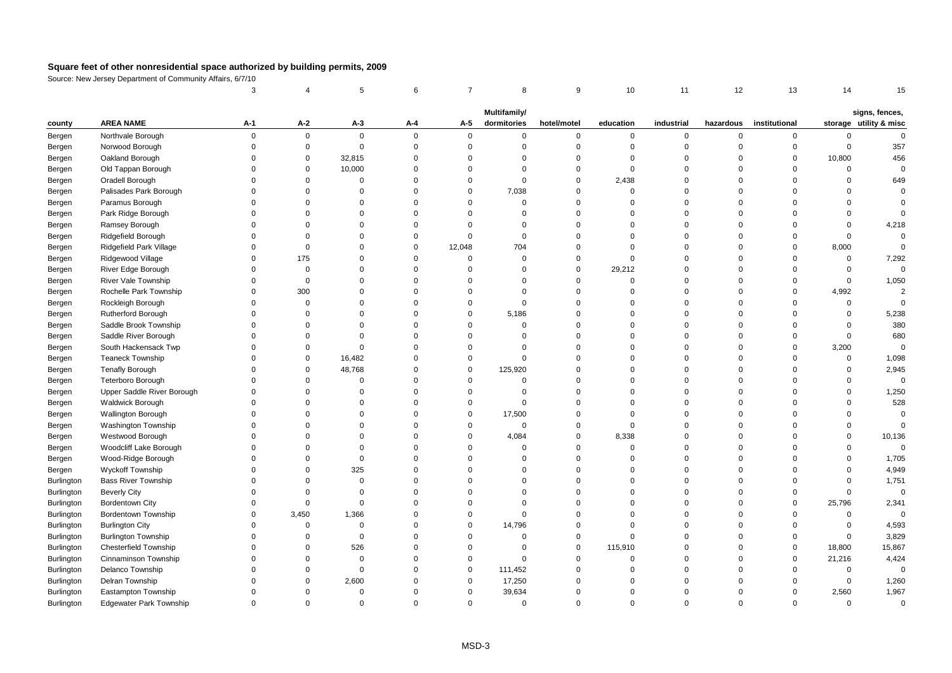|                   |                                | 3           |             | 5           | 6        | $\overline{7}$ | 8            | 9           | 10          | 11          | 12             | 13            | 14          | 15                     |
|-------------------|--------------------------------|-------------|-------------|-------------|----------|----------------|--------------|-------------|-------------|-------------|----------------|---------------|-------------|------------------------|
|                   |                                |             |             |             |          |                | Multifamily/ |             |             |             |                |               |             | signs, fences,         |
| county            | <b>AREA NAME</b>               | A-1         | A-2         | A-3         | A-4      | A-5            | dormitories  | hotel/motel | education   | industrial  | hazardous      | institutional |             | storage utility & misc |
| Bergen            | Northvale Borough              | $\mathbf 0$ | $\mathbf 0$ | $\mathbf 0$ | $\Omega$ | $\mathbf{0}$   | 0            | $\mathbf 0$ | 0           | 0           | $\mathsf 0$    | $\mathbf 0$   | 0           | $\Omega$               |
| Bergen            | Norwood Borough                | $\mathbf 0$ | $\mathbf 0$ | $\mathbf 0$ | $\Omega$ | $\mathsf 0$    | $\mathbf 0$  | $\mathbf 0$ | $\mathbf 0$ | $\mathbf 0$ | $\overline{0}$ | $\mathsf 0$   | $\mathsf 0$ | 357                    |
| Bergen            | Oakland Borough                | $\Omega$    | $\mathbf 0$ | 32,815      | $\Omega$ | $\Omega$       | $\Omega$     | $\mathbf 0$ | $\Omega$    | $\mathbf 0$ | $\Omega$       | $\mathbf 0$   | 10,800      | 456                    |
| Bergen            | Old Tappan Borough             | $\Omega$    | $\mathbf 0$ | 10,000      | $\Omega$ | $\Omega$       | $\Omega$     | $\mathbf 0$ | $\Omega$    | $\Omega$    | $\Omega$       | $\Omega$      | $\Omega$    | $\mathbf 0$            |
| Bergen            | Oradell Borough                | $\Omega$    | $\mathbf 0$ | $\mathbf 0$ | $\Omega$ | $\mathbf 0$    | $\Omega$     | $\mathbf 0$ | 2,438       | $\mathbf 0$ | $\Omega$       | $\Omega$      | $\mathbf 0$ | 649                    |
| Bergen            | Palisades Park Borough         | $\Omega$    | $\Omega$    | $\mathbf 0$ | $\Omega$ | $\mathbf 0$    | 7,038        | $\mathbf 0$ | $\mathbf 0$ | $\Omega$    | $\Omega$       | $\Omega$      | $\mathbf 0$ | $\Omega$               |
| Bergen            | Paramus Borough                | $\Omega$    | $\Omega$    | $\Omega$    | $\Omega$ | $\Omega$       | $\Omega$     | $\mathbf 0$ | $\Omega$    | $\Omega$    | $\Omega$       | $\Omega$      | $\Omega$    | $\Omega$               |
| Bergen            | Park Ridge Borough             | $\Omega$    | $\Omega$    | $\Omega$    | $\Omega$ | $\Omega$       | $\Omega$     | $\mathbf 0$ | $\Omega$    | $\Omega$    | $\Omega$       | $\Omega$      | $\Omega$    | $\Omega$               |
| Bergen            | Ramsey Borough                 | $\Omega$    | $\Omega$    | $\Omega$    | $\Omega$ | $\Omega$       | $\Omega$     | $\mathbf 0$ | $\Omega$    | $\Omega$    | $\Omega$       | $\Omega$      | $\Omega$    | 4,218                  |
| Bergen            | Ridgefield Borough             | $\Omega$    | $\Omega$    | $\Omega$    | $\Omega$ | $\Omega$       | $\Omega$     | $\mathbf 0$ | $\Omega$    | $\Omega$    | $\Omega$       | $\Omega$      | $\mathsf 0$ | 0                      |
| Bergen            | Ridgefield Park Village        | $\Omega$    | $\mathbf 0$ | $\Omega$    | $\Omega$ | 12,048         | 704          | $\mathbf 0$ | $\Omega$    | $\mathbf 0$ | $\Omega$       | $\Omega$      | 8,000       | $\Omega$               |
| Bergen            | Ridgewood Village              | $\Omega$    | 175         | $\Omega$    | $\Omega$ | $\mathbf 0$    | $\mathbf 0$  | $\mathbf 0$ | $\mathbf 0$ | $\Omega$    | $\Omega$       | $\Omega$      | 0           | 7,292                  |
| Bergen            | River Edge Borough             | $\Omega$    | $\mathbf 0$ | $\Omega$    | $\Omega$ | $\Omega$       | $\Omega$     | $\mathbf 0$ | 29,212      | $\Omega$    | $\Omega$       | $\Omega$      | $\mathsf 0$ | $\Omega$               |
| Bergen            | <b>River Vale Township</b>     | $\Omega$    | $\mathbf 0$ | $\Omega$    | $\Omega$ | $\Omega$       | $\Omega$     | $\mathbf 0$ | $\Omega$    | $\Omega$    | $\Omega$       | $\Omega$      | $\mathbf 0$ | 1,050                  |
| Bergen            | Rochelle Park Township         | $\Omega$    | 300         | $\Omega$    | $\Omega$ | $\Omega$       | $\Omega$     | $\mathbf 0$ | $\Omega$    | $\Omega$    | $\Omega$       | $\Omega$      | 4,992       | $\overline{2}$         |
| Bergen            | Rockleigh Borough              | $\Omega$    | $\mathbf 0$ | $\mathbf 0$ | $\Omega$ | $\Omega$       | $\Omega$     | $\mathbf 0$ | $\Omega$    | $\mathbf 0$ | $\overline{0}$ | $\Omega$      | $\mathsf 0$ | $\Omega$               |
| Bergen            | <b>Rutherford Borough</b>      | $\Omega$    | $\Omega$    | $\Omega$    | $\Omega$ | $\mathbf 0$    | 5,186        | $\mathbf 0$ | $\mathbf 0$ | 0           | $\overline{0}$ | $\Omega$      | $\mathbf 0$ | 5,238                  |
| Bergen            | Saddle Brook Township          | $\Omega$    | $\Omega$    | $\Omega$    | $\Omega$ | $\Omega$       | $\Omega$     | $\mathbf 0$ | $\Omega$    | $\Omega$    | $\Omega$       | $\Omega$      | $\mathbf 0$ | 380                    |
| Bergen            | Saddle River Borough           | $\Omega$    | $\Omega$    | $\Omega$    | $\Omega$ | $\Omega$       | $\Omega$     | $\mathbf 0$ | $\Omega$    | $\Omega$    | $\Omega$       | $\mathbf 0$   | $\mathbf 0$ | 680                    |
| Bergen            | South Hackensack Twp           | $\Omega$    | $\Omega$    | $\Omega$    | $\Omega$ | $\Omega$       | $\Omega$     | $\mathbf 0$ | $\Omega$    | $\Omega$    | $\Omega$       | $\Omega$      | 3,200       | $\mathbf 0$            |
| Bergen            | <b>Teaneck Township</b>        | $\Omega$    | $\Omega$    | 16,482      | $\Omega$ | $\mathbf 0$    | $\Omega$     | $\mathbf 0$ | $\Omega$    | $\Omega$    | $\Omega$       | $\Omega$      | $\mathbf 0$ | 1,098                  |
| Bergen            | <b>Tenafly Borough</b>         | $\Omega$    | $\mathbf 0$ | 48,768      | $\Omega$ | $\Omega$       | 125,920      | $\mathbf 0$ | $\Omega$    | $\Omega$    | $\Omega$       | $\Omega$      | $\mathsf 0$ | 2,945                  |
| Bergen            | Teterboro Borough              | $\Omega$    | $\Omega$    | $\mathbf 0$ | $\Omega$ | 0              | 0            | $\mathbf 0$ | $\Omega$    | $\mathbf 0$ | $\Omega$       | $\Omega$      | $\mathbf 0$ | $\mathbf 0$            |
| Bergen            | Upper Saddle River Borough     | $\Omega$    | $\Omega$    | $\mathbf 0$ | $\Omega$ | $\Omega$       | $\Omega$     | $\mathbf 0$ | $\Omega$    | $\Omega$    | $\Omega$       | $\Omega$      | $\mathbf 0$ | 1,250                  |
| Bergen            | <b>Waldwick Borough</b>        | $\Omega$    | $\Omega$    | $\Omega$    | $\Omega$ | $\mathbf 0$    | $\Omega$     | $\Omega$    | $\Omega$    | $\Omega$    | $\Omega$       | $\Omega$      | $\Omega$    | 528                    |
| Bergen            | <b>Wallington Borough</b>      | $\Omega$    | $\Omega$    | $\Omega$    | $\Omega$ | $\mathbf 0$    | 17,500       | $\mathbf 0$ | $\Omega$    | $\Omega$    | $\Omega$       | $\Omega$      | $\Omega$    | $\Omega$               |
| Bergen            | <b>Washington Township</b>     | $\Omega$    | $\Omega$    | $\Omega$    | $\Omega$ | $\mathbf 0$    | $\mathbf 0$  | $\mathbf 0$ | $\mathbf 0$ | $\mathbf 0$ | $\Omega$       | $\Omega$      | $\Omega$    | $\mathbf 0$            |
| Bergen            | Westwood Borough               | $\Omega$    | $\Omega$    | $\Omega$    | $\Omega$ | $\mathbf 0$    | 4,084        | $\mathbf 0$ | 8,338       | $\Omega$    | $\Omega$       | $\Omega$      | $\Omega$    | 10,136                 |
| Bergen            | Woodcliff Lake Borough         | $\Omega$    | $\Omega$    | $\Omega$    | $\Omega$ | $\Omega$       | $\Omega$     | $\mathbf 0$ | $\mathbf 0$ | $\Omega$    | $\Omega$       | $\Omega$      | $\Omega$    | $\mathbf 0$            |
| Bergen            | Wood-Ridge Borough             | $\Omega$    | $\Omega$    | $\Omega$    | $\Omega$ | $\Omega$       | $\Omega$     | $\mathbf 0$ | $\Omega$    | $\Omega$    | $\Omega$       | $\Omega$      | $\Omega$    | 1,705                  |
| Bergen            | Wyckoff Township               | $\Omega$    | $\mathbf 0$ | 325         | $\Omega$ | $\Omega$       | $\mathbf 0$  | $\mathbf 0$ | $\Omega$    | 0           | $\Omega$       | $\Omega$      | $\mathbf 0$ | 4,949                  |
| Burlington        | <b>Bass River Township</b>     | $\Omega$    | $\Omega$    | $\mathbf 0$ | $\Omega$ | $\Omega$       | $\Omega$     | $\mathbf 0$ | $\Omega$    | $\Omega$    | $\Omega$       | $\Omega$      | $\mathbf 0$ | 1,751                  |
| Burlington        | <b>Beverly City</b>            | $\Omega$    | $\Omega$    | $\Omega$    | $\Omega$ | $\Omega$       | $\Omega$     | $\mathbf 0$ | $\Omega$    | $\mathbf 0$ | $\Omega$       | $\Omega$      | $\mathbf 0$ | $\mathbf 0$            |
| Burlington        | Bordentown City                | $\Omega$    | $\mathbf 0$ | $\mathbf 0$ | $\Omega$ | $\Omega$       | $\Omega$     | $\mathbf 0$ | $\Omega$    | $\Omega$    | $\Omega$       | $\mathbf 0$   | 25,796      | 2,341                  |
| Burlington        | Bordentown Township            | $\Omega$    | 3,450       | 1,366       | $\Omega$ | $\Omega$       | $\Omega$     | $\mathbf 0$ | $\Omega$    | $\Omega$    | $\Omega$       | $\Omega$      | $\mathsf 0$ | $\Omega$               |
| <b>Burlington</b> | <b>Burlington City</b>         | $\Omega$    | $\mathbf 0$ | $\Omega$    | $\Omega$ | $\mathbf 0$    | 14,796       | $\mathbf 0$ | $\Omega$    | $\Omega$    | $\Omega$       | $\Omega$      | 0           | 4,593                  |
| Burlington        | <b>Burlington Township</b>     | $\Omega$    | $\mathbf 0$ | $\mathbf 0$ | $\Omega$ | $\mathbf 0$    | $\Omega$     | $\mathbf 0$ | $\Omega$    | $\mathbf 0$ | $\Omega$       | $\mathbf 0$   | $\mathsf 0$ | 3,829                  |
| Burlington        | <b>Chesterfield Township</b>   | $\Omega$    | $\Omega$    | 526         | $\Omega$ | $\Omega$       | $\mathbf 0$  | $\mathbf 0$ | 115,910     | $\mathbf 0$ | $\Omega$       | $\mathbf 0$   | 18,800      | 15,867                 |
| Burlington        | Cinnaminson Township           | $\Omega$    | $\Omega$    | $\Omega$    | $\Omega$ | $\mathbf 0$    | $\Omega$     | $\mathbf 0$ | $\Omega$    | $\Omega$    | $\Omega$       | $\Omega$      | 21,216      | 4,424                  |
| <b>Burlington</b> | Delanco Township               | $\Omega$    | $\Omega$    | $\Omega$    | $\Omega$ | $\mathbf 0$    | 111,452      | $\mathbf 0$ | $\Omega$    | $\mathbf 0$ | $\Omega$       | $\Omega$      | $\mathbf 0$ | $\mathbf 0$            |
| <b>Burlington</b> | Delran Township                | $\Omega$    | $\Omega$    | 2,600       | $\Omega$ | $\mathbf 0$    | 17,250       | $\mathbf 0$ | $\Omega$    | $\Omega$    | $\Omega$       | $\Omega$      | 0           | 1,260                  |
| Burlington        | Eastampton Township            | $\Omega$    | $\Omega$    | $\mathbf 0$ | $\Omega$ | $\mathbf 0$    | 39,634       | $\mathbf 0$ | $\Omega$    | $\Omega$    | $\Omega$       | $\mathbf 0$   | 2,560       | 1,967                  |
| <b>Burlington</b> | <b>Edgewater Park Township</b> | $\Omega$    | $\Omega$    | $\Omega$    | $\Omega$ | $\Omega$       | $\Omega$     | $\Omega$    | $\Omega$    | $\Omega$    | $\Omega$       | $\Omega$      | $\Omega$    | $\Omega$               |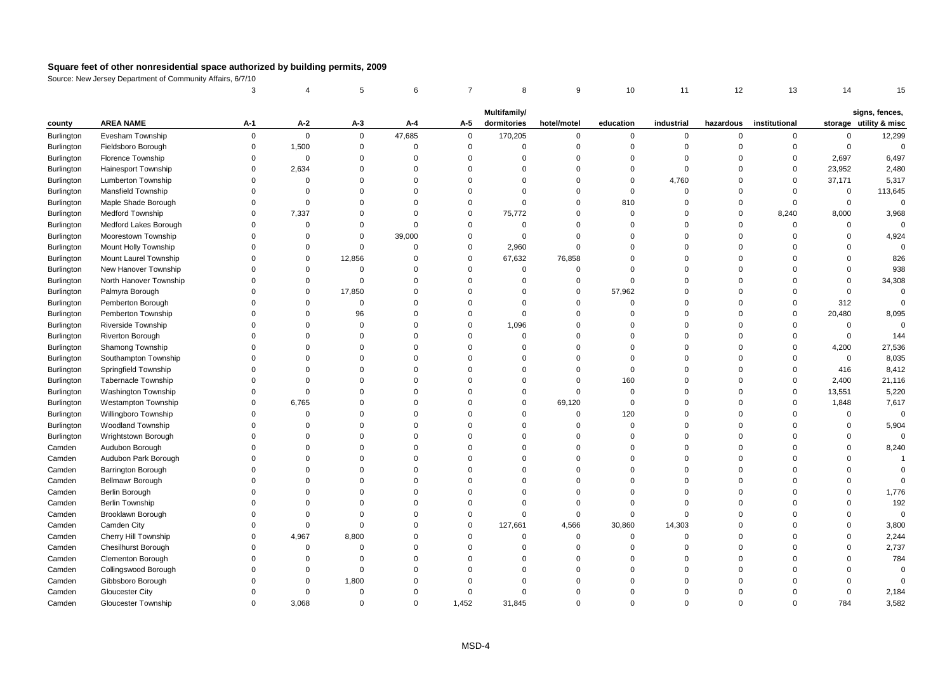|                   |                            | 3           |             | 5           | 6           | $\overline{7}$ | 8            | 9           | 10          | 11          | 12             | 13            | 14          | 15                                       |
|-------------------|----------------------------|-------------|-------------|-------------|-------------|----------------|--------------|-------------|-------------|-------------|----------------|---------------|-------------|------------------------------------------|
|                   |                            |             |             |             |             |                | Multifamily/ |             |             |             |                |               |             |                                          |
| county            | <b>AREA NAME</b>           | A-1         | A-2         | A-3         | A-4         | A-5            | dormitories  | hotel/motel | education   | industrial  | hazardous      | institutional |             | signs, fences,<br>storage utility & misc |
| <b>Burlington</b> | Evesham Township           | $\mathbf 0$ | $\mathbf 0$ | $\mathbf 0$ | 47,685      | $\mathbf 0$    | 170,205      | $\mathbf 0$ | 0           | 0           | $\overline{0}$ | 0             | 0           | 12,299                                   |
| <b>Burlington</b> | Fieldsboro Borough         | $\mathbf 0$ | 1,500       | $\mathbf 0$ | $\mathbf 0$ | $\mathbf 0$    | $\mathbf 0$  | $\mathbf 0$ | $\mathbf 0$ | $\mathbf 0$ | $\overline{0}$ | $\mathsf 0$   | $\mathsf 0$ | $\mathsf 0$                              |
| <b>Burlington</b> | <b>Florence Township</b>   | $\Omega$    | 0           | $\Omega$    | $\Omega$    | $\Omega$       | $\Omega$     | $\mathbf 0$ | $\Omega$    | $\mathbf 0$ | $\Omega$       | $\mathbf 0$   | 2,697       | 6,497                                    |
| <b>Burlington</b> | <b>Hainesport Township</b> | $\Omega$    | 2,634       | $\Omega$    | $\Omega$    | $\Omega$       | $\Omega$     | $\mathbf 0$ | $\Omega$    | $\mathbf 0$ | $\Omega$       | $\Omega$      | 23,952      | 2,480                                    |
| Burlington        | Lumberton Township         | $\Omega$    | $\mathbf 0$ | $\Omega$    | $\Omega$    | $\Omega$       | $\Omega$     | $\mathbf 0$ | $\mathbf 0$ | 4,760       | $\Omega$       | $\mathbf 0$   | 37,171      | 5,317                                    |
| Burlington        | <b>Mansfield Township</b>  | $\Omega$    | $\mathbf 0$ | $\Omega$    | $\Omega$    | $\Omega$       | $\Omega$     | $\mathbf 0$ | $\mathbf 0$ | $\Omega$    | $\Omega$       | $\Omega$      | 0           | 113,645                                  |
| Burlington        | Maple Shade Borough        | $\Omega$    | $\mathbf 0$ | $\Omega$    | $\Omega$    | $\Omega$       | $\Omega$     | $\mathbf 0$ | 810         | $\mathbf 0$ | $\Omega$       | $\Omega$      | $\mathsf 0$ | $\mathbf 0$                              |
| Burlington        | Medford Township           | $\Omega$    | 7,337       | $\Omega$    | $\Omega$    | $\mathbf 0$    | 75,772       | $\mathbf 0$ | $\Omega$    | $\Omega$    | $\Omega$       | 8,240         | 8,000       | 3,968                                    |
| Burlington        | Medford Lakes Borough      | $\Omega$    | 0           | $\Omega$    | $\Omega$    | $\Omega$       | $\Omega$     | $\mathbf 0$ | $\Omega$    | $\Omega$    | $\Omega$       | $\Omega$      | $\Omega$    | $\Omega$                                 |
| Burlington        | Moorestown Township        | $\Omega$    | $\mathbf 0$ | $\Omega$    | 39,000      | $\mathbf 0$    | $\Omega$     | $\mathbf 0$ | $\Omega$    | $\Omega$    | $\Omega$       | $\Omega$      | $\Omega$    | 4,924                                    |
| <b>Burlington</b> | Mount Holly Township       | $\Omega$    | $\Omega$    | $\Omega$    | $\Omega$    | $\mathbf 0$    | 2,960        | $\mathbf 0$ | $\Omega$    | $\mathbf 0$ | $\Omega$       | $\Omega$      | $\mathbf 0$ | $\Omega$                                 |
| Burlington        | Mount Laurel Township      | $\mathbf 0$ | $\mathbf 0$ | 12,856      | $\Omega$    | $\mathbf 0$    | 67,632       | 76,858      | $\Omega$    | $\Omega$    | $\Omega$       | $\Omega$      | $\mathbf 0$ | 826                                      |
| <b>Burlington</b> | New Hanover Township       | $\Omega$    | $\Omega$    | $\Omega$    | $\Omega$    | $\Omega$       | $\Omega$     | $\mathbf 0$ | $\Omega$    | $\Omega$    | $\Omega$       | $\Omega$      | $\Omega$    | 938                                      |
| <b>Burlington</b> | North Hanover Township     | $\Omega$    | $\Omega$    | $\Omega$    | $\Omega$    | $\Omega$       | $\Omega$     | $\mathbf 0$ | $\Omega$    | $\Omega$    | $\Omega$       | $\Omega$      | $\Omega$    | 34,308                                   |
| Burlington        | Palmyra Borough            | $\Omega$    | $\mathbf 0$ | 17,850      | $\Omega$    | $\Omega$       | $\Omega$     | $\mathbf 0$ | 57,962      | $\Omega$    | $\Omega$       | $\Omega$      | $\mathbf 0$ | $\Omega$                                 |
| Burlington        | Pemberton Borough          | $\Omega$    | $\Omega$    | $\mathbf 0$ | $\Omega$    | $\Omega$       | $\Omega$     | $\mathbf 0$ | $\Omega$    | $\Omega$    | $\Omega$       | $\Omega$      | 312         | $\Omega$                                 |
| Burlington        | Pemberton Township         | $\Omega$    | $\Omega$    | 96          | $\Omega$    | $\Omega$       | $\Omega$     | $\mathbf 0$ | $\Omega$    | $\Omega$    | $\Omega$       | $\Omega$      | 20,480      | 8,095                                    |
| Burlington        | <b>Riverside Township</b>  | $\Omega$    | $\Omega$    | $\mathbf 0$ | $\Omega$    | $\Omega$       | 1,096        | $\mathbf 0$ | $\Omega$    | $\Omega$    | $\Omega$       | $\mathbf 0$   | $\mathsf 0$ | $\Omega$                                 |
| Burlington        | Riverton Borough           | $\Omega$    | $\Omega$    | $\Omega$    | $\Omega$    | $\Omega$       | $\mathbf 0$  | $\mathbf 0$ | $\Omega$    | $\Omega$    | $\Omega$       | $\mathbf 0$   | $\mathsf 0$ | 144                                      |
| Burlington        | Shamong Township           | $\Omega$    | $\Omega$    | $\Omega$    | $\Omega$    | $\Omega$       | $\Omega$     | $\Omega$    | $\Omega$    | $\Omega$    | $\Omega$       | $\Omega$      | 4,200       | 27,536                                   |
| <b>Burlington</b> | Southampton Township       | $\Omega$    | $\Omega$    | $\Omega$    | $\Omega$    | $\Omega$       | $\Omega$     | $\mathbf 0$ | $\Omega$    | $\Omega$    | $\Omega$       | $\Omega$      | 0           | 8,035                                    |
| Burlington        | Springfield Township       | $\Omega$    | $\Omega$    | $\Omega$    | $\Omega$    | $\Omega$       | $\Omega$     | $\mathbf 0$ | $\mathbf 0$ | $\Omega$    | $\Omega$       | $\mathbf 0$   | 416         | 8,412                                    |
| Burlington        | <b>Tabernacle Township</b> | $\Omega$    | $\Omega$    | $\Omega$    | $\Omega$    | $\Omega$       | $\Omega$     | $\mathbf 0$ | 160         | $\Omega$    | $\Omega$       | $\Omega$      | 2,400       | 21,116                                   |
| Burlington        | <b>Washington Township</b> | $\Omega$    | $\mathbf 0$ | $\Omega$    | $\Omega$    | $\Omega$       | 0            | $\Omega$    | $\mathbf 0$ | $\Omega$    | $\Omega$       | $\mathbf 0$   | 13,551      | 5,220                                    |
| Burlington        | <b>Westampton Township</b> | $\Omega$    | 6,765       | $\Omega$    | $\Omega$    | $\Omega$       | $\Omega$     | 69,120      | $\mathbf 0$ | $\Omega$    | $\Omega$       | $\Omega$      | 1,848       | 7,617                                    |
| <b>Burlington</b> | Willingboro Township       | $\Omega$    | $\mathbf 0$ | $\Omega$    | $\Omega$    | $\Omega$       | $\Omega$     | $\mathbf 0$ | 120         | $\Omega$    | $\Omega$       | $\Omega$      | $\mathbf 0$ | $\Omega$                                 |
| Burlington        | <b>Woodland Township</b>   | $\Omega$    | $\Omega$    | $\Omega$    | $\Omega$    | $\Omega$       | $\Omega$     | $\mathbf 0$ | $\Omega$    | $\Omega$    | $\Omega$       | $\Omega$      | $\mathsf 0$ | 5,904                                    |
| Burlington        | Wrightstown Borough        | $\Omega$    | $\Omega$    | $\Omega$    | $\Omega$    | $\Omega$       | $\Omega$     | $\mathbf 0$ | $\Omega$    | $\Omega$    | $\Omega$       | $\Omega$      | $\mathbf 0$ | $\Omega$                                 |
| Camden            | Audubon Borough            | $\Omega$    | $\Omega$    | $\Omega$    | $\Omega$    | $\Omega$       | 0            | $\Omega$    | $\Omega$    | $\Omega$    | $\Omega$       | $\Omega$      | $\Omega$    | 8,240                                    |
| Camden            | Audubon Park Borough       | $\Omega$    | $\Omega$    | $\Omega$    | $\Omega$    | $\Omega$       | $\Omega$     | $\Omega$    | $\Omega$    | $\Omega$    | $\Omega$       | $\Omega$      | $\Omega$    | $\overline{1}$                           |
| Camden            | Barrington Borough         | $\Omega$    | $\Omega$    | $\mathbf 0$ | $\Omega$    | $\Omega$       | $\Omega$     | $\mathbf 0$ | $\Omega$    | $\Omega$    | $\Omega$       | $\Omega$      | $\Omega$    | $\Omega$                                 |
| Camden            | Bellmawr Borough           | $\Omega$    | $\Omega$    | $\Omega$    | $\Omega$    | $\Omega$       | $\Omega$     | $\mathbf 0$ | $\Omega$    | $\mathbf 0$ | $\Omega$       | $\Omega$      | $\mathbf 0$ | $\mathbf 0$                              |
| Camden            | Berlin Borough             | $\Omega$    | $\Omega$    | $\Omega$    | $\Omega$    | $\Omega$       | $\Omega$     | $\mathbf 0$ | $\Omega$    | $\mathbf 0$ | $\Omega$       | $\Omega$      | $\Omega$    | 1,776                                    |
| Camden            | Berlin Township            | $\Omega$    | $\Omega$    | $\Omega$    | $\Omega$    | $\Omega$       | 0            | $\Omega$    | $\Omega$    | $\mathbf 0$ | $\Omega$       | $\Omega$      | $\Omega$    | 192                                      |
| Camden            | Brooklawn Borough          | $\Omega$    | $\Omega$    | $\Omega$    | $\Omega$    | $\Omega$       | $\Omega$     | $\mathbf 0$ | $\Omega$    | $\Omega$    | $\Omega$       | $\Omega$      | $\Omega$    | $\mathbf 0$                              |
| Camden            | Camden City                | $\Omega$    | $\mathbf 0$ | $\Omega$    | $\Omega$    | $\Omega$       | 127,661      | 4,566       | 30,860      | 14,303      | $\Omega$       | $\Omega$      | $\Omega$    | 3,800                                    |
| Camden            | Cherry Hill Township       | $\Omega$    | 4,967       | 8,800       | $\Omega$    | $\Omega$       | $\Omega$     | $\mathbf 0$ | $\Omega$    | $\mathbf 0$ | $\Omega$       | $\Omega$      | $\Omega$    | 2,244                                    |
| Camden            | <b>Chesilhurst Borough</b> | $\Omega$    | 0           | $\Omega$    | $\Omega$    | $\Omega$       | $\Omega$     | $\mathbf 0$ | $\Omega$    | 0           | $\Omega$       | $\Omega$      | $\mathbf 0$ | 2,737                                    |
| Camden            | Clementon Borough          | $\Omega$    | $\mathbf 0$ | $\mathbf 0$ | $\Omega$    | $\Omega$       | $\Omega$     | $\Omega$    | $\Omega$    | 0           | $\Omega$       | $\Omega$      | $\Omega$    | 784                                      |
| Camden            | Collingswood Borough       | $\Omega$    | $\Omega$    | $\Omega$    | $\Omega$    | $\Omega$       | $\Omega$     | $\Omega$    | $\Omega$    | $\Omega$    | $\Omega$       |               | $\Omega$    | $\Omega$                                 |
| Camden            | Gibbsboro Borough          | $\Omega$    | 0           | 1,800       | $\Omega$    | $\Omega$       | $\Omega$     | $\Omega$    | $\Omega$    | $\Omega$    | $\Omega$       |               | $\Omega$    | $\Omega$                                 |
| Camden            | <b>Gloucester City</b>     | $\Omega$    | $\mathbf 0$ | $\Omega$    | $\Omega$    | $\Omega$       | $\Omega$     | $\Omega$    | $\Omega$    | $\Omega$    | $\Omega$       | $\Omega$      | $\mathbf 0$ | 2,184                                    |
| Camden            | Gloucester Township        | $\Omega$    | 3.068       | $\Omega$    | $\Omega$    | 1,452          | 31.845       | $\Omega$    | $\Omega$    | $\Omega$    | $\Omega$       | $\Omega$      | 784         | 3,582                                    |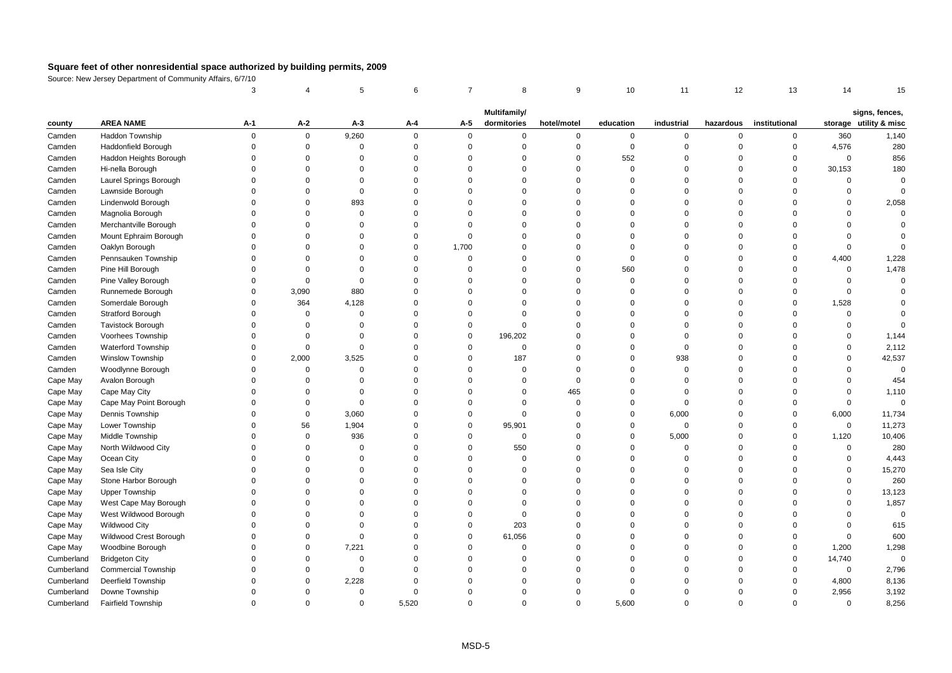|                          |                            | 3                    |                      | 5                       | 6                    | $\overline{7}$       | 8                       | 9                    | 10                   | 11                   | 12                   | 13                      | 14                 | 15                     |
|--------------------------|----------------------------|----------------------|----------------------|-------------------------|----------------------|----------------------|-------------------------|----------------------|----------------------|----------------------|----------------------|-------------------------|--------------------|------------------------|
|                          |                            |                      |                      |                         |                      |                      | Multifamily/            |                      |                      |                      |                      |                         |                    | signs, fences,         |
| county                   | <b>AREA NAME</b>           | A-1                  | A-2                  | $A-3$                   | A-4                  | A-5                  | dormitories             | hotel/motel          | education            | industrial           | hazardous            | institutional           |                    | storage utility & misc |
| Camden                   | Haddon Township            | $\mathbf 0$          | $\mathbf 0$          | 9,260                   | $\Omega$             | $\mathbf 0$          | 0                       | $\mathbf 0$          | $\mathbf 0$          | 0                    | $\mathbf 0$          | $\mathbf 0$             | 360                | 1,140                  |
| Camden                   | <b>Haddonfield Borough</b> | $\mathbf 0$          | $\mathbf 0$          | $\overline{0}$          | $\Omega$             | $\mathbf 0$          | $\mathbf 0$             | $\overline{0}$       | $\mathsf 0$          | $\mathbf 0$          | $\Omega$             | $\mathsf 0$             | 4,576              | 280                    |
| Camden                   | Haddon Heights Borough     | $\mathbf 0$          | $\mathbf 0$          | $\overline{0}$          | $\overline{0}$       | $\Omega$             | $\mathbf 0$             | $\overline{0}$       | 552                  | $\mathbf 0$          | $\Omega$             | $\mathbf 0$             | $\Omega$           | 856                    |
| Camden                   | Hi-nella Borough           | $\Omega$             | $\Omega$             | $\Omega$                | $\Omega$             | $\Omega$             | $\Omega$                | $\Omega$             | $\Omega$             | $\Omega$             | $\Omega$             | $\Omega$                | 30,153             | 180                    |
| Camden                   | Laurel Springs Borough     | $\Omega$             | $\Omega$             | $\Omega$                | $\Omega$             | $\Omega$             | $\mathbf 0$             | $\Omega$             | $\Omega$             | $\Omega$             | $\Omega$             | $\Omega$                | $\Omega$           | $\Omega$               |
| Camden                   | Lawnside Borough           | $\Omega$             | $\Omega$             | $\Omega$                | $\Omega$             | $\Omega$             | $\Omega$                | $\Omega$             | $\Omega$             | $\Omega$             | $\Omega$             | $\Omega$                | $\Omega$           | $\Omega$               |
| Camden                   | Lindenwold Borough         | $\mathbf 0$          | $\Omega$             | 893                     | $\Omega$             | $\Omega$             | $\Omega$                | $\Omega$             | $\Omega$             | $\mathbf 0$          | $\Omega$             | $\Omega$                | $\Omega$           | 2,058                  |
| Camden                   | Magnolia Borough           | $\Omega$             | $\Omega$             | $\Omega$                | $\Omega$             | $\Omega$             | $\Omega$                | $\Omega$             | $\Omega$             | $\Omega$             | $\Omega$             | $\Omega$                | $\Omega$           | $\Omega$               |
| Camden                   | Merchantville Borough      | $\Omega$             | $\Omega$             | $\Omega$                | $\Omega$             | $\Omega$             | $\Omega$                | $\Omega$             | $\Omega$             | $\Omega$             | O                    | O                       | $\Omega$           |                        |
| Camden                   | Mount Ephraim Borough      | $\Omega$             | $\Omega$             | $\Omega$                | $\mathbf 0$          | $\Omega$             | $\Omega$                | $\Omega$             | $\Omega$             | $\Omega$             | $\Omega$             | $\Omega$                | $\Omega$           | $\Omega$               |
| Camden                   | Oaklyn Borough             | $\Omega$             | $\Omega$             | $\Omega$                | $\mathsf 0$          | 1,700                | $\Omega$                | $\Omega$             | $\Omega$             | $\Omega$             | $\Omega$             | $\Omega$                | $\Omega$           | $\Omega$               |
| Camden                   | Pennsauken Township        | $\Omega$             | $\Omega$             | $\Omega$                | $\Omega$             | $\Omega$             | $\Omega$                | $\overline{0}$       | $\Omega$             | $\Omega$             | $\Omega$             | $\Omega$                | 4,400              | 1,228                  |
| Camden                   | Pine Hill Borough          | $\Omega$             | $\Omega$             | $\Omega$                | $\Omega$             | $\Omega$             | $\Omega$                | $\Omega$             | 560                  | $\Omega$             | $\Omega$             | $\Omega$                | $\Omega$           | 1,478                  |
| Camden                   | Pine Valley Borough        | $\Omega$             | $\Omega$             | $\Omega$                | $\Omega$             | $\Omega$             | $\Omega$                | $\Omega$             | $\Omega$             | $\Omega$             | 0                    | $\Omega$                | $\Omega$           | $\mathbf 0$            |
| Camden                   | Runnemede Borough          | $\Omega$             | 3,090                | 880                     | $\Omega$             | $\Omega$             | $\Omega$                | $\Omega$             | $\Omega$             | $\Omega$             | $\Omega$             | $\Omega$                | $\Omega$           |                        |
| Camden                   | Somerdale Borough          | $\Omega$             | 364                  | 4,128                   | $\Omega$             | $\Omega$             | $\Omega$                | $\Omega$             | $\Omega$             | $\Omega$             | $\Omega$             | $\Omega$                | 1,528              |                        |
| Camden                   | Stratford Borough          | $\Omega$             | $\mathbf 0$          | $\mathbf 0$             | $\Omega$             | $\Omega$             | $\Omega$                | $\overline{0}$       | $\Omega$             | $\Omega$             | $\Omega$             | $\Omega$                | $\Omega$           | $\Omega$               |
| Camden                   | <b>Tavistock Borough</b>   | $\mathbf 0$          | $\mathbf 0$          | $\Omega$                | $\Omega$             | $\Omega$             | $\mathbf 0$             | $\Omega$             | $\Omega$             | $\mathbf 0$          | $\Omega$             | $\Omega$                | $\Omega$           |                        |
| Camden                   | Voorhees Township          | $\Omega$             | $\Omega$             | $\Omega$                | $\Omega$             | $\Omega$             | 196,202                 | $\Omega$             | $\Omega$             | $\Omega$             | $\Omega$             | $\Omega$                | $\Omega$           | 1,144                  |
| Camden                   | Waterford Township         | $\Omega$             | $\Omega$             | $\Omega$                | $\Omega$             | $\Omega$             | $\mathbf 0$             | $\Omega$             | $\Omega$             | $\mathbf 0$          | $\Omega$             | O                       | $\Omega$           | 2,112                  |
| Camden                   | Winslow Township           | $\Omega$             | 2,000                | 3,525                   | $\Omega$             | $\Omega$             | 187                     | $\overline{0}$       | $\Omega$             | 938                  | $\Omega$             | $\Omega$                | $\mathbf 0$        | 42,537                 |
| Camden                   | Woodlynne Borough          | $\Omega$             | $\mathbf 0$          | $\mathsf 0$             | $\Omega$             | $\Omega$             | $\mathbf 0$             | $\overline{0}$       | $\Omega$             | $\mathsf 0$          | $\Omega$             | $\Omega$                | $\mathbf 0$        | $\mathsf 0$            |
| Cape May                 | Avalon Borough             | $\Omega$             | $\Omega$             | $\Omega$                | $\Omega$             | $\Omega$             | $\mathbf 0$             | $\Omega$             | $\Omega$             | $\Omega$             | $\Omega$             | $\Omega$                | $\Omega$           | 454                    |
| Cape May                 | Cape May City              | $\Omega$             | $\Omega$             | $\Omega$                | $\Omega$             | $\Omega$             | $\mathbf 0$             | 465                  | $\Omega$             | $\Omega$             | $\Omega$             | $\Omega$                | $\Omega$           | 1,110                  |
| Cape May                 | Cape May Point Borough     | $\Omega$             | $\Omega$             | $\Omega$                | $\Omega$             | $\Omega$             | $\Omega$                | $\Omega$             | $\Omega$             | $\Omega$             | $\Omega$             | O                       | $\Omega$           | $\Omega$               |
| Cape May                 | Dennis Township            | $\Omega$             | $\mathbf 0$          | 3,060                   | $\Omega$             | $\Omega$             | $\mathbf 0$             | $\overline{0}$       | $\mathbf 0$          | 6,000                | $\Omega$             | $\Omega$                | 6,000              | 11,734                 |
| Cape May                 | Lower Township             | $\Omega$             | 56                   | 1,904                   | $\Omega$             | $\mathbf 0$          | 95,901                  | $\Omega$             | $\mathbf 0$          | $\mathsf 0$          | $\Omega$             | $\Omega$                | $\mathbf 0$        | 11,273                 |
| Cape May                 | Middle Township            | $\Omega$             | $\mathbf 0$          | 936                     | $\Omega$             | $\Omega$             | $\mathbf 0$             | $\overline{0}$       | $\mathbf 0$          | 5,000                | $\Omega$             | $\Omega$                | 1,120              | 10,406                 |
| Cape May                 | North Wildwood City        | $\Omega$             | $\Omega$             | $\mathbf 0$             | $\Omega$             | $\Omega$             | 550                     | $\Omega$             | $\Omega$             | $\mathbf 0$          | $\Omega$             | $\Omega$                | $\mathbf 0$        | 280                    |
| Cape May                 | Ocean City                 | $\Omega$             | $\Omega$             | $\Omega$                | $\Omega$             | $\Omega$             | $\Omega$                | $\Omega$             | $\Omega$             | $\Omega$             | $\Omega$             | $\Omega$                | $\Omega$           | 4,443                  |
| Cape May                 | Sea Isle City              | $\Omega$             | $\Omega$             | $\Omega$                | $\Omega$             | $\Omega$             | $\Omega$                | $\Omega$             | $\Omega$             | $\Omega$             | $\Omega$             | $\Omega$                | $\Omega$           | 15,270                 |
| Cape May                 | Stone Harbor Borough       | $\Omega$             | $\Omega$             | $\Omega$                | $\Omega$             | $\Omega$             | $\mathbf 0$             | $\Omega$             | $\Omega$             | $\Omega$             | $\Omega$             | $\Omega$                | $\Omega$           | 260                    |
| Cape May                 | <b>Upper Township</b>      | $\Omega$             | $\Omega$             | 0                       | $\Omega$             | $\Omega$             | 0                       | $\Omega$             | $\Omega$             | $\Omega$             | $\Omega$             | $\Omega$                | $\mathbf 0$        | 13,123                 |
| Cape May                 | West Cape May Borough      | $\mathbf 0$          | $\Omega$             | 0                       | $\Omega$             | $\Omega$             | $\mathbf 0$             | $\Omega$             | $\Omega$             | $\mathbf 0$          | $\Omega$             | $\Omega$                | $\Omega$           | 1,857                  |
| Cape May                 | West Wildwood Borough      | $\Omega$             | $\Omega$             | $\Omega$                | $\Omega$             | $\Omega$             | $\mathbf 0$             | $\Omega$             | $\Omega$             | $\Omega$             | $\Omega$             | $\Omega$                | $\Omega$           | $\Omega$               |
| Cape May                 | <b>Wildwood City</b>       | $\Omega$             | $\Omega$             | $\Omega$                | $\Omega$             | $\Omega$             | 203                     | $\Omega$             | $\Omega$             | $\Omega$             | O                    | $\Omega$                | $\Omega$           | 615                    |
| Cape May                 | Wildwood Crest Borough     | $\Omega$             | $\Omega$             | $\mathbf 0$             | $\Omega$             | $\Omega$             | 61,056                  | $\Omega$             | $\Omega$             | $\Omega$             | $\Omega$             | $\Omega$                | $\Omega$           | 600                    |
| Cape May                 | Woodbine Borough           | $\mathbf 0$          | $\mathbf 0$          | 7,221                   | $\Omega$             | $\Omega$             | $\mathbf 0$             | $\Omega$             | $\Omega$             | $\mathbf 0$          | $\Omega$             | $\Omega$                | 1,200              | 1,298                  |
| Cumberland               | <b>Bridgeton City</b>      | $\Omega$<br>$\Omega$ | $\Omega$             | $\Omega$                | $\Omega$<br>$\Omega$ | $\Omega$             | $\mathbf 0$<br>$\Omega$ | $\Omega$<br>$\Omega$ | $\Omega$<br>$\Omega$ | $\Omega$<br>$\Omega$ | $\Omega$             | $\mathbf 0$<br>$\Omega$ | 14,740<br>$\Omega$ | $\mathbf 0$            |
| Cumberland               | <b>Commercial Township</b> |                      | $\Omega$             | $\overline{0}$          | $\Omega$             | $\Omega$             |                         |                      | $\Omega$             |                      | $\Omega$             | $\Omega$                |                    | 2,796                  |
| Cumberland               | Deerfield Township         | $\Omega$<br>$\Omega$ | $\Omega$<br>$\Omega$ | 2,228                   | $\Omega$             | $\Omega$<br>$\Omega$ | $\Omega$<br>$\Omega$    | $\Omega$<br>$\Omega$ | $\Omega$             | $\Omega$<br>$\Omega$ | $\Omega$<br>$\Omega$ | $\Omega$                | 4,800              | 8,136                  |
| Cumberland<br>Cumberland | Downe Township             | $\Omega$             | $\Omega$             | $\mathbf 0$<br>$\Omega$ | 5.520                | $\Omega$             | $\Omega$                | $\Omega$             | 5,600                | $\Omega$             | $\Omega$             | $\Omega$                | 2,956<br>$\Omega$  | 3,192<br>8,256         |
|                          | <b>Fairfield Township</b>  |                      |                      |                         |                      |                      |                         |                      |                      |                      |                      |                         |                    |                        |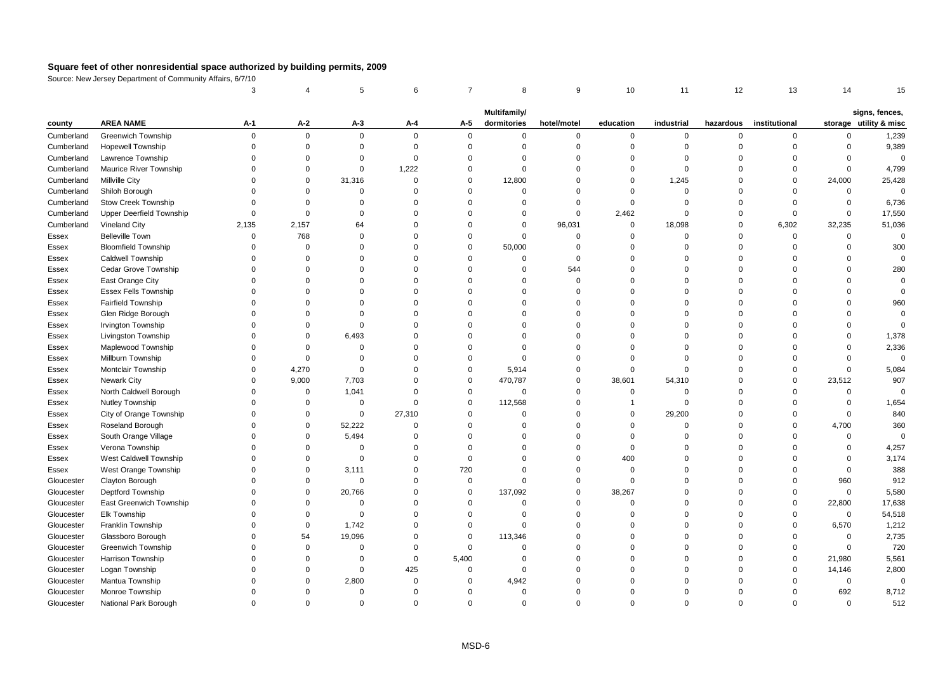|            |                                 | 3        |             | 5           | 6        | $\overline{7}$ | 8                           | 9           | 10          | 11          | 12             | 13            | 14          | 15                                       |
|------------|---------------------------------|----------|-------------|-------------|----------|----------------|-----------------------------|-------------|-------------|-------------|----------------|---------------|-------------|------------------------------------------|
|            |                                 |          |             |             |          |                |                             |             |             |             |                |               |             |                                          |
| county     | <b>AREA NAME</b>                | A-1      | A-2         | $A-3$       | A-4      | A-5            | Multifamily/<br>dormitories | hotel/motel | education   | industrial  | hazardous      | institutional |             | signs, fences,<br>storage utility & misc |
| Cumberland | <b>Greenwich Township</b>       | $\Omega$ | $\mathbf 0$ | $\mathbf 0$ | $\Omega$ | $\mathbf 0$    | 0                           | $\mathbf 0$ | 0           | 0           | $\mathbf 0$    | 0             | $\mathbf 0$ | 1,239                                    |
| Cumberland | Hopewell Township               | $\Omega$ | $\mathsf 0$ | $\Omega$    | $\Omega$ | $\mathsf 0$    | $\mathbf 0$                 | $\mathbf 0$ | $\mathbf 0$ | $\mathbf 0$ | $\Omega$       | $\mathbf 0$   | $\mathbf 0$ | 9,389                                    |
| Cumberland | Lawrence Township               | $\Omega$ | $\Omega$    | $\Omega$    | $\Omega$ | $\Omega$       | $\Omega$                    | $\mathbf 0$ | $\Omega$    | $\mathbf 0$ | $\Omega$       | $\Omega$      | $\Omega$    | $\Omega$                                 |
| Cumberland | <b>Maurice River Township</b>   | $\Omega$ | $\Omega$    | $\Omega$    | 1,222    | $\Omega$       | $\Omega$                    | $\mathbf 0$ | $\Omega$    | $\mathbf 0$ | $\Omega$       | $\Omega$      | $\mathbf 0$ | 4,799                                    |
| Cumberland | Millville City                  | $\Omega$ | 0           | 31,316      | $\Omega$ | $\mathbf 0$    | 12,800                      | $\mathbf 0$ | $\mathbf 0$ | 1,245       | $\Omega$       | $\Omega$      | 24,000      | 25,428                                   |
| Cumberland | Shiloh Borough                  | $\Omega$ | $\Omega$    | $\mathbf 0$ | $\Omega$ | $\Omega$       | $\mathbf 0$                 | $\mathbf 0$ | $\Omega$    | $\mathbf 0$ | $\Omega$       | $\Omega$      | $\mathsf 0$ | $\mathbf 0$                              |
| Cumberland | <b>Stow Creek Township</b>      | $\Omega$ | $\Omega$    | $\Omega$    | $\Omega$ | $\Omega$       | $\Omega$                    | $\mathbf 0$ | $\Omega$    | $\Omega$    | $\Omega$       | $\Omega$      | $\mathbf 0$ | 6,736                                    |
| Cumberland | <b>Upper Deerfield Township</b> | $\Omega$ | $\Omega$    | $\Omega$    | $\Omega$ | $\Omega$       | $\Omega$                    | $\mathbf 0$ | 2,462       | $\Omega$    | $\Omega$       | $\Omega$      | $\mathbf 0$ | 17,550                                   |
| Cumberland | Vineland City                   | 2,135    | 2,157       | 64          | $\Omega$ | $\Omega$       | $\Omega$                    | 96,031      | $\mathbf 0$ | 18,098      | $\overline{0}$ | 6,302         | 32,235      | 51,036                                   |
| Essex      | <b>Belleville Town</b>          | $\Omega$ | 768         | $\Omega$    | $\Omega$ | $\Omega$       | $\Omega$                    | $\mathbf 0$ | $\Omega$    | $\mathbf 0$ | $\Omega$       | $\Omega$      | 0           | $\mathsf 0$                              |
| Essex      | <b>Bloomfield Township</b>      | $\Omega$ | $\mathbf 0$ | $\Omega$    | $\Omega$ | $\mathbf 0$    | 50,000                      | $\mathbf 0$ | $\Omega$    | $\mathbf 0$ | $\Omega$       | $\Omega$      | $\mathbf 0$ | 300                                      |
| Essex      | <b>Caldwell Township</b>        | $\Omega$ | $\Omega$    | $\Omega$    | $\Omega$ | $\Omega$       | $\mathbf 0$                 | $\mathbf 0$ | $\Omega$    | $\Omega$    | $\Omega$       | $\Omega$      | $\Omega$    | 0                                        |
| Essex      | Cedar Grove Township            | $\Omega$ | $\Omega$    | $\Omega$    | $\Omega$ | $\Omega$       | $\Omega$                    | 544         | $\Omega$    | $\Omega$    | $\Omega$       | $\Omega$      | $\Omega$    | 280                                      |
| Essex      | East Orange City                | $\Omega$ | $\Omega$    | $\Omega$    | $\Omega$ | $\Omega$       | $\Omega$                    | $\Omega$    | $\Omega$    | $\Omega$    | $\Omega$       | $\Omega$      | $\Omega$    | $\Omega$                                 |
| Essex      | <b>Essex Fells Township</b>     | $\Omega$ | $\Omega$    | $\Omega$    | $\Omega$ | $\Omega$       | $\Omega$                    | $\mathbf 0$ | $\Omega$    | $\Omega$    | $\Omega$       | $\Omega$      | $\Omega$    | $\mathbf 0$                              |
| Essex      | <b>Fairfield Township</b>       | $\Omega$ | $\Omega$    | $\Omega$    | $\Omega$ | $\Omega$       | $\Omega$                    | $\mathbf 0$ | $\Omega$    | $\Omega$    | $\Omega$       | $\Omega$      | $\mathbf 0$ | 960                                      |
| Essex      | Glen Ridge Borough              | $\Omega$ | $\Omega$    | $\Omega$    | $\Omega$ | $\Omega$       | $\Omega$                    | $\mathbf 0$ | $\Omega$    | $\Omega$    | $\Omega$       | $\Omega$      | $\Omega$    | $\mathbf 0$                              |
| Essex      | <b>Irvington Township</b>       | $\Omega$ | $\Omega$    | $\Omega$    | $\Omega$ | $\Omega$       | $\Omega$                    | $\mathbf 0$ | $\Omega$    | $\Omega$    | $\Omega$       | $\Omega$      | $\Omega$    | $\Omega$                                 |
| Essex      | Livingston Township             | $\Omega$ | $\Omega$    | 6,493       | $\Omega$ | $\Omega$       | $\Omega$                    | $\Omega$    | $\Omega$    | $\Omega$    | $\Omega$       | $\Omega$      | $\Omega$    | 1,378                                    |
| Essex      | Maplewood Township              | $\Omega$ | $\Omega$    | $\Omega$    | $\Omega$ | $\Omega$       | $\Omega$                    | $\Omega$    | $\Omega$    | $\Omega$    | $\Omega$       | $\Omega$      | $\Omega$    | 2,336                                    |
| Essex      | Millburn Township               | $\Omega$ | $\Omega$    | $\Omega$    | $\Omega$ | $\Omega$       | $\Omega$                    | $\mathbf 0$ | $\Omega$    | $\Omega$    | $\Omega$       | $\Omega$      | $\Omega$    | $\Omega$                                 |
| Essex      | Montclair Township              | $\Omega$ | 4,270       | $\Omega$    | $\Omega$ | $\Omega$       | 5,914                       | $\mathbf 0$ | $\mathbf 0$ | $\Omega$    | $\Omega$       | $\Omega$      | $\mathsf 0$ | 5,084                                    |
| Essex      | <b>Newark City</b>              | $\Omega$ | 9,000       | 7,703       | $\Omega$ | 0              | 470,787                     | $\mathbf 0$ | 38,601      | 54,310      | $\Omega$       | 0             | 23,512      | 907                                      |
| Essex      | North Caldwell Borough          | $\Omega$ | $\mathsf 0$ | 1,041       | $\Omega$ | $\mathbf 0$    | $\mathbf 0$                 | $\mathbf 0$ | $\mathbf 0$ | $\mathbf 0$ | $\Omega$       | $\Omega$      | $\mathsf 0$ | $\Omega$                                 |
| Essex      | Nutley Township                 | $\Omega$ | $\mathbf 0$ | $\Omega$    | $\Omega$ | $\mathbf 0$    | 112,568                     | $\mathbf 0$ | -1          | $\Omega$    | $\Omega$       | $\Omega$      | $\mathbf 0$ | 1,654                                    |
| Essex      | City of Orange Township         | $\Omega$ | $\Omega$    | $\mathbf 0$ | 27,310   | $\Omega$       | $\Omega$                    | $\mathbf 0$ | $\mathbf 0$ | 29,200      | $\Omega$       | $\Omega$      | $\mathbf 0$ | 840                                      |
| Essex      | Roseland Borough                | $\Omega$ | $\mathbf 0$ | 52,222      | $\Omega$ | $\Omega$       | $\Omega$                    | $\mathbf 0$ | $\Omega$    | $\Omega$    | $\Omega$       | $\mathbf 0$   | 4,700       | 360                                      |
| Essex      | South Orange Village            | $\Omega$ | 0           | 5,494       | $\Omega$ | $\Omega$       | $\Omega$                    | $\Omega$    | $\Omega$    | $\Omega$    | $\Omega$       | $\Omega$      | $\Omega$    | $\Omega$                                 |
| Essex      | Verona Township                 | $\Omega$ | $\Omega$    | $\mathbf 0$ | $\Omega$ | $\Omega$       | 0                           | $\Omega$    | $\mathbf 0$ | $\Omega$    | $\Omega$       | $\Omega$      | $\Omega$    | 4,257                                    |
| Essex      | West Caldwell Township          | $\Omega$ | $\Omega$    | $\Omega$    | $\Omega$ | $\Omega$       | $\Omega$                    | $\mathbf 0$ | 400         | $\Omega$    | $\Omega$       | n             | $\Omega$    | 3,174                                    |
| Essex      | West Orange Township            | $\Omega$ | $\mathbf 0$ | 3,111       | $\Omega$ | 720            | $\mathbf 0$                 | $\mathbf 0$ | $\mathbf 0$ | 0           | $\Omega$       | $\Omega$      | $\mathsf 0$ | 388                                      |
| Gloucester | Clayton Borough                 | $\Omega$ | $\Omega$    | $\mathbf 0$ | $\Omega$ | $\mathbf 0$    | $\Omega$                    | $\mathbf 0$ | $\mathbf 0$ | $\Omega$    | $\Omega$       | $\Omega$      | 960         | 912                                      |
| Gloucester | <b>Deptford Township</b>        | $\Omega$ | $\Omega$    | 20,766      | $\Omega$ | $\mathbf 0$    | 137,092                     | $\mathbf 0$ | 38,267      | $\Omega$    | $\Omega$       | $\Omega$      | $\mathsf 0$ | 5,580                                    |
| Gloucester | East Greenwich Township         | $\Omega$ | $\mathbf 0$ | $\mathbf 0$ | $\Omega$ | $\Omega$       | $\Omega$                    | $\mathbf 0$ | $\Omega$    | $\Omega$    | $\Omega$       | $\mathbf 0$   | 22,800      | 17,638                                   |
| Gloucester | Elk Township                    | $\Omega$ | $\mathbf 0$ | $\Omega$    | $\Omega$ | $\Omega$       | $\Omega$                    | $\mathbf 0$ | $\Omega$    | $\Omega$    | $\Omega$       | $\Omega$      | $\mathsf 0$ | 54,518                                   |
| Gloucester | Franklin Township               | $\Omega$ | 0           | 1,742       | $\Omega$ | $\mathbf 0$    | $\Omega$                    | $\mathbf 0$ | $\Omega$    | $\Omega$    | $\Omega$       | $\Omega$      | 6,570       | 1,212                                    |
| Gloucester | Glassboro Borough               | $\Omega$ | 54          | 19,096      | $\Omega$ | $\mathbf{0}$   | 113,346                     | $\mathbf 0$ | $\Omega$    | $\mathbf 0$ | $\Omega$       | $\Omega$      | 0           | 2,735                                    |
| Gloucester | <b>Greenwich Township</b>       | $\Omega$ | $\mathbf 0$ | $\mathbf 0$ | $\Omega$ | $\mathbf 0$    | $\mathbf 0$                 | $\mathbf 0$ | $\Omega$    | $\mathbf 0$ | $\Omega$       | $\Omega$      | $\mathsf 0$ | 720                                      |
| Gloucester | Harrison Township               | $\Omega$ | $\Omega$    | $\Omega$    | $\Omega$ | 5,400          | $\Omega$                    | $\Omega$    | $\Omega$    | $\Omega$    | $\Omega$       | $\Omega$      | 21,980      | 5,561                                    |
| Gloucester | Logan Township                  | $\Omega$ | $\Omega$    | $\Omega$    | 425      | $\Omega$       | $\Omega$                    | $\mathbf 0$ | $\Omega$    | $\Omega$    | $\Omega$       | $\Omega$      | 14,146      | 2,800                                    |
| Gloucester | Mantua Township                 | $\Omega$ | $\Omega$    | 2,800       | $\Omega$ | $\Omega$       | 4,942                       | $\mathbf 0$ | $\Omega$    | $\Omega$    | $\Omega$       | $\Omega$      | 0           | $\Omega$                                 |
| Gloucester | Monroe Township                 | $\Omega$ | $\Omega$    | $\mathbf 0$ | $\Omega$ | $\Omega$       | $\Omega$                    | $\mathbf 0$ | $\Omega$    | $\Omega$    | $\Omega$       | $\Omega$      | 692         | 8,712                                    |
| Gloucester | National Park Borough           | $\Omega$ | $\Omega$    | $\Omega$    | $\Omega$ | $\Omega$       | $\Omega$                    | $\Omega$    | $\Omega$    | $\Omega$    | $\Omega$       | $\Omega$      | $\Omega$    | 512                                      |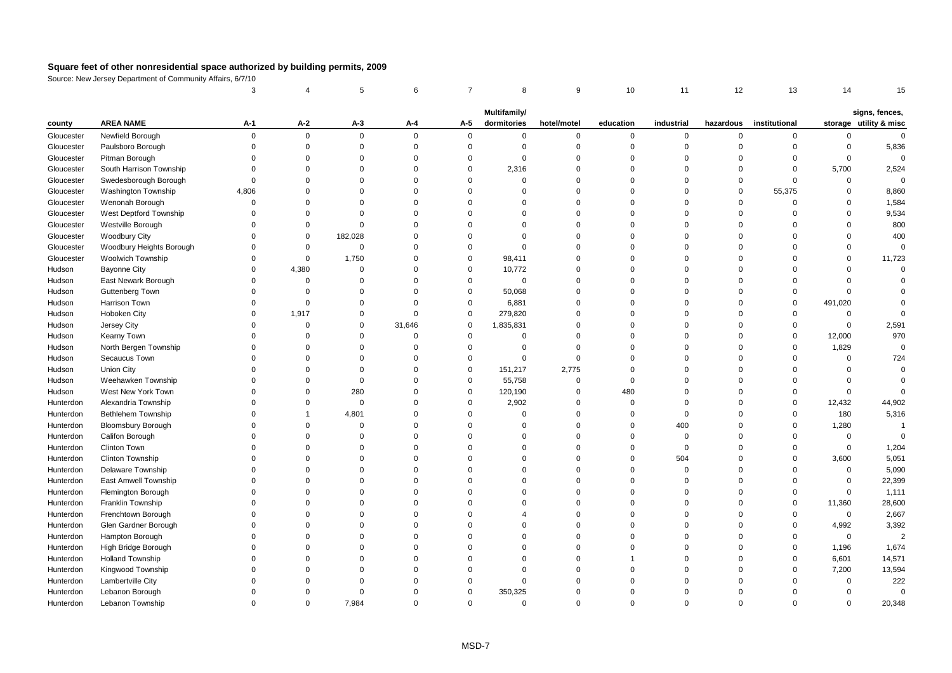|            |                            | 3           |             | 5           | 6           | $\overline{7}$ | 8                           | 9           | 10          | 11          | 12             | 13            | 14          | 15                                       |
|------------|----------------------------|-------------|-------------|-------------|-------------|----------------|-----------------------------|-------------|-------------|-------------|----------------|---------------|-------------|------------------------------------------|
|            |                            |             |             |             |             |                |                             |             |             |             |                |               |             |                                          |
| county     | <b>AREA NAME</b>           | A-1         | A-2         | $A-3$       | A-4         | A-5            | Multifamily/<br>dormitories | hotel/motel | education   | industrial  | hazardous      | institutional |             | signs, fences,<br>storage utility & misc |
| Gloucester | Newfield Borough           | $\mathsf 0$ | $\mathbf 0$ | $\mathbf 0$ | $\Omega$    | $\mathbf{0}$   | 0                           | $\mathbf 0$ | 0           | 0           | $\mathsf 0$    | $\mathbf 0$   | 0           | $\mathbf{0}$                             |
| Gloucester | Paulsboro Borough          | $\mathbf 0$ | $\mathbf 0$ | $\mathbf 0$ | $\Omega$    | $\mathsf 0$    | $\mathbf 0$                 | $\mathbf 0$ | $\mathbf 0$ | $\mathbf 0$ | $\overline{0}$ | $\mathbf 0$   | $\mathsf 0$ | 5,836                                    |
| Gloucester | Pitman Borough             | $\mathbf 0$ | $\Omega$    | $\mathbf 0$ | $\mathbf 0$ | $\mathbf 0$    | $\mathbf 0$                 | $\mathbf 0$ | $\mathbf 0$ | $\mathbf 0$ | $\overline{0}$ | $\mathbf 0$   | $\mathsf 0$ | $\mathbf 0$                              |
| Gloucester | South Harrison Township    | $\Omega$    | $\Omega$    | $\Omega$    | $\Omega$    | $\Omega$       | 2,316                       | $\mathbf 0$ | $\Omega$    | $\Omega$    | $\Omega$       | $\Omega$      | 5,700       | 2,524                                    |
| Gloucester | Swedesborough Borough      | $\Omega$    | $\Omega$    | $\Omega$    | $\Omega$    | $\Omega$       | $\Omega$                    | $\mathbf 0$ | $\Omega$    | $\mathbf 0$ | $\Omega$       | $\Omega$      | $\mathbf 0$ | $\mathbf 0$                              |
| Gloucester | <b>Washington Township</b> | 4,806       | $\Omega$    | $\mathbf 0$ | $\Omega$    | $\Omega$       | $\Omega$                    | $\mathbf 0$ | $\Omega$    | 0           | $\overline{0}$ | 55,375        | $\mathbf 0$ | 8,860                                    |
| Gloucester | Wenonah Borough            | $\mathsf 0$ | $\Omega$    | $\Omega$    | $\Omega$    | $\Omega$       | $\Omega$                    | $\mathbf 0$ | $\Omega$    | $\Omega$    | $\Omega$       | $\Omega$      | $\Omega$    | 1,584                                    |
| Gloucester | West Deptford Township     | $\Omega$    | $\Omega$    | $\Omega$    | $\Omega$    | $\Omega$       | $\Omega$                    | $\mathbf 0$ | $\Omega$    | $\Omega$    | $\Omega$       | $\Omega$      | $\Omega$    | 9,534                                    |
| Gloucester | Westville Borough          | $\Omega$    | $\Omega$    | $\Omega$    | $\Omega$    | $\Omega$       | 0                           | $\Omega$    | $\Omega$    | $\Omega$    | $\Omega$       | $\Omega$      | $\Omega$    | 800                                      |
| Gloucester | <b>Woodbury City</b>       | $\Omega$    | 0           | 182,028     | $\Omega$    | $\Omega$       | $\Omega$                    | $\mathbf 0$ | $\Omega$    | $\Omega$    | $\Omega$       | $\Omega$      | $\Omega$    | 400                                      |
| Gloucester | Woodbury Heights Borough   | $\Omega$    | $\mathbf 0$ | $\mathbf 0$ | $\Omega$    | $\Omega$       | $\Omega$                    | $\mathbf 0$ | $\Omega$    | $\Omega$    | $\Omega$       | $\Omega$      | $\Omega$    | $\Omega$                                 |
| Gloucester | <b>Woolwich Township</b>   | $\Omega$    | $\mathbf 0$ | 1,750       | $\Omega$    | $\mathbf 0$    | 98,411                      | $\mathbf 0$ | $\Omega$    | $\mathbf 0$ | $\Omega$       | $\Omega$      | $\Omega$    | 11,723                                   |
| Hudson     | <b>Bayonne City</b>        | $\Omega$    | 4,380       | $\Omega$    | $\Omega$    | $\mathbf 0$    | 10,772                      | $\mathbf 0$ | $\Omega$    | $\mathbf 0$ | $\Omega$       | $\Omega$      | $\Omega$    | $\Omega$                                 |
| Hudson     | East Newark Borough        | $\Omega$    | $\mathsf 0$ | $\mathbf 0$ | $\Omega$    | $\mathbf 0$    | $\mathbf 0$                 | $\Omega$    | $\Omega$    | $\Omega$    | $\Omega$       | $\Omega$      | $\Omega$    |                                          |
| Hudson     | Guttenberg Town            | $\Omega$    | $\Omega$    | $\Omega$    | $\Omega$    | $\mathbf 0$    | 50,068                      | $\Omega$    | $\Omega$    | $\Omega$    | $\Omega$       | $\Omega$      | $\Omega$    |                                          |
| Hudson     | Harrison Town              | $\Omega$    | $\mathbf 0$ | $\Omega$    | $\Omega$    | $\mathbf 0$    | 6,881                       | $\mathbf 0$ | $\Omega$    | $\mathbf 0$ | $\Omega$       | $\Omega$      | 491,020     |                                          |
| Hudson     | Hoboken City               | $\Omega$    | 1,917       | $\Omega$    | $\Omega$    | $\mathbf 0$    | 279,820                     | $\mathbf 0$ | $\Omega$    | $\mathbf 0$ | $\Omega$       | 0             | 0           | $\Omega$                                 |
| Hudson     | Jersey City                | $\Omega$    | $\mathbf 0$ | $\Omega$    | 31,646      | $\mathbf 0$    | 1,835,831                   | $\mathbf 0$ | $\Omega$    | $\mathbf 0$ | $\Omega$       | $\mathbf 0$   | $\mathsf 0$ | 2,591                                    |
| Hudson     | Kearny Town                | $\Omega$    | $\Omega$    | $\Omega$    | $\Omega$    | $\mathbf 0$    | $\Omega$                    | $\Omega$    | $\Omega$    | $\Omega$    | $\Omega$       | $\mathbf 0$   | 12,000      | 970                                      |
| Hudson     | North Bergen Township      | $\Omega$    | $\Omega$    | $\Omega$    | $\Omega$    | $\Omega$       | $\Omega$                    | $\mathbf 0$ | $\Omega$    | $\Omega$    | $\Omega$       | $\mathbf 0$   | 1,829       | $\Omega$                                 |
| Hudson     | Secaucus Town              | $\Omega$    | $\Omega$    | $\Omega$    | $\Omega$    | $\mathbf 0$    | $\Omega$                    | $\mathbf 0$ | $\Omega$    | $\Omega$    | $\Omega$       | $\Omega$      | 0           | 724                                      |
| Hudson     | <b>Union City</b>          | $\Omega$    | $\Omega$    | $\Omega$    | $\Omega$    | $\mathbf 0$    | 151,217                     | 2,775       | $\Omega$    | $\mathbf 0$ | $\Omega$       | $\Omega$      | $\mathsf 0$ | $\mathbf 0$                              |
| Hudson     | Weehawken Township         | $\Omega$    | $\Omega$    | $\mathbf 0$ | $\Omega$    | $\mathbf 0$    | 55,758                      | $\mathbf 0$ | $\Omega$    | $\Omega$    | $\Omega$       | $\Omega$      | $\mathsf 0$ | $\Omega$                                 |
| Hudson     | West New York Town         | $\Omega$    | $\Omega$    | 280         | $\Omega$    | $\mathbf 0$    | 120,190                     | $\mathbf 0$ | 480         | $\mathbf 0$ | $\Omega$       | $\Omega$      | $\mathsf 0$ | $\Omega$                                 |
| Hunterdon  | Alexandria Township        | $\Omega$    | $\Omega$    | $\mathbf 0$ | $\Omega$    | $\mathbf 0$    | 2,902                       | $\Omega$    | $\Omega$    | $\mathbf 0$ | $\Omega$       | $\mathbf 0$   | 12,432      | 44,902                                   |
| Hunterdon  | Bethlehem Township         | $\Omega$    | $\mathbf 1$ | 4,801       | $\Omega$    | $\mathbf 0$    | $\mathbf 0$                 | $\mathbf 0$ | $\mathbf 0$ | $\mathbf 0$ | $\Omega$       | $\mathbf 0$   | 180         | 5,316                                    |
| Hunterdon  | <b>Bloomsbury Borough</b>  | $\Omega$    | $\Omega$    | $\Omega$    | $\Omega$    | $\Omega$       | $\Omega$                    | $\mathbf 0$ | $\Omega$    | 400         | $\Omega$       | $\Omega$      | 1,280       | -1                                       |
| Hunterdon  | Califon Borough            | $\Omega$    | $\Omega$    | $\Omega$    | $\Omega$    | $\Omega$       | $\Omega$                    | $\mathbf 0$ | $\Omega$    | $\mathbf 0$ | $\Omega$       | $\Omega$      | $\mathsf 0$ | $\Omega$                                 |
| Hunterdon  | Clinton Town               | $\Omega$    | $\Omega$    | $\Omega$    | $\Omega$    | $\Omega$       | $\Omega$                    | $\mathbf 0$ | $\Omega$    | $\mathbf 0$ | $\Omega$       | $\Omega$      | $\mathsf 0$ | 1,204                                    |
| Hunterdon  | Clinton Township           | $\Omega$    | $\Omega$    | $\mathbf 0$ | $\Omega$    | $\Omega$       | $\Omega$                    | $\mathbf 0$ | $\Omega$    | 504         | $\Omega$       | $\mathbf 0$   | 3,600       | 5,051                                    |
| Hunterdon  | Delaware Township          | $\Omega$    | $\Omega$    | $\Omega$    | $\Omega$    | $\Omega$       | $\Omega$                    | $\mathbf 0$ | $\Omega$    | $\Omega$    | $\Omega$       | $\Omega$      | $\mathbf 0$ | 5,090                                    |
| Hunterdon  | East Amwell Township       | $\Omega$    | $\Omega$    | $\Omega$    | $\Omega$    | $\Omega$       | $\Omega$                    | $\mathbf 0$ | $\Omega$    | $\mathbf 0$ | $\Omega$       | $\Omega$      | $\mathbf 0$ | 22,399                                   |
| Hunterdon  | Flemington Borough         | $\Omega$    | $\Omega$    | $\Omega$    | $\Omega$    | $\Omega$       | $\Omega$                    | $\mathbf 0$ | $\Omega$    | $\mathbf 0$ | $\Omega$       | $\mathbf 0$   | $\mathsf 0$ | 1,111                                    |
| Hunterdon  | Franklin Township          | $\Omega$    | $\Omega$    | $\Omega$    | $\Omega$    | $\Omega$       | $\Omega$                    | $\mathbf 0$ | $\Omega$    | $\Omega$    | $\Omega$       | $\mathbf 0$   | 11,360      | 28,600                                   |
| Hunterdon  | Frenchtown Borough         | $\Omega$    | $\Omega$    | $\Omega$    | $\Omega$    | $\Omega$       | Δ                           | $\mathbf 0$ | $\Omega$    | $\Omega$    | $\Omega$       | $\Omega$      | $\mathsf 0$ | 2,667                                    |
| Hunterdon  | Glen Gardner Borough       | $\Omega$    | $\Omega$    | $\Omega$    | $\Omega$    | $\Omega$       | 0                           | $\mathbf 0$ | $\Omega$    | $\Omega$    | $\Omega$       | $\mathbf 0$   | 4,992       | 3,392                                    |
| Hunterdon  | Hampton Borough            | $\Omega$    | $\Omega$    | $\Omega$    | $\Omega$    | $\Omega$       | $\Omega$                    | $\mathbf 0$ | $\Omega$    | $\mathbf 0$ | $\Omega$       | $\Omega$      | $\mathsf 0$ | $\overline{2}$                           |
| Hunterdon  | High Bridge Borough        | $\Omega$    | $\Omega$    | $\mathbf 0$ | $\Omega$    | $\Omega$       | $\Omega$                    | $\mathbf 0$ | $\Omega$    | $\mathbf 0$ | $\Omega$       | $\mathbf 0$   | 1,196       | 1,674                                    |
| Hunterdon  | <b>Holland Township</b>    | $\Omega$    | $\Omega$    | $\Omega$    | $\Omega$    | $\Omega$       | $\Omega$                    | $\mathbf 0$ |             | $\Omega$    | $\Omega$       | $\Omega$      | 6,601       | 14,571                                   |
| Hunterdon  | Kingwood Township          | $\Omega$    | $\Omega$    | $\Omega$    | $\Omega$    | $\Omega$       | $\Omega$                    | $\mathbf 0$ | $\Omega$    | $\mathbf 0$ | $\Omega$       | $\Omega$      | 7,200       | 13,594                                   |
| Hunterdon  | Lambertville City          | $\Omega$    | $\Omega$    | $\Omega$    | $\Omega$    | $\Omega$       | $\Omega$                    | $\Omega$    | $\Omega$    | $\Omega$    | $\Omega$       | $\Omega$      | $\mathbf 0$ | 222                                      |
| Hunterdon  | Lebanon Borough            | $\Omega$    | $\Omega$    | $\Omega$    | $\Omega$    | $\Omega$       | 350,325                     | $\Omega$    | $\Omega$    | $\Omega$    | $\Omega$       | $\Omega$      | $\Omega$    | $\Omega$                                 |
| Hunterdon  | Lebanon Township           | $\Omega$    | $\Omega$    | 7,984       | $\Omega$    | $\Omega$       | $\mathbf 0$                 | $\Omega$    | $\Omega$    | $\Omega$    | $\Omega$       | $\Omega$      | $\Omega$    | 20,348                                   |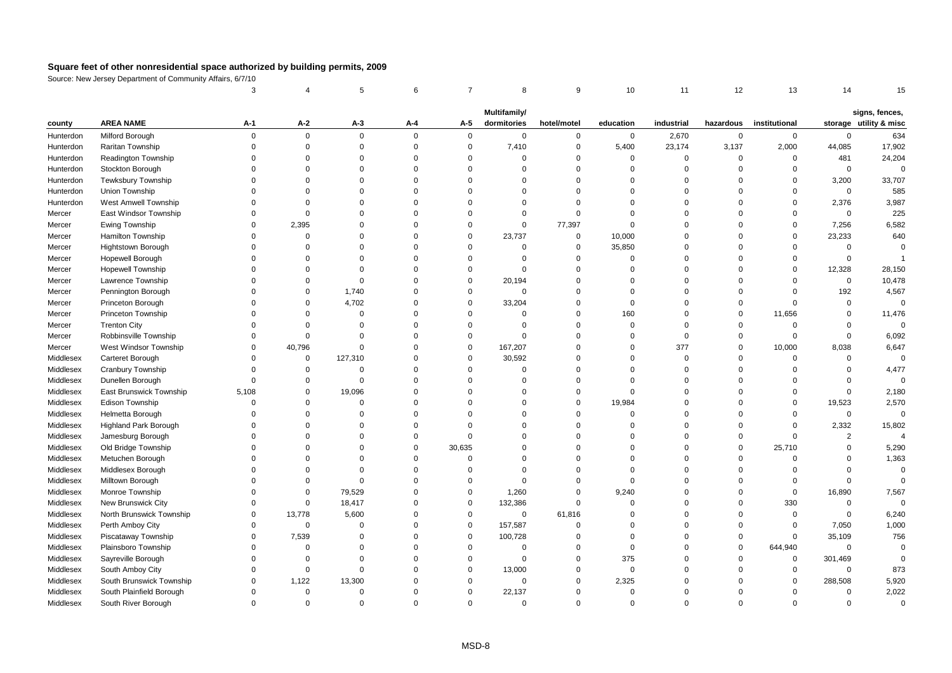|           |                          | 3           |             | 5              | 6           | $\overline{7}$ | 8                           | 9              | 10          | 11          | 12          | 13            | 14             | 15                                       |
|-----------|--------------------------|-------------|-------------|----------------|-------------|----------------|-----------------------------|----------------|-------------|-------------|-------------|---------------|----------------|------------------------------------------|
|           |                          |             |             |                |             |                |                             |                |             |             |             |               |                |                                          |
| county    | <b>AREA NAME</b>         | A-1         | A-2         | A-3            | A-4         | A-5            | Multifamily/<br>dormitories | hotel/motel    | education   | industrial  | hazardous   | institutional |                | signs, fences,<br>storage utility & misc |
| Hunterdon | Milford Borough          | $\mathbf 0$ | $\mathbf 0$ | $\mathbf 0$    | $\Omega$    | $\mathbf 0$    | $\mathbf 0$                 | $\mathbf 0$    | $\mathbf 0$ | 2,670       | $\mathbf 0$ | $\mathbf 0$   | $\mathbf 0$    | 634                                      |
| Hunterdon | Raritan Township         | $\Omega$    | $\mathbf 0$ | $\mathbf 0$    | $\mathbf 0$ | $\mathsf 0$    | 7,410                       | $\mathsf 0$    | 5,400       | 23,174      | 3,137       | 2,000         | 44,085         | 17,902                                   |
| Hunterdon | Readington Township      | $\Omega$    | $\Omega$    | $\Omega$       | $\mathbf 0$ | $\Omega$       | $\mathbf 0$                 | $\Omega$       | $\mathbf 0$ | $\Omega$    | $\mathbf 0$ | $\Omega$      | 481            | 24,204                                   |
| Hunterdon | Stockton Borough         | $\Omega$    | $\Omega$    | $\Omega$       | $\Omega$    | $\Omega$       | $\mathbf 0$                 | $\Omega$       | $\Omega$    | $\Omega$    | $\Omega$    | $\Omega$      | $\mathbf 0$    | $\Omega$                                 |
| Hunterdon | Tewksbury Township       | $\Omega$    | $\Omega$    | $\Omega$       | $\mathbf 0$ | $\Omega$       | $\mathbf 0$                 | $\Omega$       | 0           | $\Omega$    | $\Omega$    | $\mathbf 0$   | 3,200          | 33,707                                   |
| Hunterdon | Union Township           | $\Omega$    | $\Omega$    | $\Omega$       | $\Omega$    | $\Omega$       | $\mathbf 0$                 | $\Omega$       | $\Omega$    | $\mathbf 0$ | $\Omega$    | $\Omega$      | $\mathsf 0$    | 585                                      |
| Hunterdon | West Amwell Township     | $\Omega$    | $\Omega$    | $\Omega$       | $\Omega$    | $\Omega$       | $\Omega$                    | $\Omega$       | $\Omega$    | $\Omega$    | $\Omega$    | $\Omega$      | 2,376          | 3,987                                    |
| Mercer    | East Windsor Township    | $\Omega$    | $\mathbf 0$ | $\Omega$       | $\Omega$    | $\Omega$       | $\mathbf 0$                 | $\Omega$       | $\Omega$    | $\Omega$    | $\Omega$    | $\Omega$      | $\Omega$       | 225                                      |
| Mercer    | Ewing Township           | $\Omega$    | 2,395       | $\Omega$       | $\Omega$    | $\Omega$       | $\mathbf 0$                 | 77,397         | $\Omega$    | $\Omega$    | $\Omega$    | $\Omega$      | 7,256          | 6,582                                    |
| Mercer    | Hamilton Township        | $\Omega$    | $\mathbf 0$ | $\Omega$       | $\Omega$    | $\Omega$       | 23,737                      | $\mathsf 0$    | 10,000      | $\Omega$    | $\Omega$    | $\mathsf 0$   | 23,233         | 640                                      |
| Mercer    | Hightstown Borough       | $\Omega$    | $\mathbf 0$ | $\mathbf 0$    | $\Omega$    | $\Omega$       | $\mathbf 0$                 | $\mathbf 0$    | 35,850      | $\Omega$    | $\Omega$    | $\Omega$      | $\Omega$       | $\Omega$                                 |
| Mercer    | Hopewell Borough         | $\Omega$    | $\Omega$    | $\Omega$       | $\Omega$    | $\Omega$       | 0                           | $\overline{0}$ | $\mathbf 0$ | $\Omega$    | $\Omega$    | $\Omega$      | $\Omega$       | $\overline{1}$                           |
| Mercer    | <b>Hopewell Township</b> | $\Omega$    | $\Omega$    | $\Omega$       | $\Omega$    | $\Omega$       | $\mathbf 0$                 | $\Omega$       | $\Omega$    | $\Omega$    | $\Omega$    | $\Omega$      | 12,328         | 28,150                                   |
| Mercer    | Lawrence Township        | $\Omega$    | $\Omega$    | $\Omega$       | $\Omega$    | $\Omega$       | 20,194                      | $\Omega$       | $\Omega$    | $\Omega$    | $\Omega$    | $\Omega$      | $\Omega$       | 10,478                                   |
| Mercer    | Pennington Borough       | $\Omega$    | $\mathbf 0$ | 1,740          | $\Omega$    | $\Omega$       | $\mathbf 0$                 | $\mathbf 0$    | $\Omega$    | $\Omega$    | $\Omega$    | $\Omega$      | 192            | 4,567                                    |
| Mercer    | Princeton Borough        | $\Omega$    | $\mathbf 0$ | 4,702          | $\mathbf 0$ | $\mathbf 0$    | 33,204                      | $\mathsf 0$    | $\mathbf 0$ | $\mathbf 0$ | $\mathbf 0$ | $\mathbf 0$   | $\mathbf 0$    | $\Omega$                                 |
| Mercer    | Princeton Township       | $\mathbf 0$ | $\mathbf 0$ | $\overline{0}$ | $\Omega$    | $\Omega$       | 0                           | $\overline{0}$ | 160         | $\mathbf 0$ | $\Omega$    | 11,656        | $\mathbf 0$    | 11,476                                   |
| Mercer    | <b>Trenton City</b>      | $\Omega$    | $\Omega$    | $\Omega$       | $\Omega$    | $\Omega$       | $\mathbf 0$                 | $\Omega$       | $\Omega$    | $\Omega$    | $\Omega$    | $\Omega$      | $\Omega$       |                                          |
| Mercer    | Robbinsville Township    | $\Omega$    | $\Omega$    | $\Omega$       | $\Omega$    | $\Omega$       | $\mathbf 0$                 | $\Omega$       | $\Omega$    | $\mathbf 0$ | $\Omega$    | $\mathbf 0$   | $\mathbf 0$    | 6,092                                    |
| Mercer    | West Windsor Township    | $\Omega$    | 40,796      | $\Omega$       | $\Omega$    | $\mathbf 0$    | 167,207                     | $\mathbf 0$    | $\Omega$    | 377         | $\Omega$    | 10,000        | 8,038          | 6,647                                    |
| Middlesex | Carteret Borough         | $\Omega$    | $\mathbf 0$ | 127,310        | $\Omega$    | $\Omega$       | 30,592                      | $\Omega$       | $\Omega$    | $\mathbf 0$ | $\Omega$    | $\mathbf 0$   | $\Omega$       | $\Omega$                                 |
| Middlesex | Cranbury Township        | $\Omega$    | $\Omega$    | $\mathbf 0$    | $\Omega$    | $\Omega$       | $\mathbf 0$                 | $\Omega$       | $\Omega$    | $\Omega$    | $\Omega$    | $\mathbf 0$   | $\Omega$       | 4,477                                    |
| Middlesex | Dunellen Borough         | $\mathbf 0$ | $\mathbf 0$ | $\Omega$       | $\mathbf 0$ | $\Omega$       | $\mathbf 0$                 | $\overline{0}$ | $\Omega$    | $\mathbf 0$ | $\Omega$    | $\Omega$      | $\Omega$       | $\Omega$                                 |
| Middlesex | East Brunswick Township  | 5,108       | $\mathbf 0$ | 19,096         | $\Omega$    | $\Omega$       | 0                           | $\overline{0}$ | $\Omega$    | $\Omega$    | $\Omega$    | $\mathbf 0$   | $\Omega$       | 2,180                                    |
| Middlesex | Edison Township          | $\Omega$    | $\Omega$    | $\Omega$       | $\Omega$    | $\Omega$       | $\Omega$                    | $\mathbf 0$    | 19,984      | $\Omega$    | $\Omega$    | $\Omega$      | 19,523         | 2,570                                    |
| Middlesex | Helmetta Borough         | $\Omega$    | $\Omega$    | $\Omega$       | $\mathbf 0$ | $\Omega$       | $\Omega$                    | $\overline{0}$ | $\Omega$    | $\Omega$    | $\Omega$    | $\mathbf 0$   | $\mathbf 0$    | $\Omega$                                 |
| Middlesex | Highland Park Borough    | $\Omega$    | $\Omega$    | $\Omega$       | $\Omega$    | $\Omega$       | $\Omega$                    | $\Omega$       | $\Omega$    | $\Omega$    | $\Omega$    | $\mathbf 0$   | 2,332          | 15,802                                   |
| Middlesex | Jamesburg Borough        | $\Omega$    | $\Omega$    | $\Omega$       | $\Omega$    | $\Omega$       | $\Omega$                    | $\Omega$       | $\Omega$    | $\Omega$    | $\Omega$    | $\Omega$      | $\overline{2}$ | $\boldsymbol{\Lambda}$                   |
| Middlesex | Old Bridge Township      | $\Omega$    | $\Omega$    | $\Omega$       | $\Omega$    | 30,635         | $\Omega$                    | $\Omega$       | $\Omega$    | $\Omega$    | $\Omega$    | 25,710        | $\Omega$       | 5,290                                    |
| Middlesex | Metuchen Borough         | $\Omega$    | $\Omega$    | $\Omega$       | $\Omega$    | $\Omega$       | $\Omega$                    | $\Omega$       | $\Omega$    | $\Omega$    | $\Omega$    | $\Omega$      | $\Omega$       | 1,363                                    |
| Middlesex | Middlesex Borough        | $\Omega$    | $\mathbf 0$ | $\mathbf 0$    | $\mathbf 0$ | $\Omega$       | $\mathbf 0$                 | $\overline{0}$ | $\Omega$    | $\Omega$    | $\Omega$    | $\mathbf 0$   | $\Omega$       | $\mathbf 0$                              |
| Middlesex | Milltown Borough         | $\Omega$    | $\Omega$    | $\Omega$       | $\Omega$    | $\Omega$       | $\Omega$                    | $\Omega$       | $\Omega$    | $\Omega$    | $\Omega$    | $\mathbf 0$   | $\Omega$       | $\Omega$                                 |
| Middlesex | Monroe Township          | $\Omega$    | $\mathbf 0$ | 79,529         | $\mathbf 0$ | $\Omega$       | 1,260                       | $\overline{0}$ | 9,240       | $\Omega$    | $\Omega$    | $\mathbf 0$   | 16,890         | 7,567                                    |
| Middlesex | New Brunswick City       | $\Omega$    | $\mathbf 0$ | 18,417         | $\Omega$    | $\mathbf 0$    | 132,386                     | $\Omega$       | $\Omega$    | $\Omega$    | $\Omega$    | 330           | $\mathbf 0$    | $\mathbf 0$                              |
| Middlesex | North Brunswick Township | $\mathbf 0$ | 13,778      | 5,600          | $\Omega$    | $\mathbf 0$    | $\mathbf 0$                 | 61,816         | $\Omega$    | $\Omega$    | $\Omega$    | $\Omega$      | $\Omega$       | 6,240                                    |
| Middlesex | Perth Amboy City         | $\Omega$    | $\mathbf 0$ | $\Omega$       | $\Omega$    | $\Omega$       | 157,587                     | $\overline{0}$ | $\Omega$    | $\Omega$    | $\Omega$    | $\mathbf 0$   | 7,050          | 1,000                                    |
| Middlesex | Piscataway Township      | $\Omega$    | 7,539       | $\Omega$       | $\Omega$    | $\mathbf 0$    | 100,728                     | $\Omega$       | $\Omega$    | $\Omega$    | $\mathbf 0$ | $\mathbf 0$   | 35,109         | 756                                      |
| Middlesex | Plainsboro Township      | $\mathbf 0$ | $\mathbf 0$ | 0              | $\Omega$    | $\mathbf 0$    | $\mathbf 0$                 | $\overline{0}$ | $\mathbf 0$ | $\mathbf 0$ | $\mathbf 0$ | 644,940       | $\Omega$       | $\Omega$                                 |
| Middlesex | Sayreville Borough       | $\Omega$    | $\Omega$    | $\Omega$       | $\Omega$    | $\Omega$       | $\mathbf 0$                 | $\Omega$       | 375         | $\Omega$    | $\Omega$    | $\mathbf 0$   | 301,469        | $\Omega$                                 |
| Middlesex | South Amboy City         | $\Omega$    | $\Omega$    | $\Omega$       | $\Omega$    | $\Omega$       | 13,000                      | $\mathbf 0$    | $\Omega$    | $\Omega$    | $\Omega$    | $\mathbf 0$   | $\Omega$       | 873                                      |
| Middlesex | South Brunswick Township | $\Omega$    | 1,122       | 13,300         | $\Omega$    | $\Omega$       | 0                           | $\overline{0}$ | 2,325       | $\Omega$    | $\Omega$    | $\Omega$      | 288,508        | 5,920                                    |
| Middlesex | South Plainfield Borough | $\Omega$    | $\mathbf 0$ | $\mathbf 0$    | $\Omega$    | $\Omega$       | 22,137                      | $\Omega$       | $\mathbf 0$ | $\Omega$    | $\Omega$    | $\Omega$      | $\Omega$       | 2,022                                    |
| Middlesex | South River Borough      | $\Omega$    | $\Omega$    | $\Omega$       | $\Omega$    | $\Omega$       | $\Omega$                    | $\Omega$       | $\Omega$    | $\Omega$    | $\Omega$    | $\Omega$      | $\Omega$       | $\Omega$                                 |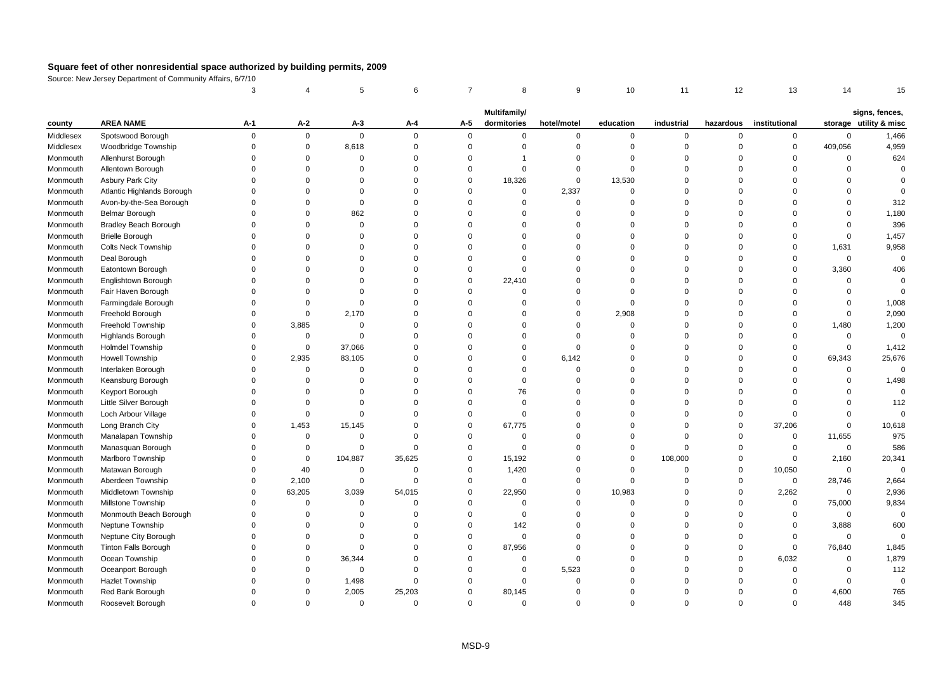|           |                              | 3           |             | 5              | 6           | $\overline{7}$ | 8            | 9              | 10          | 11          | 12          | 13            | 14          | 15                                       |
|-----------|------------------------------|-------------|-------------|----------------|-------------|----------------|--------------|----------------|-------------|-------------|-------------|---------------|-------------|------------------------------------------|
|           |                              |             |             |                |             |                | Multifamily/ |                |             |             |             |               |             |                                          |
| county    | <b>AREA NAME</b>             | A-1         | A-2         | $A-3$          | A-4         | A-5            | dormitories  | hotel/motel    | education   | industrial  | hazardous   | institutional |             | signs, fences,<br>storage utility & misc |
| Middlesex | Spotswood Borough            | $\mathbf 0$ | $\mathbf 0$ | $\mathbf 0$    | $\Omega$    | $\mathbf 0$    | 0            | $\mathbf 0$    | $\mathbf 0$ | 0           | 0           | $\mathbf 0$   | $\mathbf 0$ | 1,466                                    |
| Middlesex | Woodbridge Township          | $\mathbf 0$ | $\mathbf 0$ | 8,618          | $\Omega$    | $\mathbf 0$    | $\mathbf 0$  | $\overline{0}$ | $\mathsf 0$ | $\mathbf 0$ | $\Omega$    | $\mathsf 0$   | 409,056     | 4,959                                    |
| Monmouth  | Allenhurst Borough           | $\Omega$    | $\Omega$    | $\Omega$       | $\Omega$    | $\Omega$       | 1            | $\Omega$       | $\Omega$    | $\Omega$    | $\Omega$    | $\Omega$      | $\Omega$    | 624                                      |
| Monmouth  | Allentown Borough            | $\Omega$    | $\Omega$    | $\Omega$       | $\Omega$    | $\Omega$       | $\mathbf 0$  | $\Omega$       | $\Omega$    | $\Omega$    | $\Omega$    | $\Omega$      | $\Omega$    | $\Omega$                                 |
| Monmouth  | <b>Asbury Park City</b>      | $\Omega$    | $\Omega$    | $\Omega$       | $\Omega$    | $\Omega$       | 18,326       | $\overline{0}$ | 13,530      | $\Omega$    | $\Omega$    | $\Omega$      | $\Omega$    | $\Omega$                                 |
| Monmouth  | Atlantic Highlands Borough   | $\Omega$    | $\Omega$    | 0              | $\Omega$    | $\Omega$       | $\mathbf 0$  | 2,337          | $\Omega$    | $\mathbf 0$ | $\Omega$    | $\Omega$      | $\Omega$    | $\Omega$                                 |
| Monmouth  | Avon-by-the-Sea Borough      | $\Omega$    | $\Omega$    | $\Omega$       | $\Omega$    | $\Omega$       | $\mathbf 0$  | $\overline{0}$ | $\Omega$    | $\Omega$    | $\Omega$    | $\Omega$      | $\Omega$    | 312                                      |
| Monmouth  | Belmar Borough               | $\Omega$    | $\Omega$    | 862            | $\Omega$    | $\Omega$       | $\Omega$     | $\Omega$       | $\Omega$    | $\Omega$    | $\Omega$    | $\Omega$      | $\Omega$    | 1,180                                    |
| Monmouth  | <b>Bradley Beach Borough</b> | $\Omega$    | $\Omega$    | $\overline{0}$ | $\Omega$    | $\Omega$       | $\Omega$     | $\Omega$       | $\Omega$    | $\Omega$    | $\Omega$    | $\Omega$      | $\Omega$    | 396                                      |
| Monmouth  | <b>Brielle Borough</b>       | $\Omega$    | $\Omega$    | $\Omega$       | $\Omega$    | $\Omega$       | 0            | $\Omega$       | $\Omega$    | $\Omega$    | $\Omega$    | $\Omega$      | $\Omega$    | 1,457                                    |
| Monmouth  | <b>Colts Neck Township</b>   | $\Omega$    | $\Omega$    | $\Omega$       | $\Omega$    | $\Omega$       | $\mathbf 0$  | $\Omega$       | $\Omega$    | $\Omega$    | $\Omega$    | $\Omega$      | 1,631       | 9,958                                    |
| Monmouth  | Deal Borough                 | $\Omega$    | $\Omega$    | 0              | $\Omega$    | $\Omega$       | $\Omega$     | $\Omega$       | $\Omega$    | $\Omega$    | $\Omega$    | $\mathbf 0$   | $\mathbf 0$ | $\mathbf 0$                              |
| Monmouth  | Eatontown Borough            | $\Omega$    | $\Omega$    | $\Omega$       | $\Omega$    | $\Omega$       | $\mathbf 0$  | $\Omega$       | $\Omega$    | $\Omega$    | $\Omega$    | $\mathbf 0$   | 3,360       | 406                                      |
| Monmouth  | Englishtown Borough          | $\Omega$    | $\Omega$    | $\Omega$       | $\Omega$    | $\Omega$       | 22,410       | $\Omega$       | $\Omega$    | $\Omega$    | $\Omega$    | $\Omega$      | $\Omega$    | $\Omega$                                 |
| Monmouth  | Fair Haven Borough           | $\Omega$    | $\Omega$    | $\Omega$       | $\Omega$    | $\Omega$       | 0            | $\Omega$       | $\Omega$    | $\Omega$    | $\Omega$    | $\Omega$      | $\Omega$    | $\Omega$                                 |
| Monmouth  | Farmingdale Borough          | $\mathbf 0$ | $\Omega$    | $\mathsf 0$    | $\Omega$    | $\Omega$       | $\mathbf 0$  | $\overline{0}$ | $\mathbf 0$ | $\mathbf 0$ | $\Omega$    | $\Omega$      | $\Omega$    | 1,008                                    |
| Monmouth  | Freehold Borough             | $\mathbf 0$ | $\mathbf 0$ | 2,170          | $\Omega$    | $\Omega$       | 0            | $\overline{0}$ | 2,908       | $\mathbf 0$ | $\Omega$    | $\Omega$      | $\Omega$    | 2,090                                    |
| Monmouth  | Freehold Township            | $\Omega$    | 3,885       | $\overline{0}$ | $\Omega$    | $\Omega$       | $\Omega$     | $\Omega$       | $\Omega$    | $\Omega$    | $\Omega$    | $\Omega$      | 1,480       | 1,200                                    |
| Monmouth  | <b>Highlands Borough</b>     | $\Omega$    | 0           | $\Omega$       | $\Omega$    | $\Omega$       | $\Omega$     | $\Omega$       | $\Omega$    | $\Omega$    | $\Omega$    | $\Omega$      | $\mathbf 0$ | $\mathbf 0$                              |
| Monmouth  | <b>Holmdel Township</b>      | $\Omega$    | $\mathbf 0$ | 37,066         | $\Omega$    | $\Omega$       | $\Omega$     | $\Omega$       | $\Omega$    | $\Omega$    | $\Omega$    | $\Omega$      | $\Omega$    | 1,412                                    |
| Monmouth  | Howell Township              | $\Omega$    | 2,935       | 83,105         | $\Omega$    | $\Omega$       | $\mathbf 0$  | 6,142          | $\Omega$    | $\Omega$    | $\Omega$    | $\Omega$      | 69,343      | 25,676                                   |
| Monmouth  | Interlaken Borough           | $\Omega$    | $\mathbf 0$ | $\mathbf 0$    | $\Omega$    | $\Omega$       | $\Omega$     | $\overline{0}$ | $\Omega$    | $\Omega$    | $\Omega$    | $\Omega$      | $\mathbf 0$ | $\mathbf 0$                              |
| Monmouth  | Keansburg Borough            | $\mathbf 0$ | $\Omega$    | 0              | $\Omega$    | $\Omega$       | $\mathbf 0$  | $\Omega$       | $\Omega$    | $\mathbf 0$ | $\Omega$    | 0             | $\Omega$    | 1,498                                    |
| Monmouth  | Keyport Borough              | $\Omega$    | $\mathbf 0$ | $\overline{0}$ | $\Omega$    | $\Omega$       | 76           | $\overline{0}$ | $\Omega$    | $\Omega$    | $\Omega$    | $\Omega$      | $\Omega$    | $\mathbf 0$                              |
| Monmouth  | Little Silver Borough        | $\Omega$    | $\Omega$    | $\Omega$       | $\Omega$    | $\Omega$       | $\mathbf 0$  | $\Omega$       | $\Omega$    | $\Omega$    | $\Omega$    | $\Omega$      | $\Omega$    | 112                                      |
| Monmouth  | Loch Arbour Village          | $\Omega$    | 0           | $\Omega$       | $\Omega$    | $\Omega$       | $\mathbf 0$  | $\Omega$       | $\Omega$    | $\Omega$    | $\Omega$    | $\mathbf 0$   | $\Omega$    | $\Omega$                                 |
| Monmouth  | Long Branch City             | $\Omega$    | 1,453       | 15,145         | $\Omega$    | $\Omega$       | 67,775       | $\Omega$       | $\Omega$    | $\Omega$    | $\Omega$    | 37,206        | $\Omega$    | 10,618                                   |
| Monmouth  | Manalapan Township           | $\Omega$    | 0           | $\mathbf 0$    | $\Omega$    | $\Omega$       | 0            | $\Omega$       | $\Omega$    | $\Omega$    | $\Omega$    | $\Omega$      | 11,655      | 975                                      |
| Monmouth  | Manasquan Borough            | $\Omega$    | $\Omega$    | $\mathbf 0$    | $\Omega$    | $\Omega$       | $\Omega$     | $\Omega$       | $\Omega$    | $\Omega$    | $\Omega$    | $\mathbf 0$   | $\mathbf 0$ | 586                                      |
| Monmouth  | Marlboro Township            | $\Omega$    | 0           | 104,887        | 35,625      | $\mathbf 0$    | 15,192       | $\Omega$       | $\mathbf 0$ | 108,000     | $\Omega$    | $\mathbf 0$   | 2,160       | 20,341                                   |
| Monmouth  | Matawan Borough              | $\Omega$    | 40          | $\mathsf 0$    | $\mathsf 0$ | $\mathbf 0$    | 1,420        | $\overline{0}$ | $\mathbf 0$ | $\mathbf 0$ | $\mathbf 0$ | 10,050        | $\mathbf 0$ | $\Omega$                                 |
| Monmouth  | Aberdeen Township            | $\Omega$    | 2,100       | $\mathbf 0$    | $\Omega$    | $\mathbf 0$    | $\mathbf 0$  | $\mathbf 0$    | $\Omega$    | $\Omega$    | $\Omega$    | $\mathbf{0}$  | 28,746      | 2,664                                    |
| Monmouth  | Middletown Township          | $\mathbf 0$ | 63,205      | 3,039          | 54,015      | $\mathbf 0$    | 22,950       | $\overline{0}$ | 10,983      | $\mathbf 0$ | $\Omega$    | 2,262         | $\Omega$    | 2,936                                    |
| Monmouth  | Millstone Township           | $\Omega$    | $\mathbf 0$ | $\overline{0}$ | $\Omega$    | $\Omega$       | $\mathbf 0$  | $\overline{0}$ | $\Omega$    | $\Omega$    | $\Omega$    | $\mathsf 0$   | 75,000      | 9,834                                    |
| Monmouth  | Monmouth Beach Borough       | $\Omega$    | $\Omega$    | 0              | $\Omega$    | $\Omega$       | $\Omega$     | $\overline{0}$ | $\Omega$    | $\Omega$    | $\Omega$    | $\mathbf 0$   | $\Omega$    | $\Omega$                                 |
| Monmouth  | Neptune Township             | $\Omega$    | $\Omega$    | $\Omega$       | $\Omega$    | $\Omega$       | 142          | $\Omega$       | $\Omega$    | $\Omega$    | $\Omega$    | $\Omega$      | 3,888       | 600                                      |
| Monmouth  | Neptune City Borough         | $\Omega$    | $\Omega$    | $\Omega$       | $\Omega$    | $\Omega$       | $\mathbf 0$  | $\Omega$       | $\Omega$    | $\Omega$    | $\Omega$    | $\mathbf 0$   | $\Omega$    | $\mathbf 0$                              |
| Monmouth  | <b>Tinton Falls Borough</b>  | $\mathbf 0$ | $\Omega$    | $\mathbf 0$    | $\Omega$    | $\mathbf 0$    | 87,956       | $\overline{0}$ | $\Omega$    | $\mathbf 0$ | $\Omega$    | $\mathsf 0$   | 76,840      | 1,845                                    |
| Monmouth  | Ocean Township               | $\Omega$    | $\Omega$    | 36,344         | $\Omega$    | $\Omega$       | $\mathbf 0$  | $\Omega$       | $\Omega$    | $\Omega$    | $\Omega$    | 6,032         | $\Omega$    | 1,879                                    |
| Monmouth  | Oceanport Borough            | $\Omega$    | $\Omega$    | $\Omega$       | $\Omega$    | $\Omega$       | $\mathbf 0$  | 5,523          | $\Omega$    | $\Omega$    | $\Omega$    | $\Omega$      | $\Omega$    | 112                                      |
| Monmouth  | <b>Hazlet Township</b>       | $\Omega$    | $\mathbf 0$ | 1,498          | $\Omega$    | $\Omega$       | $\mathbf 0$  | $\Omega$       | $\Omega$    | $\Omega$    | $\Omega$    | $\Omega$      | $\Omega$    | $\mathbf 0$                              |
| Monmouth  | Red Bank Borough             | $\Omega$    | $\Omega$    | 2,005          | 25,203      | $\Omega$       | 80,145       | $\Omega$       | $\Omega$    | $\Omega$    | $\Omega$    | $\Omega$      | 4,600       | 765                                      |
| Monmouth  | Roosevelt Borough            | $\Omega$    | $\Omega$    | $\Omega$       | $\Omega$    | $\Omega$       | $\Omega$     | $\Omega$       | $\Omega$    | $\Omega$    | $\Omega$    | $\Omega$      | 448         | 345                                      |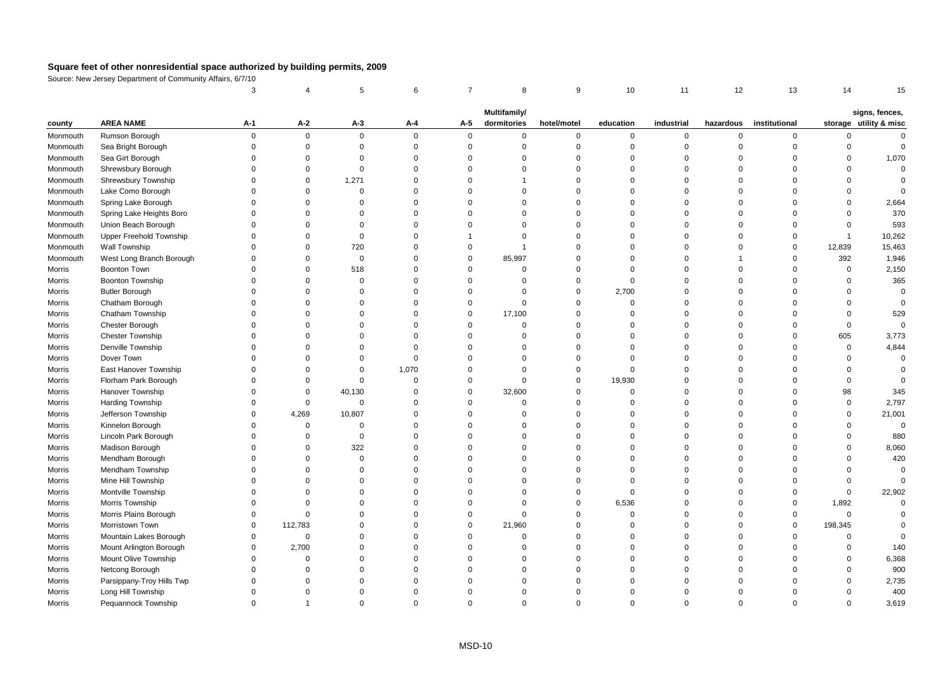|          |                           | 3              |                | 5              | 6           | $\overline{7}$ | 8                           | 9           | 10          | 11          | 12             | 13            | 14           | 15                                       |
|----------|---------------------------|----------------|----------------|----------------|-------------|----------------|-----------------------------|-------------|-------------|-------------|----------------|---------------|--------------|------------------------------------------|
|          |                           |                |                |                |             |                |                             |             |             |             |                |               |              |                                          |
| county   | <b>AREA NAME</b>          | A-1            | A-2            | $A-3$          | A-4         | A-5            | Multifamily/<br>dormitories | hotel/motel | education   | industrial  | hazardous      | institutional |              | signs, fences,<br>storage utility & misc |
| Monmouth | Rumson Borough            | $\overline{0}$ | $\mathbf 0$    | $\mathbf 0$    | $\Omega$    | $\mathbf 0$    | 0                           | $\mathbf 0$ | $\mathbf 0$ | 0           | $\mathsf 0$    | $\mathbf 0$   | 0            | $\Omega$                                 |
| Monmouth | Sea Bright Borough        | $\Omega$       | $\mathbf 0$    | $\mathbf 0$    | $\Omega$    | $\mathsf 0$    | $\mathbf 0$                 | $\mathbf 0$ | $\mathbf 0$ | $\mathbf 0$ | $\overline{0}$ | $\mathbf 0$   | $\mathbf 0$  | $\mathsf 0$                              |
| Monmouth | Sea Girt Borough          | $\Omega$       | $\Omega$       | $\Omega$       | $\Omega$    | $\Omega$       | $\Omega$                    | $\mathbf 0$ | $\Omega$    | $\mathbf 0$ | $\Omega$       | $\Omega$      | $\Omega$     | 1,070                                    |
| Monmouth | Shrewsbury Borough        | $\Omega$       | $\mathbf 0$    | $\Omega$       | $\Omega$    | $\Omega$       | $\Omega$                    | $\Omega$    | $\Omega$    | $\mathbf 0$ | $\Omega$       | $\Omega$      | $\Omega$     | $\mathbf 0$                              |
| Monmouth | Shrewsbury Township       | $\Omega$       | $\mathbf 0$    | 1,271          | $\Omega$    | $\Omega$       | 1                           | $\mathbf 0$ | $\Omega$    | $\mathbf 0$ | $\mathbf 0$    | $\Omega$      | $\Omega$     | $\mathbf 0$                              |
| Monmouth | Lake Como Borough         | $\Omega$       | $\Omega$       | $\Omega$       | $\Omega$    | $\Omega$       | $\Omega$                    | $\Omega$    | $\Omega$    | $\mathbf 0$ | $\Omega$       | $\Omega$      | $\Omega$     | $\Omega$                                 |
| Monmouth | Spring Lake Borough       | $\Omega$       | $\Omega$       | $\Omega$       | $\Omega$    | $\Omega$       | $\Omega$                    | $\Omega$    | $\Omega$    | $\mathbf 0$ | $\Omega$       | $\Omega$      | $\Omega$     | 2,664                                    |
| Monmouth | Spring Lake Heights Boro  | $\Omega$       | $\Omega$       | $\Omega$       | $\Omega$    | $\Omega$       | $\Omega$                    | $\mathbf 0$ | $\Omega$    | $\mathbf 0$ | $\Omega$       | $\Omega$      | $\Omega$     | 370                                      |
| Monmouth | Union Beach Borough       | $\Omega$       | $\Omega$       | $\Omega$       | $\Omega$    | $\Omega$       | $\Omega$                    | $\Omega$    | $\Omega$    | $\Omega$    | $\Omega$       | $\Omega$      | $\Omega$     | 593                                      |
| Monmouth | Upper Freehold Township   | $\Omega$       | $\Omega$       | $\mathbf 0$    | $\Omega$    | 1              | $\Omega$                    | $\mathbf 0$ | $\Omega$    | $\mathbf 0$ | $\mathbf 0$    | $\Omega$      | $\mathbf{1}$ | 10,262                                   |
| Monmouth | Wall Township             | $\Omega$       | $\Omega$       | 720            | $\Omega$    | $\mathbf 0$    | $\mathbf{1}$                | $\mathbf 0$ | $\Omega$    | $\mathbf 0$ | $\Omega$       | $\mathbf 0$   | 12,839       | 15,463                                   |
| Monmouth | West Long Branch Borough  | $\Omega$       | $\Omega$       | $\overline{0}$ | $\Omega$    | $\mathbf 0$    | 85,997                      | $\mathbf 0$ | $\Omega$    | $\mathbf 0$ | $\overline{1}$ | $\mathbf 0$   | 392          | 1,946                                    |
| Morris   | <b>Boonton Town</b>       | $\Omega$       | $\Omega$       | 518            | $\Omega$    | $\Omega$       | $\Omega$                    | $\mathbf 0$ | $\Omega$    | $\mathbf 0$ | $\Omega$       | $\Omega$      | $\mathbf 0$  | 2,150                                    |
| Morris   | <b>Boonton Township</b>   | $\Omega$       | $\Omega$       | $\Omega$       | $\Omega$    | $\Omega$       | $\Omega$                    | $\mathbf 0$ | $\Omega$    | $\mathbf 0$ | $\Omega$       | $\Omega$      | $\Omega$     | 365                                      |
| Morris   | <b>Butler Borough</b>     | $\Omega$       | $\Omega$       | $\Omega$       | $\Omega$    | $\Omega$       | $\Omega$                    | $\mathbf 0$ | 2,700       | $\mathbf 0$ | $\mathbf 0$    | $\Omega$      | $\Omega$     | $\mathsf 0$                              |
| Morris   | Chatham Borough           | $\Omega$       | $\Omega$       | $\Omega$       | $\Omega$    | $\Omega$       | $\Omega$                    | $\mathbf 0$ | $\Omega$    | $\mathbf 0$ | $\Omega$       | $\Omega$      | $\Omega$     | $\Omega$                                 |
| Morris   | Chatham Township          | $\Omega$       | $\Omega$       | $\Omega$       | $\Omega$    | $\mathbf 0$    | 17,100                      | $\mathbf 0$ | $\Omega$    | $\mathbf 0$ | $\Omega$       | $\Omega$      | $\Omega$     | 529                                      |
| Morris   | Chester Borough           | $\Omega$       | $\Omega$       | $\Omega$       | $\Omega$    | $\Omega$       | $\Omega$                    | $\mathbf 0$ | $\Omega$    | $\mathbf 0$ | $\Omega$       | $\Omega$      | $\mathsf 0$  | $\mathbf 0$                              |
| Morris   | <b>Chester Township</b>   | $\Omega$       | $\Omega$       | $\Omega$       | $\Omega$    | $\Omega$       | $\Omega$                    | $\mathbf 0$ | $\Omega$    | $\Omega$    | $\Omega$       | $\Omega$      | 605          | 3,773                                    |
| Morris   | Denville Township         | $\Omega$       | $\Omega$       | $\Omega$       | $\Omega$    | $\Omega$       | $\Omega$                    | $\Omega$    | $\Omega$    | $\Omega$    | $\Omega$       | $\Omega$      | $\mathbf 0$  | 4,844                                    |
| Morris   | Dover Town                | $\Omega$       | $\Omega$       | $\Omega$       | $\Omega$    | $\Omega$       | $\Omega$                    | $\mathbf 0$ | $\Omega$    | $\mathbf 0$ | $\Omega$       | $\Omega$      | $\Omega$     | $\Omega$                                 |
| Morris   | East Hanover Township     | $\Omega$       | $\Omega$       | $\Omega$       | 1,070       | $\Omega$       | $\Omega$                    | $\mathbf 0$ | $\Omega$    | $\mathbf 0$ | $\overline{0}$ | $\Omega$      | $\mathbf 0$  | $\Omega$                                 |
| Morris   | Florham Park Borough      | $\Omega$       | $\Omega$       | $\Omega$       | $\Omega$    | $\Omega$       | $\Omega$                    | $\mathbf 0$ | 19,930      | $\mathbf 0$ | $\Omega$       | $\Omega$      | $\mathbf 0$  | $\Omega$                                 |
| Morris   | Hanover Township          | $\Omega$       | $\Omega$       | 40,130         | $\Omega$    | $\Omega$       | 32,600                      | $\mathbf 0$ | $\Omega$    | $\mathbf 0$ | $\Omega$       | $\Omega$      | 98           | 345                                      |
| Morris   | Harding Township          | $\Omega$       | $\mathbf 0$    | $\overline{0}$ | $\Omega$    | $\Omega$       | $\Omega$                    | $\mathbf 0$ | $\Omega$    | $\mathbf 0$ | $\mathbf 0$    | $\Omega$      | $\mathsf 0$  | 2,797                                    |
| Morris   | Jefferson Township        | $\Omega$       | 4,269          | 10,807         | $\Omega$    | $\Omega$       | $\Omega$                    | $\mathbf 0$ | $\Omega$    | $\mathbf 0$ | $\Omega$       | $\Omega$      | $\mathbf 0$  | 21,001                                   |
| Morris   | Kinnelon Borough          | $\Omega$       | $\mathbf 0$    | $\mathbf 0$    | $\Omega$    | $\Omega$       | $\Omega$                    | $\mathbf 0$ | $\Omega$    | $\mathbf 0$ | $\Omega$       | $\Omega$      | $\Omega$     | $\mathbf 0$                              |
| Morris   | Lincoln Park Borough      | $\Omega$       | $\Omega$       | $\Omega$       | $\Omega$    | $\Omega$       | $\Omega$                    | $\mathbf 0$ | $\Omega$    | $\mathbf 0$ | $\Omega$       | $\Omega$      | $\Omega$     | 880                                      |
| Morris   | Madison Borough           | $\Omega$       | $\mathbf 0$    | 322            | $\Omega$    | $\Omega$       | $\Omega$                    | $\mathbf 0$ | $\Omega$    | $\Omega$    | $\Omega$       | $\Omega$      | $\Omega$     | 8,060                                    |
| Morris   | Mendham Borough           | $\Omega$       | $\Omega$       | $\mathbf 0$    | $\Omega$    | $\Omega$       | $\Omega$                    | $\Omega$    | $\Omega$    | $\Omega$    | $\Omega$       | $\Omega$      | $\Omega$     | 420                                      |
| Morris   | Mendham Township          | $\Omega$       | $\Omega$       | $\mathbf 0$    | $\Omega$    | $\Omega$       | $\Omega$                    | $\mathbf 0$ | $\Omega$    | $\mathbf 0$ | $\mathbf 0$    | $\Omega$      | $\Omega$     | $\mathbf{0}$                             |
| Morris   | Mine Hill Township        | $\Omega$       | $\Omega$       | $\Omega$       | $\mathbf 0$ | $\Omega$       | $\Omega$                    | $\mathbf 0$ | $\Omega$    | $\mathbf 0$ | $\Omega$       | $\mathbf 0$   | $\mathsf 0$  | $\mathbf 0$                              |
| Morris   | Montville Township        | $\Omega$       | $\Omega$       | $\Omega$       | $\Omega$    | $\Omega$       | $\Omega$                    | $\mathbf 0$ | $\Omega$    | $\mathbf 0$ | $\Omega$       | $\Omega$      | $\mathbf 0$  | 22,902                                   |
| Morris   | Morris Township           | $\Omega$       | $\Omega$       | $\Omega$       | $\Omega$    | $\Omega$       | $\Omega$                    | $\mathbf 0$ | 6,536       | $\Omega$    | $\Omega$       | $\mathbf 0$   | 1,892        | $\mathbf 0$                              |
| Morris   | Morris Plains Borough     | $\Omega$       | $\Omega$       | $\Omega$       | $\Omega$    | $\Omega$       | $\Omega$                    | $\mathbf 0$ | $\Omega$    | $\mathbf 0$ | $\Omega$       | $\mathbf 0$   | $\mathbf 0$  | $\Omega$                                 |
| Morris   | Morristown Town           | $\Omega$       | 112,783        | $\Omega$       | $\Omega$    | $\Omega$       | 21,960                      | $\mathbf 0$ | $\Omega$    | $\mathbf 0$ | $\Omega$       | $\Omega$      | 198,345      | $\Omega$                                 |
| Morris   | Mountain Lakes Borough    | $\Omega$       | $\mathbf 0$    | $\Omega$       | $\Omega$    | $\Omega$       | $\Omega$                    | $\Omega$    | $\Omega$    | $\Omega$    | $\Omega$       | $\Omega$      | 0            | $\Omega$                                 |
| Morris   | Mount Arlington Borough   | $\mathbf 0$    | 2,700          | 0              | $\Omega$    | $\Omega$       | $\Omega$                    | $\mathbf 0$ | $\Omega$    | $\mathbf 0$ | $\Omega$       | $\Omega$      | $\mathbf 0$  | 140                                      |
| Morris   | Mount Olive Township      | $\Omega$       | $\mathbf 0$    | $\Omega$       | $\Omega$    | $\Omega$       | $\Omega$                    | $\mathbf 0$ | $\Omega$    | $\mathbf 0$ | $\Omega$       | $\Omega$      | $\mathbf 0$  | 6,368                                    |
| Morris   | Netcong Borough           | $\Omega$       | $\Omega$       | $\Omega$       | $\Omega$    | $\Omega$       | $\Omega$                    | $\Omega$    | $\Omega$    | $\Omega$    | $\Omega$       | $\Omega$      | $\Omega$     | 900                                      |
| Morris   | Parsippany-Troy Hills Twp | $\Omega$       | $\Omega$       | 0              | $\Omega$    | $\Omega$       | $\Omega$                    | $\Omega$    | $\Omega$    | $\mathbf 0$ | $\Omega$       | $\Omega$      | $\mathbf 0$  | 2,735                                    |
| Morris   | Long Hill Township        | $\Omega$       | $\Omega$       | $\Omega$       | $\Omega$    | $\Omega$       | $\Omega$                    | $\Omega$    | $\Omega$    | $\mathbf 0$ | $\Omega$       | $\Omega$      | $\Omega$     | 400                                      |
| Morris   | Pequannock Township       | $\Omega$       | $\overline{1}$ | $\Omega$       | $\Omega$    | $\Omega$       | $\Omega$                    | $\Omega$    |             | $\Omega$    | $\Omega$       | $\Omega$      | $\Omega$     | 3,619                                    |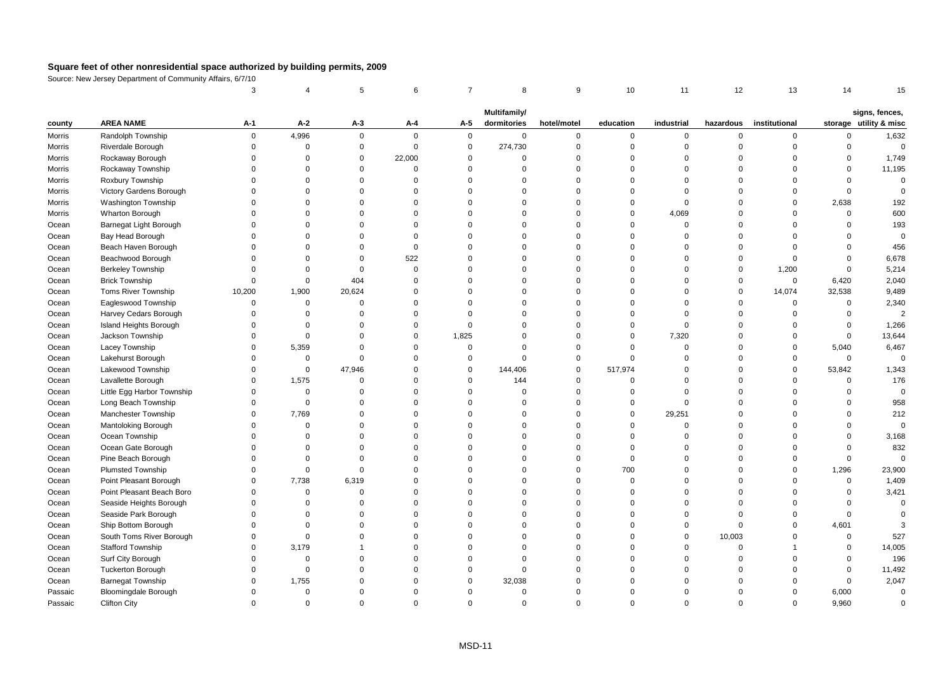|         |                             | 3           |             | 5              | 6           | $\overline{7}$ | 8                           | 9              | 10          | 11          | 12          | 13            | 14          | 15                                       |
|---------|-----------------------------|-------------|-------------|----------------|-------------|----------------|-----------------------------|----------------|-------------|-------------|-------------|---------------|-------------|------------------------------------------|
|         |                             |             |             |                |             |                |                             |                |             |             |             |               |             |                                          |
| county  | <b>AREA NAME</b>            | A-1         | $A-2$       | A-3            | A-4         | A-5            | Multifamily/<br>dormitories | hotel/motel    | education   | industrial  | hazardous   | institutional |             | signs, fences,<br>storage utility & misc |
| Morris  | Randolph Township           | $\mathbf 0$ | 4,996       | $\mathbf 0$    | $\mathsf 0$ | $\mathbf 0$    | $\mathbf 0$                 | $\mathsf 0$    | 0           | 0           | $\mathbf 0$ | $\mathbf 0$   | $\mathbf 0$ | 1,632                                    |
| Morris  | Riverdale Borough           | $\Omega$    | $\mathbf 0$ | $\mathsf 0$    | $\mathsf 0$ | $\mathsf 0$    | 274,730                     | $\mathbf 0$    | $\mathbf 0$ | $\mathsf 0$ | $\mathbf 0$ | $\mathbf 0$   | $\mathbf 0$ | $\mathsf 0$                              |
| Morris  | Rockaway Borough            | $\Omega$    | $\Omega$    | $\mathbf 0$    | 22,000      | $\Omega$       | $\Omega$                    | $\Omega$       | $\Omega$    | $\Omega$    | $\Omega$    | $\Omega$      | $\Omega$    | 1,749                                    |
| Morris  | Rockaway Township           | $\Omega$    | $\Omega$    | $\Omega$       | $\Omega$    | $\Omega$       | $\Omega$                    | $\Omega$       | $\Omega$    | $\Omega$    | $\Omega$    | $\Omega$      | $\Omega$    | 11,195                                   |
| Morris  | Roxbury Township            | $\Omega$    | $\Omega$    | $\mathbf 0$    | $\Omega$    | $\Omega$       | $\Omega$                    | $\Omega$       | $\Omega$    | $\Omega$    | $\Omega$    | $\Omega$      | $\Omega$    | $\Omega$                                 |
| Morris  | Victory Gardens Borough     | $\Omega$    | $\Omega$    | 0              | $\mathsf 0$ | $\Omega$       | 0                           | $\overline{0}$ | $\Omega$    | $\mathbf 0$ | $\Omega$    | $\mathbf 0$   | $\mathbf 0$ | $\Omega$                                 |
| Morris  | <b>Washington Township</b>  | $\Omega$    | $\Omega$    | $\Omega$       | $\mathbf 0$ | $\Omega$       | $\Omega$                    | $\Omega$       | $\Omega$    | $\mathbf 0$ | $\Omega$    | $\mathbf 0$   | 2,638       | 192                                      |
| Morris  | Wharton Borough             | $\Omega$    | $\Omega$    | $\Omega$       | $\mathbf 0$ | $\Omega$       | $\Omega$                    | $\Omega$       | $\mathbf 0$ | 4,069       | $\Omega$    | $\mathbf 0$   | $\mathbf 0$ | 600                                      |
| Ocean   | Barnegat Light Borough      | $\Omega$    | $\Omega$    | $\Omega$       | $\Omega$    | $\Omega$       | $\Omega$                    | $\Omega$       | $\Omega$    | $\mathbf 0$ | $\Omega$    | $\Omega$      | $\Omega$    | 193                                      |
| Ocean   | Bay Head Borough            | $\Omega$    | $\Omega$    | $\Omega$       | $\Omega$    | $\Omega$       | $\Omega$                    | $\Omega$       | $\Omega$    | $\Omega$    | $\Omega$    | $\Omega$      | $\Omega$    | $\mathbf 0$                              |
| Ocean   | Beach Haven Borough         | $\Omega$    | $\Omega$    | $\mathbf 0$    | $\mathbf 0$ | $\Omega$       | $\Omega$                    | $\Omega$       | $\Omega$    | $\Omega$    | $\Omega$    | $\mathbf 0$   | $\Omega$    | 456                                      |
| Ocean   | Beachwood Borough           | $\Omega$    | $\Omega$    | $\mathbf 0$    | 522         | $\Omega$       | $\mathbf 0$                 | $\Omega$       | $\Omega$    | $\Omega$    | $\mathbf 0$ | $\mathbf 0$   | $\Omega$    | 6,678                                    |
| Ocean   | <b>Berkeley Township</b>    | $\Omega$    | $\mathbf 0$ | $\mathbf 0$    | $\mathsf 0$ | $\Omega$       | $\Omega$                    | $\Omega$       | $\Omega$    | $\mathbf 0$ | $\mathbf 0$ | 1,200         | $\mathbf 0$ | 5,214                                    |
| Ocean   | <b>Brick Township</b>       | $\Omega$    | $\mathbf 0$ | 404            | $\Omega$    | $\Omega$       | $\Omega$                    | $\Omega$       | $\Omega$    | $\Omega$    | $\Omega$    | $\mathbf 0$   | 6,420       | 2,040                                    |
| Ocean   | Toms River Township         | 10,200      | 1,900       | 20,624         | $\mathbf 0$ | $\Omega$       | $\Omega$                    | $\Omega$       | $\Omega$    | $\Omega$    | $\Omega$    | 14,074        | 32,538      | 9,489                                    |
| Ocean   | Eagleswood Township         | $\Omega$    | $\mathsf 0$ | $\mathsf 0$    | $\mathbf 0$ | $\Omega$       | $\Omega$                    | $\Omega$       | $\Omega$    | $\Omega$    | $\mathbf 0$ | $\mathbf 0$   | $\mathbf 0$ | 2,340                                    |
| Ocean   | Harvey Cedars Borough       | $\Omega$    | $\mathbf 0$ | 0              | $\mathsf 0$ | $\Omega$       | $\Omega$                    | $\Omega$       | $\mathbf 0$ | $\Omega$    | $\Omega$    | $\mathbf 0$   | $\mathbf 0$ | $\overline{2}$                           |
| Ocean   | Island Heights Borough      | $\Omega$    | $\Omega$    | $\Omega$       | $\mathbf 0$ | $\Omega$       | $\Omega$                    | $\Omega$       | $\Omega$    | $\mathbf 0$ | $\Omega$    | $\Omega$      | $\mathbf 0$ | 1,266                                    |
| Ocean   | Jackson Township            | $\Omega$    | $\mathbf 0$ | $\Omega$       | $\mathbf 0$ | 1,825          | $\Omega$                    | $\Omega$       | $\mathbf 0$ | 7,320       | $\Omega$    | $\mathbf 0$   | $\mathbf 0$ | 13,644                                   |
| Ocean   | Lacey Township              | $\Omega$    | 5,359       | $\mathbf 0$    | $\Omega$    | $\mathsf 0$    | $\mathbf 0$                 | $\mathbf 0$    | $\Omega$    | $\mathbf 0$ | $\Omega$    | $\mathbf 0$   | 5,040       | 6,467                                    |
| Ocean   | Lakehurst Borough           | $\Omega$    | $\mathsf 0$ | $\Omega$       | $\mathbf 0$ | $\mathbf 0$    | $\Omega$                    | $\mathbf 0$    | $\Omega$    | $\Omega$    | $\Omega$    | $\mathbf 0$   | $\mathbf 0$ | $\Omega$                                 |
| Ocean   | Lakewood Township           | $\Omega$    | $\mathbf 0$ | 47,946         | $\mathbf 0$ | $\mathbf 0$    | 144,406                     | $\mathbf 0$    | 517,974     | $\Omega$    | $\Omega$    | $\mathbf 0$   | 53,842      | 1,343                                    |
| Ocean   | Lavallette Borough          | $\Omega$    | 1,575       | $\overline{0}$ | $\mathbf 0$ | $\mathbf 0$    | 144                         | $\overline{0}$ | $\Omega$    | $\Omega$    | $\Omega$    | $\Omega$      | $\mathbf 0$ | 176                                      |
| Ocean   | Little Egg Harbor Township  | $\Omega$    | $\mathbf 0$ | $\mathbf 0$    | $\mathbf 0$ | $\Omega$       | 0                           | $\overline{0}$ | $\mathbf 0$ | $\mathbf 0$ | $\Omega$    | $\Omega$      | $\mathbf 0$ | $\mathbf 0$                              |
| Ocean   | Long Beach Township         | $\Omega$    | $\Omega$    | $\Omega$       | $\Omega$    | $\Omega$       | $\Omega$                    | $\Omega$       | $\Omega$    | $\Omega$    | $\Omega$    | $\Omega$      | $\Omega$    | 958                                      |
| Ocean   | Manchester Township         | $\Omega$    | 7,769       | $\Omega$       | $\mathbf 0$ | $\Omega$       | $\Omega$                    | $\Omega$       | $\Omega$    | 29,251      | $\Omega$    | $\Omega$      | $\mathbf 0$ | 212                                      |
| Ocean   | Mantoloking Borough         | $\Omega$    | $\mathbf 0$ | $\mathbf 0$    | $\mathbf 0$ | $\Omega$       | $\mathbf 0$                 | $\mathbf 0$    | $\mathbf 0$ | $\mathsf 0$ | $\Omega$    | $\Omega$      | $\mathbf 0$ | $\mathbf 0$                              |
| Ocean   | Ocean Township              | $\Omega$    | $\Omega$    | $\Omega$       | $\Omega$    | $\Omega$       | $\Omega$                    | $\Omega$       | $\Omega$    | $\Omega$    | $\Omega$    | $\Omega$      | $\Omega$    | 3,168                                    |
| Ocean   | Ocean Gate Borough          | $\Omega$    | $\Omega$    | $\Omega$       | $\mathbf 0$ | $\Omega$       | $\Omega$                    | $\Omega$       | $\Omega$    | $\Omega$    | $\Omega$    | $\Omega$      | $\Omega$    | 832                                      |
| Ocean   | Pine Beach Borough          | $\Omega$    | $\Omega$    | $\Omega$       | $\mathbf 0$ | $\Omega$       | $\Omega$                    | $\mathbf 0$    | $\mathbf 0$ | $\Omega$    | $\Omega$    | $\Omega$      | $\mathbf 0$ | $\mathbf 0$                              |
| Ocean   | <b>Plumsted Township</b>    | $\Omega$    | $\mathbf 0$ | $\mathsf 0$    | $\mathbf 0$ | $\Omega$       | $\Omega$                    | $\overline{0}$ | 700         | $\Omega$    | $\Omega$    | $\Omega$      | 1,296       | 23,900                                   |
| Ocean   | Point Pleasant Borough      | $\Omega$    | 7,738       | 6,319          | $\Omega$    | $\Omega$       | $\Omega$                    | $\Omega$       | $\Omega$    | $\Omega$    | $\Omega$    | $\Omega$      | $\mathbf 0$ | 1,409                                    |
| Ocean   | Point Pleasant Beach Boro   | $\Omega$    | $\mathbf 0$ | $\mathbf 0$    | $\mathbf 0$ | $\Omega$       | $\Omega$                    | $\Omega$       | $\Omega$    | $\Omega$    | $\Omega$    | $\Omega$      | $\mathbf 0$ | 3,421                                    |
| Ocean   | Seaside Heights Borough     | $\Omega$    | $\mathbf 0$ | $\mathbf 0$    | $\mathbf 0$ | $\Omega$       | $\Omega$                    | $\Omega$       | $\Omega$    | $\Omega$    | $\Omega$    | $\Omega$      | $\mathbf 0$ | $\mathbf 0$                              |
| Ocean   | Seaside Park Borough        | $\Omega$    | $\mathbf 0$ | $\mathbf 0$    | $\mathbf 0$ | $\Omega$       | $\Omega$                    | $\Omega$       | $\mathbf 0$ | $\Omega$    | $\Omega$    | $\Omega$      | $\mathbf 0$ | $\Omega$                                 |
| Ocean   | Ship Bottom Borough         | $\Omega$    | $\Omega$    | $\Omega$       | $\Omega$    | $\Omega$       | $\Omega$                    | $\Omega$       | $\Omega$    | $\Omega$    | $\Omega$    | $\Omega$      | 4,601       |                                          |
| Ocean   | South Toms River Borough    | $\Omega$    | $\mathbf 0$ | $\Omega$       | $\mathbf 0$ | $\Omega$       | $\Omega$                    | $\Omega$       | $\Omega$    | $\Omega$    | 10,003      | $\Omega$      | $\mathbf 0$ | 527                                      |
| Ocean   | Stafford Township           | $\Omega$    | 3,179       | $\mathbf{1}$   | $\mathbf 0$ | $\Omega$       | $\Omega$                    | $\Omega$       | $\Omega$    | $\Omega$    | $\mathbf 0$ |               | $\mathbf 0$ | 14,005                                   |
| Ocean   | Surf City Borough           | $\Omega$    | $\mathbf 0$ | $\mathbf 0$    | $\Omega$    | $\Omega$       | $\Omega$                    | $\Omega$       | $\Omega$    | $\Omega$    | $\Omega$    | $\Omega$      | $\mathbf 0$ | 196                                      |
| Ocean   | <b>Tuckerton Borough</b>    | $\Omega$    | $\Omega$    | $\Omega$       | $\mathbf 0$ | $\Omega$       | $\mathbf 0$                 | $\Omega$       | $\Omega$    | $\Omega$    | $\Omega$    | $\Omega$      | $\mathbf 0$ | 11,492                                   |
| Ocean   | <b>Barnegat Township</b>    | $\Omega$    | 1,755       | $\Omega$       | $\Omega$    | $\Omega$       | 32,038                      | $\Omega$       | $\Omega$    | $\Omega$    | $\Omega$    | $\Omega$      | $\mathbf 0$ | 2,047                                    |
| Passaic | <b>Bloomingdale Borough</b> | $\Omega$    | $\mathbf 0$ | $\Omega$       | $\Omega$    | $\Omega$       | $\mathbf 0$                 | $\Omega$       | $\Omega$    | $\Omega$    | $\Omega$    | $\Omega$      | 6,000       | $\Omega$                                 |
| Passaic | <b>Clifton City</b>         | $\Omega$    | $\Omega$    | $\Omega$       | $\Omega$    | $\Omega$       | $\Omega$                    | $\Omega$       | $\Omega$    | $\Omega$    | $\Omega$    | $\Omega$      | 9.960       | $\Omega$                                 |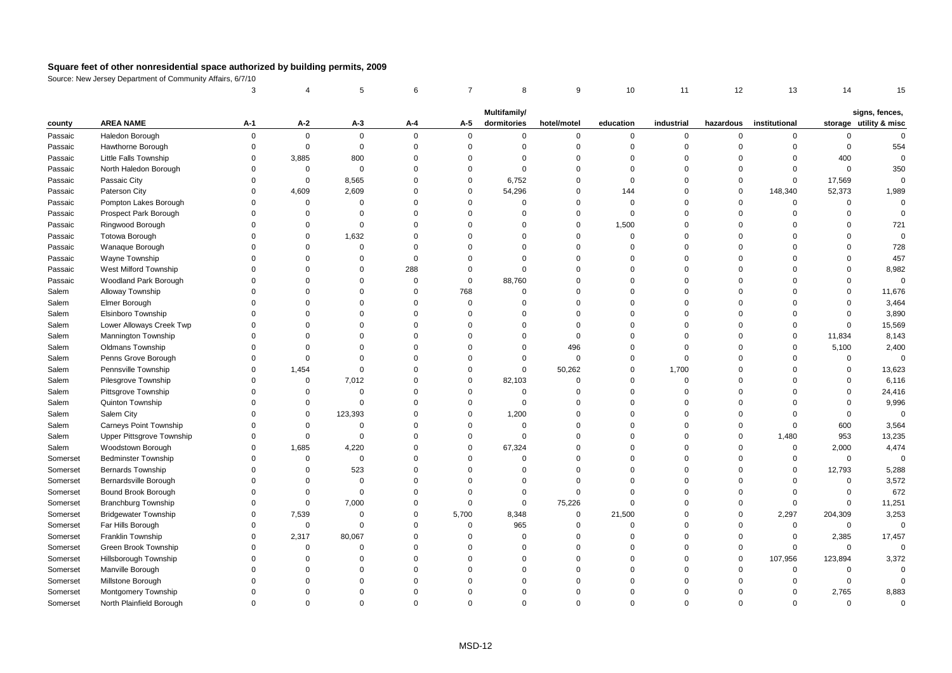|          |                              | 3           |             | 5           | 6           | $\overline{7}$ | 8                           | 9           | 10          | 11          | 12             | 13            | 14          | 15                                       |
|----------|------------------------------|-------------|-------------|-------------|-------------|----------------|-----------------------------|-------------|-------------|-------------|----------------|---------------|-------------|------------------------------------------|
|          |                              |             |             |             |             |                |                             |             |             |             |                |               |             |                                          |
| county   | <b>AREA NAME</b>             | A-1         | A-2         | $A-3$       | A-4         | A-5            | Multifamily/<br>dormitories | hotel/motel | education   | industrial  | hazardous      | institutional |             | signs, fences,<br>storage utility & misc |
| Passaic  | Haledon Borough              | $\mathsf 0$ | $\mathbf 0$ | $\mathbf 0$ | $\Omega$    | $\mathbf 0$    | $\mathbf 0$                 | $\mathbf 0$ | $\mathsf 0$ | 0           | $\mathbf 0$    | $\mathbf 0$   | $\mathsf 0$ | $\Omega$                                 |
| Passaic  | Hawthorne Borough            | $\mathbf 0$ | $\mathbf 0$ | $\mathbf 0$ | $\mathbf 0$ | $\mathbf 0$    | $\mathbf 0$                 | $\mathbf 0$ | $\mathbf 0$ | $\mathbf 0$ | $\overline{0}$ | $\mathbf 0$   | $\mathsf 0$ | 554                                      |
| Passaic  | <b>Little Falls Township</b> | $\Omega$    | 3,885       | 800         | $\Omega$    | $\Omega$       | $\Omega$                    | $\mathbf 0$ | $\Omega$    | $\mathbf 0$ | $\Omega$       | $\mathbf 0$   | 400         | $\Omega$                                 |
| Passaic  | North Haledon Borough        | $\Omega$    | 0           | $\mathbf 0$ | $\Omega$    | $\Omega$       | $\Omega$                    | $\mathbf 0$ | $\Omega$    | $\Omega$    | $\Omega$       | $\Omega$      | $\mathsf 0$ | 350                                      |
| Passaic  | Passaic City                 | $\Omega$    | $\mathbf 0$ | 8,565       | $\Omega$    | $\mathbf 0$    | 6,752                       | $\mathbf 0$ | $\mathbf 0$ | $\mathbf 0$ | $\Omega$       | $\mathbf 0$   | 17,569      | $\mathbf 0$                              |
| Passaic  | Paterson City                | $\Omega$    | 4,609       | 2,609       | $\Omega$    | $\mathbf 0$    | 54,296                      | $\mathbf 0$ | 144         | $\Omega$    | $\mathbf 0$    | 148,340       | 52,373      | 1,989                                    |
| Passaic  | Pompton Lakes Borough        | $\Omega$    | $\mathbf 0$ | $\Omega$    | $\Omega$    | $\Omega$       | $\mathbf 0$                 | $\mathbf 0$ | $\mathbf 0$ | $\Omega$    | $\overline{0}$ | $\mathbf 0$   | 0           | $\mathbf 0$                              |
| Passaic  | Prospect Park Borough        | $\Omega$    | $\Omega$    | $\Omega$    | $\Omega$    | $\Omega$       | $\Omega$                    | $\mathbf 0$ | $\mathbf 0$ | $\Omega$    | $\mathbf 0$    | $\Omega$      | $\mathbf 0$ | $\Omega$                                 |
| Passaic  | Ringwood Borough             | $\Omega$    | $\Omega$    | $\Omega$    | $\Omega$    | $\Omega$       | $\Omega$                    | $\mathbf 0$ | 1,500       | $\Omega$    | $\Omega$       | $\Omega$      | $\Omega$    | 721                                      |
| Passaic  | Totowa Borough               | $\Omega$    | $\Omega$    | 1,632       | $\Omega$    | $\Omega$       | $\Omega$                    | $\mathbf 0$ | $\Omega$    | $\Omega$    | $\Omega$       | $\Omega$      | $\Omega$    | $\mathbf 0$                              |
| Passaic  | Wanaque Borough              | $\Omega$    | $\Omega$    | $\mathbf 0$ | $\Omega$    | $\Omega$       | $\Omega$                    | $\mathbf 0$ | $\Omega$    | $\Omega$    | $\Omega$       | $\Omega$      | $\Omega$    | 728                                      |
| Passaic  | Wayne Township               | $\Omega$    | $\Omega$    | $\Omega$    | $\Omega$    | $\Omega$       | $\Omega$                    | $\mathbf 0$ | $\Omega$    | $\Omega$    | $\Omega$       | $\Omega$      | $\Omega$    | 457                                      |
| Passaic  | West Milford Township        | $\Omega$    | $\Omega$    | $\Omega$    | 288         | $\Omega$       | $\Omega$                    | $\mathbf 0$ | $\Omega$    | $\Omega$    | $\Omega$       | $\Omega$      | $\Omega$    | 8,982                                    |
| Passaic  | Woodland Park Borough        | $\Omega$    | $\Omega$    | $\Omega$    | $\Omega$    | $\mathbf 0$    | 88,760                      | $\mathbf 0$ | $\Omega$    | $\Omega$    | $\Omega$       | $\Omega$      | $\Omega$    | $\mathbf 0$                              |
| Salem    | Alloway Township             | $\Omega$    | $\Omega$    | $\Omega$    | $\Omega$    | 768            | $\Omega$                    | $\mathbf 0$ | $\Omega$    | $\Omega$    | $\Omega$       | $\Omega$      | $\Omega$    | 11,676                                   |
| Salem    | Elmer Borough                | $\Omega$    | $\Omega$    | $\Omega$    | $\Omega$    | $\mathbf 0$    | $\Omega$                    | $\mathbf 0$ | $\Omega$    | $\Omega$    | $\Omega$       | $\Omega$      | $\Omega$    | 3,464                                    |
| Salem    | Elsinboro Township           | $\Omega$    | $\Omega$    | $\Omega$    | $\Omega$    | $\Omega$       | $\Omega$                    | $\mathbf 0$ | $\Omega$    | $\Omega$    | $\Omega$       | $\Omega$      | $\Omega$    | 3,890                                    |
| Salem    | Lower Alloways Creek Twp     | $\Omega$    | $\Omega$    | $\Omega$    | $\Omega$    | $\Omega$       | $\Omega$                    | $\mathbf 0$ | $\Omega$    | $\mathbf 0$ | $\Omega$       | $\Omega$      | $\mathsf 0$ | 15,569                                   |
| Salem    | Mannington Township          | $\Omega$    | $\Omega$    | $\Omega$    | $\Omega$    | $\Omega$       | $\Omega$                    | $\mathbf 0$ | $\Omega$    | $\Omega$    | $\Omega$       | $\Omega$      | 11,834      | 8,143                                    |
| Salem    | Oldmans Township             | $\Omega$    | $\Omega$    | $\Omega$    | $\Omega$    | $\Omega$       | $\Omega$                    | 496         | $\Omega$    | $\Omega$    | $\Omega$       | $\Omega$      | 5,100       | 2,400                                    |
| Salem    | Penns Grove Borough          | $\Omega$    | $\mathbf 0$ | $\Omega$    | $\Omega$    | $\Omega$       | $\Omega$                    | $\mathbf 0$ | $\Omega$    | $\mathbf 0$ | $\Omega$       | $\Omega$      | 0           | $\mathbf 0$                              |
| Salem    | Pennsville Township          | $\Omega$    | 1,454       | $\mathbf 0$ | $\Omega$    | $\mathbf 0$    | $\mathbf 0$                 | 50,262      | $\mathbf 0$ | 1,700       | $\Omega$       | $\Omega$      | $\mathsf 0$ | 13,623                                   |
| Salem    | Pilesgrove Township          | $\Omega$    | $\mathbf 0$ | 7,012       | $\Omega$    | $\mathbf 0$    | 82,103                      | $\mathbf 0$ | $\Omega$    | $\mathbf 0$ | $\Omega$       | $\Omega$      | $\Omega$    | 6,116                                    |
| Salem    | Pittsgrove Township          | $\Omega$    | 0           | $\mathbf 0$ | $\Omega$    | $\Omega$       | $\Omega$                    | $\Omega$    | $\Omega$    | $\Omega$    | $\Omega$       | $\Omega$      | $\Omega$    | 24,416                                   |
| Salem    | Quinton Township             | $\Omega$    | 0           | $\Omega$    | $\Omega$    | $\Omega$       | $\Omega$                    | $\mathbf 0$ | $\Omega$    | $\Omega$    | $\Omega$       | $\Omega$      | $\Omega$    | 9,996                                    |
| Salem    | Salem City                   | $\Omega$    | $\mathbf 0$ | 123,393     | $\Omega$    | $\Omega$       | 1,200                       | $\mathbf 0$ | $\Omega$    | $\Omega$    | $\Omega$       | $\Omega$      | $\mathbf 0$ | $\Omega$                                 |
| Salem    | Carneys Point Township       | $\Omega$    | $\mathbf 0$ | $\mathbf 0$ | $\Omega$    | $\mathbf 0$    | $\Omega$                    | $\mathbf 0$ | $\Omega$    | $\mathbf 0$ | $\Omega$       | $\Omega$      | 600         | 3,564                                    |
| Salem    | Upper Pittsgrove Township    | $\mathbf 0$ | 0           | $\Omega$    | $\Omega$    | $\Omega$       | $\mathbf 0$                 | $\mathbf 0$ | $\Omega$    | $\mathbf 0$ | $\overline{0}$ | 1,480         | 953         | 13,235                                   |
| Salem    | Woodstown Borough            | $\Omega$    | 1,685       | 4,220       | $\Omega$    | $\mathbf 0$    | 67,324                      | $\mathbf 0$ | $\Omega$    | $\Omega$    | $\overline{0}$ | $\mathsf 0$   | 2,000       | 4,474                                    |
| Somerset | <b>Bedminster Township</b>   | $\Omega$    | $\mathbf 0$ | $\mathbf 0$ | $\Omega$    | $\Omega$       | $\Omega$                    | $\Omega$    | $\Omega$    | $\Omega$    | $\Omega$       | $\mathbf 0$   | $\mathbf 0$ | $\Omega$                                 |
| Somerset | <b>Bernards Township</b>     | $\Omega$    | 0           | 523         | $\Omega$    | $\Omega$       | $\Omega$                    | $\mathbf 0$ | $\Omega$    | $\Omega$    | $\Omega$       | $\mathbf 0$   | 12,793      | 5,288                                    |
| Somerset | Bernardsville Borough        | $\Omega$    | $\Omega$    | $\mathbf 0$ | $\Omega$    | $\Omega$       | $\Omega$                    | $\mathbf 0$ | $\Omega$    | $\Omega$    | $\Omega$       | $\Omega$      | $\mathsf 0$ | 3,572                                    |
| Somerset | Bound Brook Borough          | $\Omega$    | $\Omega$    | $\Omega$    | $\Omega$    | $\Omega$       | $\Omega$                    | $\mathbf 0$ | $\Omega$    | $\Omega$    | $\Omega$       | $\Omega$      | $\mathsf 0$ | 672                                      |
| Somerset | <b>Branchburg Township</b>   | $\Omega$    | $\mathbf 0$ | 7,000       | $\Omega$    | $\mathbf 0$    | $\Omega$                    | 75,226      | $\Omega$    | $\Omega$    | $\Omega$       | $\mathbf 0$   | $\mathbf 0$ | 11,251                                   |
| Somerset | <b>Bridgewater Township</b>  | $\Omega$    | 7,539       | $\Omega$    | $\Omega$    | 5,700          | 8,348                       | $\mathbf 0$ | 21,500      | $\mathbf 0$ | $\mathbf 0$    | 2,297         | 204,309     | 3,253                                    |
| Somerset | Far Hills Borough            | $\Omega$    | $\mathbf 0$ | $\mathbf 0$ | $\Omega$    | $\mathbf 0$    | 965                         | $\mathbf 0$ | $\Omega$    | $\Omega$    | $\Omega$       | $\mathbf 0$   | $\mathbf 0$ | $\mathbf 0$                              |
| Somerset | Franklin Township            | $\Omega$    | 2,317       | 80,067      | $\Omega$    | $\Omega$       | $\Omega$                    | $\mathbf 0$ | $\Omega$    | $\mathbf 0$ | $\mathbf 0$    | $\mathbf 0$   | 2,385       | 17,457                                   |
| Somerset | Green Brook Township         | $\Omega$    | $\mathbf 0$ | $\mathbf 0$ | $\Omega$    | $\Omega$       | $\Omega$                    | $\mathbf 0$ | $\Omega$    | $\mathbf 0$ | $\overline{0}$ | $\mathbf 0$   | $\mathsf 0$ | $\Omega$                                 |
| Somerset | Hillsborough Township        | $\Omega$    | $\mathbf 0$ | $\mathbf 0$ | $\Omega$    | $\Omega$       | $\Omega$                    | $\mathbf 0$ | $\Omega$    | 0           | $\overline{0}$ | 107,956       | 123,894     | 3,372                                    |
| Somerset | Manville Borough             | $\Omega$    | $\Omega$    | $\Omega$    | $\Omega$    | $\Omega$       | $\Omega$                    | $\mathbf 0$ | $\Omega$    | $\Omega$    | $\mathbf 0$    | $\Omega$      | $\mathbf 0$ | $\Omega$                                 |
| Somerset | Millstone Borough            | $\Omega$    | $\Omega$    | $\Omega$    | $\Omega$    | $\Omega$       | $\Omega$                    | $\mathbf 0$ | $\Omega$    | $\Omega$    | $\Omega$       | $\Omega$      | 0           | $\Omega$                                 |
| Somerset | Montgomery Township          | $\Omega$    | $\Omega$    | $\Omega$    | $\Omega$    | $\Omega$       | $\Omega$                    | $\mathbf 0$ | $\Omega$    | $\Omega$    | $\Omega$       | $\mathbf 0$   | 2,765       | 8,883                                    |
| Somerset | North Plainfield Borough     | $\Omega$    | $\Omega$    | $\Omega$    | $\Omega$    | $\Omega$       | $\Omega$                    | $\Omega$    | $\Omega$    | $\Omega$    | $\Omega$       | $\Omega$      | $\Omega$    | $\Omega$                                 |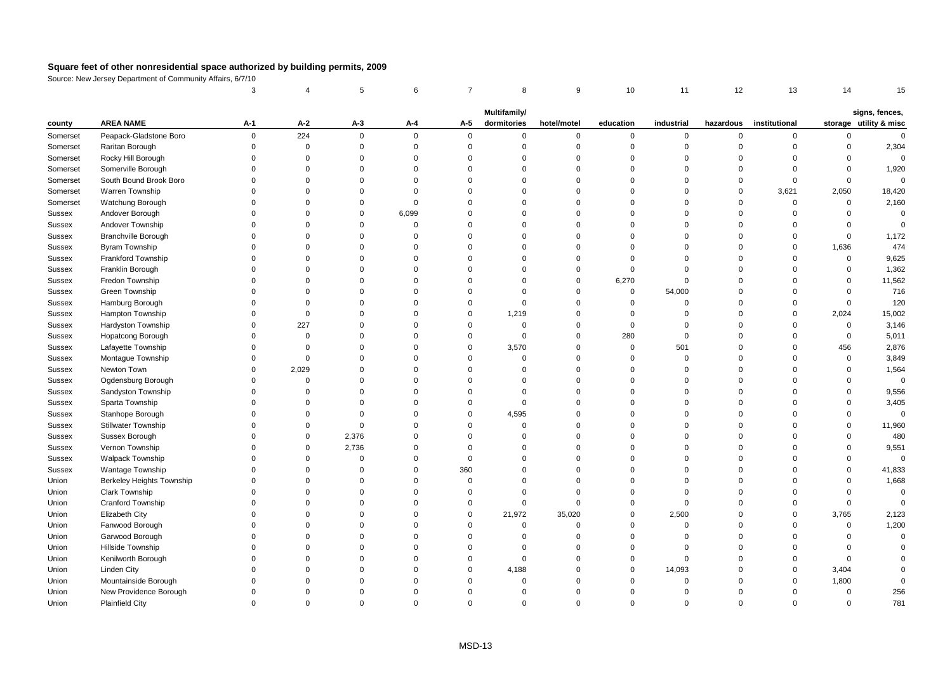|          |                            | 3                              |             | 5           | 6           | $\overline{7}$ | 8           | 9           | 10          | 11          | 12             | 13            | 14          | 15                     |
|----------|----------------------------|--------------------------------|-------------|-------------|-------------|----------------|-------------|-------------|-------------|-------------|----------------|---------------|-------------|------------------------|
|          |                            | Multifamily/<br>signs, fences, |             |             |             |                |             |             |             |             |                |               |             |                        |
| county   | <b>AREA NAME</b>           | A-1                            | A-2         | A-3         | A-4         | A-5            | dormitories | hotel/motel | education   | industrial  | hazardous      | institutional |             | storage utility & misc |
| Somerset | Peapack-Gladstone Boro     | 0                              | 224         | $\mathbf 0$ | $\Omega$    | 0              | $\mathbf 0$ | $\mathbf 0$ | 0           | $\mathbf 0$ | $\mathbf 0$    | 0             | $\mathbf 0$ | $\mathbf 0$            |
| Somerset | Raritan Borough            | $\Omega$                       | $\mathbf 0$ | $\mathbf 0$ | $\Omega$    | $\mathsf 0$    | $\mathbf 0$ | $\mathbf 0$ | $\mathbf 0$ | $\mathbf 0$ | $\mathbf 0$    | $\mathbf 0$   | $\mathsf 0$ | 2,304                  |
| Somerset | Rocky Hill Borough         | $\Omega$                       | $\Omega$    | $\Omega$    | $\Omega$    | $\Omega$       | $\Omega$    | $\Omega$    | $\Omega$    | $\Omega$    | $\Omega$       | $\Omega$      | $\Omega$    | $\Omega$               |
| Somerset | Somerville Borough         | $\Omega$                       | $\Omega$    | $\Omega$    | $\Omega$    | $\Omega$       | $\Omega$    | $\mathbf 0$ | $\Omega$    | $\Omega$    | $\Omega$       | $\Omega$      | $\mathbf 0$ | 1,920                  |
| Somerset | South Bound Brook Boro     | $\Omega$                       | $\mathbf 0$ | $\Omega$    | $\Omega$    | $\Omega$       | $\Omega$    | $\mathbf 0$ | $\Omega$    | $\mathbf 0$ | $\Omega$       | 0             | $\mathsf 0$ | $\mathbf 0$            |
| Somerset | Warren Township            | $\Omega$                       | $\Omega$    | $\Omega$    | $\Omega$    | $\Omega$       | $\Omega$    | $\mathbf 0$ | $\Omega$    | $\mathbf 0$ | $\mathbf 0$    | 3,621         | 2,050       | 18,420                 |
| Somerset | Watchung Borough           | $\Omega$                       | $\Omega$    | $\Omega$    | $\Omega$    | $\Omega$       | $\Omega$    | $\mathbf 0$ | $\Omega$    | $\Omega$    | $\Omega$       | $\mathbf 0$   | $\mathbf 0$ | 2,160                  |
| Sussex   | Andover Borough            | $\Omega$                       | $\Omega$    | $\Omega$    | 6,099       | $\Omega$       | $\Omega$    | $\mathbf 0$ | $\Omega$    | $\Omega$    | $\Omega$       | $\Omega$      | $\Omega$    | $\Omega$               |
| Sussex   | Andover Township           | $\Omega$                       | $\Omega$    | $\Omega$    | $\Omega$    | $\Omega$       | $\Omega$    | $\mathbf 0$ | $\Omega$    | $\Omega$    | $\Omega$       | $\Omega$      | $\mathbf 0$ | $\Omega$               |
| Sussex   | <b>Branchville Borough</b> | $\Omega$                       | $\Omega$    | $\Omega$    | $\Omega$    | $\Omega$       | $\Omega$    | $\mathbf 0$ | $\Omega$    | $\mathbf 0$ | $\Omega$       | $\mathbf 0$   | $\mathsf 0$ | 1,172                  |
| Sussex   | <b>Byram Township</b>      | $\Omega$                       | $\Omega$    | $\Omega$    | $\Omega$    | $\Omega$       | $\Omega$    | $\mathbf 0$ | $\Omega$    | $\Omega$    | $\Omega$       | $\Omega$      | 1,636       | 474                    |
| Sussex   | Frankford Township         | $\Omega$                       | $\Omega$    | $\Omega$    | $\Omega$    | $\Omega$       | $\Omega$    | $\mathbf 0$ | $\Omega$    | $\mathbf 0$ | $\Omega$       | $\Omega$      | 0           | 9,625                  |
| Sussex   | Franklin Borough           | $\Omega$                       | $\Omega$    | $\Omega$    | $\Omega$    | $\Omega$       | $\Omega$    | $\mathbf 0$ | $\Omega$    | $\mathbf 0$ | $\Omega$       | $\Omega$      | $\mathbf 0$ | 1,362                  |
| Sussex   | Fredon Township            | $\Omega$                       | $\Omega$    | $\Omega$    | $\Omega$    | $\Omega$       | $\Omega$    | $\mathbf 0$ | 6,270       | $\mathbf 0$ | $\Omega$       | $\Omega$      | $\Omega$    | 11,562                 |
| Sussex   | Green Township             | $\Omega$                       | $\mathbf 0$ | $\Omega$    | $\Omega$    | $\Omega$       | $\Omega$    | $\mathbf 0$ | $\mathbf 0$ | 54,000      | $\Omega$       | $\Omega$      | $\mathbf 0$ | 716                    |
| Sussex   | Hamburg Borough            | $\Omega$                       | $\Omega$    | $\Omega$    | $\Omega$    | $\Omega$       | $\Omega$    | $\mathbf 0$ | $\Omega$    | $\mathbf 0$ | $\Omega$       | $\Omega$      | $\mathbf 0$ | 120                    |
| Sussex   | Hampton Township           | $\mathbf 0$                    | $\mathsf 0$ | $\Omega$    | $\Omega$    | $\mathbf 0$    | 1,219       | $\mathbf 0$ | $\mathbf 0$ | $\mathbf 0$ | $\Omega$       | $\mathbf 0$   | 2,024       | 15,002                 |
| Sussex   | Hardyston Township         | $\Omega$                       | 227         | $\Omega$    | $\Omega$    | $\Omega$       | $\Omega$    | $\mathbf 0$ | $\mathbf 0$ | $\mathbf 0$ | $\Omega$       | $\Omega$      | $\mathbf 0$ | 3,146                  |
| Sussex   | Hopatcong Borough          | $\Omega$                       | $\mathbf 0$ | $\Omega$    | $\Omega$    | $\Omega$       | $\Omega$    | $\mathbf 0$ | 280         | $\Omega$    | $\Omega$       | $\Omega$      | $\mathsf 0$ | 5,011                  |
| Sussex   | Lafayette Township         | $\Omega$                       | $\mathbf 0$ | $\Omega$    | $\Omega$    | $\mathbf 0$    | 3,570       | $\mathbf 0$ | $\mathbf 0$ | 501         | $\mathbf 0$    | $\Omega$      | 456         | 2,876                  |
| Sussex   | Montague Township          | $\Omega$                       | $\mathbf 0$ | $\Omega$    | $\Omega$    | $\Omega$       | $\Omega$    | $\mathbf 0$ | $\Omega$    | $\mathbf 0$ | $\Omega$       | $\Omega$      | $\mathsf 0$ | 3,849                  |
| Sussex   | Newton Town                | $\Omega$                       | 2,029       | $\Omega$    | $\Omega$    | $\Omega$       | $\Omega$    | $\mathbf 0$ | $\Omega$    | $\mathbf 0$ | $\Omega$       | $\Omega$      | $\mathbf 0$ | 1,564                  |
| Sussex   | Ogdensburg Borough         | $\Omega$                       | $\mathbf 0$ | $\Omega$    | $\Omega$    | $\Omega$       | $\Omega$    | $\mathbf 0$ | $\Omega$    | $\mathbf 0$ | $\Omega$       | $\Omega$      | $\Omega$    | 0                      |
| Sussex   | Sandyston Township         | $\Omega$                       | $\Omega$    | $\Omega$    | $\Omega$    | $\Omega$       | $\Omega$    | $\mathbf 0$ | $\Omega$    | $\Omega$    | $\Omega$       | $\Omega$      | $\Omega$    | 9,556                  |
| Sussex   | Sparta Township            | $\Omega$                       | $\Omega$    | $\Omega$    | $\Omega$    | $\Omega$       | $\Omega$    | $\mathbf 0$ | $\Omega$    | $\mathbf 0$ | $\Omega$       | $\Omega$      | $\Omega$    | 3,405                  |
| Sussex   | Stanhope Borough           | $\Omega$                       | $\Omega$    | $\Omega$    | $\Omega$    | $\mathbf 0$    | 4,595       | $\mathbf 0$ | $\Omega$    | $\mathbf 0$ | $\Omega$       | $\Omega$      | $\Omega$    | $\mathbf 0$            |
| Sussex   | Stillwater Township        | $\Omega$                       | $\Omega$    | $\Omega$    | $\Omega$    | $\Omega$       | $\mathbf 0$ | $\mathbf 0$ | $\Omega$    | $\Omega$    | $\Omega$       | $\Omega$      | $\mathbf 0$ | 11,960                 |
| Sussex   | Sussex Borough             | $\Omega$                       | 0           | 2,376       | $\Omega$    | $\Omega$       | $\mathbf 0$ | $\mathbf 0$ | $\Omega$    | 0           | $\Omega$       | $\Omega$      | $\mathbf 0$ | 480                    |
| Sussex   | Vernon Township            | $\Omega$                       | $\Omega$    | 2,736       | $\Omega$    | $\Omega$       | $\Omega$    | $\mathbf 0$ | $\Omega$    | $\Omega$    | $\Omega$       | $\Omega$      | $\Omega$    | 9,551                  |
| Sussex   | <b>Walpack Township</b>    | $\Omega$                       | $\mathbf 0$ | $\Omega$    | $\Omega$    | $\mathbf{0}$   | $\Omega$    | $\mathbf 0$ | $\Omega$    | $\Omega$    | $\Omega$       | $\Omega$      | $\Omega$    | $\mathbf 0$            |
| Sussex   | Wantage Township           | $\Omega$                       | $\Omega$    | $\mathbf 0$ | $\mathbf 0$ | 360            | $\Omega$    | $\mathbf 0$ | $\Omega$    | 0           | $\overline{0}$ | $\Omega$      | $\mathbf 0$ | 41,833                 |
| Union    | Berkeley Heights Township  | $\Omega$                       | $\Omega$    | $\Omega$    | $\Omega$    | $\mathbf 0$    | $\Omega$    | $\mathbf 0$ | $\Omega$    | $\Omega$    | $\Omega$       | $\Omega$      | $\Omega$    | 1,668                  |
| Union    | <b>Clark Township</b>      | $\Omega$                       | $\Omega$    | $\Omega$    | $\Omega$    | $\Omega$       | $\Omega$    | $\mathbf 0$ | $\Omega$    | $\mathbf 0$ | $\Omega$       | $\Omega$      | $\mathbf 0$ | $\mathbf 0$            |
| Union    | Cranford Township          | $\Omega$                       | $\Omega$    | $\Omega$    | $\Omega$    | $\mathbf 0$    | $\Omega$    | $\mathbf 0$ | $\Omega$    | $\mathbf 0$ | $\Omega$       | $\mathbf 0$   | $\mathsf 0$ | $\mathbf 0$            |
| Union    | <b>Elizabeth City</b>      | $\Omega$                       | $\Omega$    | $\Omega$    | $\Omega$    | $\mathbf 0$    | 21,972      | 35,020      | $\mathbf 0$ | 2,500       | $\Omega$       | $\Omega$      | 3,765       | 2,123                  |
| Union    | Fanwood Borough            | $\Omega$                       | $\Omega$    | $\Omega$    | $\Omega$    | $\Omega$       | $\Omega$    | $\mathbf 0$ | $\Omega$    | $\Omega$    | $\Omega$       | $\Omega$      | $\mathbf 0$ | 1,200                  |
| Union    | Garwood Borough            | $\Omega$                       | $\Omega$    | $\Omega$    | $\Omega$    | $\Omega$       | $\Omega$    | $\mathbf 0$ | $\Omega$    | $\Omega$    | $\Omega$       | $\Omega$      | $\Omega$    | $\mathbf 0$            |
| Union    | Hillside Township          | $\Omega$                       | $\Omega$    | $\Omega$    | $\Omega$    | $\Omega$       | $\mathbf 0$ | $\mathbf 0$ | $\Omega$    | $\mathbf 0$ | $\Omega$       | $\Omega$      | $\mathsf 0$ |                        |
| Union    | Kenilworth Borough         | $\Omega$                       | $\Omega$    | $\Omega$    | $\Omega$    | $\Omega$       | $\Omega$    | $\mathbf 0$ | $\Omega$    | $\mathbf 0$ | $\Omega$       | $\Omega$      | $\mathbf 0$ |                        |
| Union    | <b>Linden City</b>         | $\Omega$                       | $\Omega$    | $\Omega$    | $\Omega$    | $\Omega$       | 4,188       | $\Omega$    | $\Omega$    | 14,093      | $\Omega$       | $\Omega$      | 3,404       |                        |
| Union    | Mountainside Borough       | $\Omega$                       | $\Omega$    | $\mathbf 0$ | $\Omega$    | $\Omega$       | $\Omega$    | $\mathbf 0$ | $\Omega$    | $\mathbf 0$ | $\Omega$       | $\Omega$      | 1,800       | ∩                      |
| Union    | New Providence Borough     | $\Omega$                       | $\Omega$    | $\Omega$    | $\Omega$    | $\Omega$       | $\Omega$    | $\mathbf 0$ | $\Omega$    | $\mathbf 0$ | $\Omega$       | $\mathbf 0$   | $\mathsf 0$ | 256                    |
| Union    | <b>Plainfield City</b>     | $\Omega$                       | $\Omega$    | $\Omega$    | $\Omega$    | $\Omega$       | $\Omega$    | $\Omega$    | $\Omega$    | $\Omega$    | $\Omega$       | $\Omega$      | $\Omega$    | 781                    |